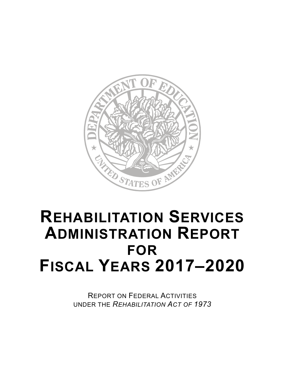

# **REHABILITATION SERVICES ADMINISTRATION REPORT FOR FISCAL YEARS 2017–2020**

REPORT ON FEDERAL ACTIVITIES UNDER THE *REHABILITATION ACT OF 1973*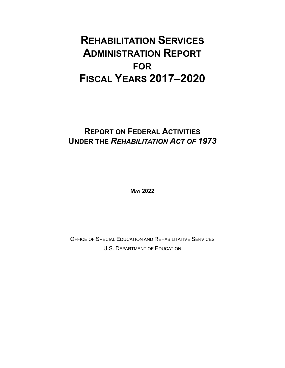### **REHABILITATION SERVICES ADMINISTRATION REPORT FOR FISCAL YEARS 2017–2020**

### **REPORT ON FEDERAL ACTIVITIES UNDER THE** *REHABILITATION ACT OF 1973*

**MAY 2022**

OFFICE OF SPECIAL EDUCATION AND REHABILITATIVE SERVICES U.S. DEPARTMENT OF EDUCATION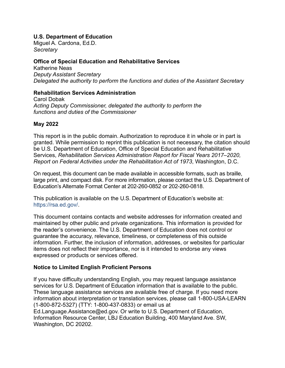#### **U.S. Department of Education**

Miguel A. Cardona, Ed.D. *Secretary*

#### **Office of Special Education and Rehabilitative Services**

Katherine Neas *Deputy Assistant Secretary Delegated the authority to perform the functions and duties of the Assistant Secretary*

#### **Rehabilitation Services Administration**

Carol Dobak *Acting Deputy Commissioner, delegated the authority to perform the functions and duties of the Commissioner*

#### **May 2022**

This report is in the public domain. Authorization to reproduce it in whole or in part is granted. While permission to reprint this publication is not necessary, the citation should be U.S. Department of Education, Office of Special Education and Rehabilitative Services, *Rehabilitation Services Administration Report for Fiscal Years 2017–2020, Report on Federal Activities under the Rehabilitation Act of 1973*, Washington, D.C.

On request, this document can be made available in accessible formats, such as braille, large print, and compact disk. For more information, please contact the U.S. Department of Education's Alternate Format Center at 202-260-0852 or 202-260-0818.

This publication is available on the U.S. Department of Education's website at: [https://rsa.ed.gov/.](https://rsa.ed.gov/)

This document contains contacts and website addresses for information created and maintained by other public and private organizations. This information is provided for the reader's convenience. The U.S. Department of Education does not control or guarantee the accuracy, relevance, timeliness, or completeness of this outside information. Further, the inclusion of information, addresses, or websites for particular items does not reflect their importance, nor is it intended to endorse any views expressed or products or services offered.

#### **Notice to Limited English Proficient Persons**

If you have difficulty understanding English, you may request language assistance services for U.S. Department of Education information that is available to the public. These language assistance services are available free of charge. If you need more information about interpretation or translation services, please call 1-800-USA-LEARN (1-800-872-5327) (TTY: 1-800-437-0833) or email us at [Ed.Language.Assistance@ed.gov.](mailto:Ed.Language.Assistance@ed.gov?subject=RSA%20Annual%20Report%20to%20Congress) Or write to U.S. Department of Education, Information Resource Center, LBJ Education Building, 400 Maryland Ave. SW, Washington, DC 20202.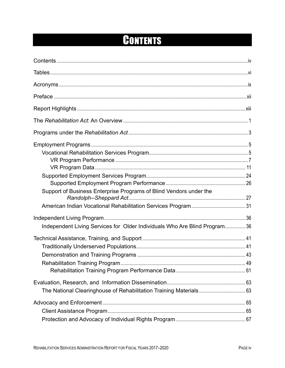## CONTENTS

<span id="page-3-0"></span>

| Support of Business Enterprise Programs of Blind Vendors under the         |  |
|----------------------------------------------------------------------------|--|
|                                                                            |  |
|                                                                            |  |
| Independent Living Services for Older Individuals Who Are Blind Program 36 |  |
|                                                                            |  |
|                                                                            |  |
|                                                                            |  |
|                                                                            |  |
|                                                                            |  |
|                                                                            |  |
|                                                                            |  |
|                                                                            |  |
|                                                                            |  |
|                                                                            |  |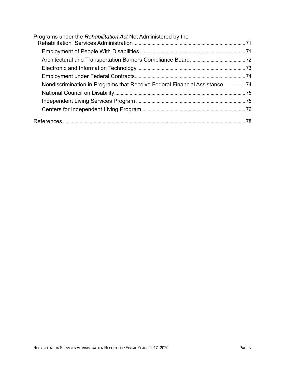| Programs under the Rehabilitation Act Not Administered by the             |  |
|---------------------------------------------------------------------------|--|
|                                                                           |  |
|                                                                           |  |
|                                                                           |  |
|                                                                           |  |
| Nondiscrimination in Programs that Receive Federal Financial Assistance74 |  |
|                                                                           |  |
|                                                                           |  |
|                                                                           |  |
|                                                                           |  |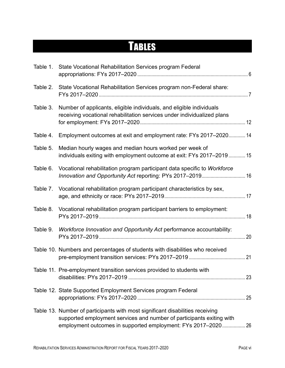## <span id="page-5-0"></span>**TABLES**

| Table 1. | State Vocational Rehabilitation Services program Federal                                                                                                                                                                |  |
|----------|-------------------------------------------------------------------------------------------------------------------------------------------------------------------------------------------------------------------------|--|
| Table 2. | State Vocational Rehabilitation Services program non-Federal share:                                                                                                                                                     |  |
| Table 3. | Number of applicants, eligible individuals, and eligible individuals<br>receiving vocational rehabilitation services under individualized plans                                                                         |  |
| Table 4. | Employment outcomes at exit and employment rate: FYs 2017-2020 14                                                                                                                                                       |  |
| Table 5. | Median hourly wages and median hours worked per week of<br>individuals exiting with employment outcome at exit: FYs 2017-2019  15                                                                                       |  |
| Table 6. | Vocational rehabilitation program participant data specific to Workforce<br>Innovation and Opportunity Act reporting: PYs 2017-2019 16                                                                                  |  |
| Table 7. | Vocational rehabilitation program participant characteristics by sex,                                                                                                                                                   |  |
| Table 8. | Vocational rehabilitation program participant barriers to employment:                                                                                                                                                   |  |
| Table 9. | Workforce Innovation and Opportunity Act performance accountability:                                                                                                                                                    |  |
|          | Table 10. Numbers and percentages of students with disabilities who received                                                                                                                                            |  |
|          | Table 11. Pre-employment transition services provided to students with                                                                                                                                                  |  |
|          | Table 12. State Supported Employment Services program Federal                                                                                                                                                           |  |
|          | Table 13. Number of participants with most significant disabilities receiving<br>supported employment services and number of participants exiting with<br>employment outcomes in supported employment: FYs 2017-2020 26 |  |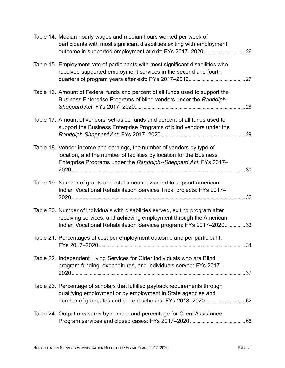| Table 14. Median hourly wages and median hours worked per week of<br>participants with most significant disabilities exiting with employment                                                                                |  |
|-----------------------------------------------------------------------------------------------------------------------------------------------------------------------------------------------------------------------------|--|
| Table 15. Employment rate of participants with most significant disabilities who<br>received supported employment services in the second and fourth                                                                         |  |
| Table 16. Amount of Federal funds and percent of all funds used to support the<br>Business Enterprise Programs of blind vendors under the Randolph-                                                                         |  |
| Table 17. Amount of vendors' set-aside funds and percent of all funds used to<br>support the Business Enterprise Programs of blind vendors under the                                                                        |  |
| Table 18. Vendor income and earnings, the number of vendors by type of<br>location, and the number of facilities by location for the Business<br>Enterprise Programs under the Randolph--Sheppard Act: FYs 2017-            |  |
| Table 19. Number of grants and total amount awarded to support American<br>Indian Vocational Rehabilitation Services Tribal projects: FYs 2017-                                                                             |  |
| Table 20. Number of individuals with disabilities served, exiting program after<br>receiving services, and achieving employment through the American<br>Indian Vocational Rehabilitation Services program: FYs 2017-2020 33 |  |
| Table 21. Percentages of cost per employment outcome and per participant:                                                                                                                                                   |  |
| Table 22. Independent Living Services for Older Individuals who are Blind<br>program funding, expenditures, and individuals served: FYs 2017-                                                                               |  |
| Table 23. Percentage of scholars that fulfilled payback requirements through<br>qualifying employment or by employment in State agencies and                                                                                |  |
| Table 24. Output measures by number and percentage for Client Assistance                                                                                                                                                    |  |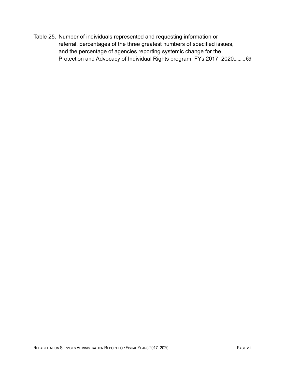Table 25. [Number of individuals represented and requesting information or](#page-82-0)  [referral, percentages of the three greatest numbers of specified issues,](#page-82-0)  [and the percentage of agencies reporting systemic change for the](#page-82-0)  [Protection and Advocacy of Individual Rights program: FYs](#page-82-0) 2017–2020......... 69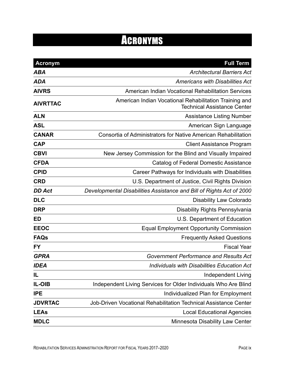## ACRONYMS

<span id="page-8-0"></span>

| <b>Acronym</b>  | <b>Full Term</b>                                                                             |
|-----------------|----------------------------------------------------------------------------------------------|
| <b>ABA</b>      | <b>Architectural Barriers Act</b>                                                            |
| <b>ADA</b>      | <b>Americans with Disabilities Act</b>                                                       |
| <b>AIVRS</b>    | American Indian Vocational Rehabilitation Services                                           |
| <b>AIVRTTAC</b> | American Indian Vocational Rehabilitation Training and<br><b>Technical Assistance Center</b> |
| <b>ALN</b>      | <b>Assistance Listing Number</b>                                                             |
| <b>ASL</b>      | American Sign Language                                                                       |
| <b>CANAR</b>    | Consortia of Administrators for Native American Rehabilitation                               |
| <b>CAP</b>      | <b>Client Assistance Program</b>                                                             |
| <b>CBVI</b>     | New Jersey Commission for the Blind and Visually Impaired                                    |
| <b>CFDA</b>     | <b>Catalog of Federal Domestic Assistance</b>                                                |
| <b>CPID</b>     | Career Pathways for Individuals with Disabilities                                            |
| <b>CRD</b>      | U.S. Department of Justice, Civil Rights Division                                            |
| <b>DD Act</b>   | Developmental Disabilities Assistance and Bill of Rights Act of 2000                         |
| <b>DLC</b>      | <b>Disability Law Colorado</b>                                                               |
| <b>DRP</b>      | <b>Disability Rights Pennsylvania</b>                                                        |
| <b>ED</b>       | U.S. Department of Education                                                                 |
| <b>EEOC</b>     | <b>Equal Employment Opportunity Commission</b>                                               |
| <b>FAQs</b>     | <b>Frequently Asked Questions</b>                                                            |
| <b>FY</b>       | <b>Fiscal Year</b>                                                                           |
| <b>GPRA</b>     | <b>Government Performance and Results Act</b>                                                |
| <b>IDEA</b>     | Individuals with Disabilities Education Act                                                  |
| IL              | <b>Independent Living</b>                                                                    |
| IL-OIB          | Independent Living Services for Older Individuals Who Are Blind                              |
| <b>IPE</b>      | Individualized Plan for Employment                                                           |
| <b>JDVRTAC</b>  | Job-Driven Vocational Rehabilitation Technical Assistance Center                             |
| <b>LEAs</b>     | <b>Local Educational Agencies</b>                                                            |
| <b>MDLC</b>     | Minnesota Disability Law Center                                                              |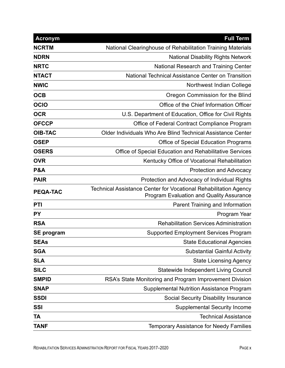| <b>Acronym</b>    | <b>Full Term</b>                                                                                                    |
|-------------------|---------------------------------------------------------------------------------------------------------------------|
| <b>NCRTM</b>      | National Clearinghouse of Rehabilitation Training Materials                                                         |
| <b>NDRN</b>       | <b>National Disability Rights Network</b>                                                                           |
| <b>NRTC</b>       | <b>National Research and Training Center</b>                                                                        |
| <b>NTACT</b>      | <b>National Technical Assistance Center on Transition</b>                                                           |
| <b>NWIC</b>       | Northwest Indian College                                                                                            |
| <b>OCB</b>        | Oregon Commission for the Blind                                                                                     |
| <b>OCIO</b>       | Office of the Chief Information Officer                                                                             |
| <b>OCR</b>        | U.S. Department of Education, Office for Civil Rights                                                               |
| <b>OFCCP</b>      | Office of Federal Contract Compliance Program                                                                       |
| <b>OIB-TAC</b>    | Older Individuals Who Are Blind Technical Assistance Center                                                         |
| <b>OSEP</b>       | <b>Office of Special Education Programs</b>                                                                         |
| <b>OSERS</b>      | Office of Special Education and Rehabilitative Services                                                             |
| <b>OVR</b>        | Kentucky Office of Vocational Rehabilitation                                                                        |
| <b>P&amp;A</b>    | <b>Protection and Advocacy</b>                                                                                      |
| <b>PAIR</b>       | Protection and Advocacy of Individual Rights                                                                        |
| <b>PEQA-TAC</b>   | Technical Assistance Center for Vocational Rehabilitation Agency<br><b>Program Evaluation and Quality Assurance</b> |
| PTI               | Parent Training and Information                                                                                     |
| <b>PY</b>         | Program Year                                                                                                        |
| <b>RSA</b>        | <b>Rehabilitation Services Administration</b>                                                                       |
| <b>SE program</b> | <b>Supported Employment Services Program</b>                                                                        |
| <b>SEAs</b>       | <b>State Educational Agencies</b>                                                                                   |
| <b>SGA</b>        | <b>Substantial Gainful Activity</b>                                                                                 |
| <b>SLA</b>        | <b>State Licensing Agency</b>                                                                                       |
| <b>SILC</b>       | <b>Statewide Independent Living Council</b>                                                                         |
| <b>SMPID</b>      | RSA's State Monitoring and Program Improvement Division                                                             |
| <b>SNAP</b>       | <b>Supplemental Nutrition Assistance Program</b>                                                                    |
| <b>SSDI</b>       | <b>Social Security Disability Insurance</b>                                                                         |
| <b>SSI</b>        | <b>Supplemental Security Income</b>                                                                                 |
| TA                | <b>Technical Assistance</b>                                                                                         |
| <b>TANF</b>       | <b>Temporary Assistance for Needy Families</b>                                                                      |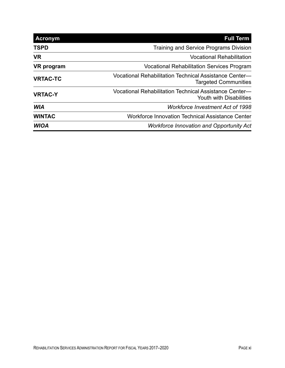| <b>Acronym</b>  | <b>Full Term</b>                                                                         |
|-----------------|------------------------------------------------------------------------------------------|
| <b>TSPD</b>     | <b>Training and Service Programs Division</b>                                            |
| <b>VR</b>       | <b>Vocational Rehabilitation</b>                                                         |
| VR program      | <b>Vocational Rehabilitation Services Program</b>                                        |
| <b>VRTAC-TC</b> | Vocational Rehabilitation Technical Assistance Center-<br><b>Targeted Communities</b>    |
| <b>VRTAC-Y</b>  | Vocational Rehabilitation Technical Assistance Center-<br><b>Youth with Disabilities</b> |
| <b>WIA</b>      | <b>Workforce Investment Act of 1998</b>                                                  |
| <b>WINTAC</b>   | Workforce Innovation Technical Assistance Center                                         |
| <b>WIOA</b>     | <b>Workforce Innovation and Opportunity Act</b>                                          |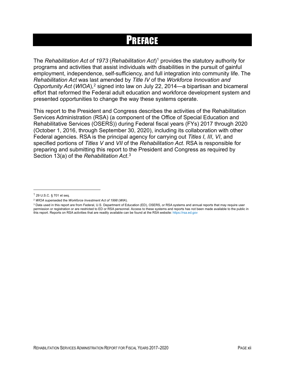### PREFACE

<span id="page-11-0"></span>The *Rehabilitation Act of 1973* (*Rehabilitation Act*)[1](#page-11-1) provides the statutory authority for programs and activities that assist individuals with disabilities in the pursuit of gainful employment, independence, self-sufficiency, and full integration into community life. The *Rehabilitation Act* was last amended by *Title IV* of the *Workforce Innovation and Opportunity Act* (*WIOA*),[2](#page-11-2) signed into law on July 22, 2014—a bipartisan and bicameral effort that reformed the Federal adult education and workforce development system and presented opportunities to change the way these systems operate.

This report to the President and Congress describes the activities of the Rehabilitation Services Administration (RSA) (a component of the Office of Special Education and Rehabilitative Services (OSERS)) during Federal fiscal years (FYs) 2017 through 2020 (October 1, 2016, through September 30, 2020), including its collaboration with other Federal agencies. RSA is the principal agency for carrying out *Titles I*, *III*, *VI*, and specified portions of *Titles V* and *VII* of the *Rehabilitation Act*. RSA is responsible for preparing and submitting this report to the President and Congress as required by Section 13(a) of the *Rehabilitation Act*. [3](#page-11-3)

<span id="page-11-1"></span><sup>1</sup> 29 U.S.C. § 701 et seq.

<span id="page-11-2"></span><sup>2</sup> *WIOA* superseded the *Workforce Investment Act of 1998* (*WIA*).

<span id="page-11-3"></span><sup>&</sup>lt;sup>3</sup> Data used in this report are from Federal, U.S. Department of Education (ED), OSERS, or RSA systems and annual reports that may require user permission or registration or are restricted to ED or RSA personnel. Access to these systems and reports has not been made available to the public in this report. Reports on RSA activities that are readily available can be found at the RSA website: [https://rsa.ed.gov](https://rsa.ed.gov/)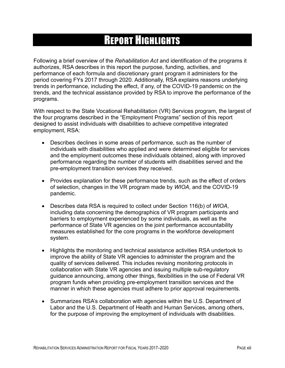## REPORT HIGHLIGHTS

<span id="page-12-0"></span>Following a brief overview of the *Rehabilitation Act* and identification of the programs it authorizes, RSA describes in this report the purpose, funding, activities, and performance of each formula and discretionary grant program it administers for the period covering FYs 2017 through 2020. Additionally, RSA explains reasons underlying trends in performance, including the effect, if any, of the COVID-19 pandemic on the trends, and the technical assistance provided by RSA to improve the performance of the programs.

With respect to the State Vocational Rehabilitation (VR) Services program, the largest of the four programs described in the "Employment Programs" section of this report designed to assist individuals with disabilities to achieve competitive integrated employment, RSA:

- Describes declines in some areas of performance, such as the number of individuals with disabilities who applied and were determined eligible for services and the employment outcomes these individuals obtained, along with improved performance regarding the number of students with disabilities served and the pre-employment transition services they received.
- Provides explanation for these performance trends, such as the effect of orders of selection, changes in the VR program made by *WIOA*, and the COVID-19 pandemic.
- Describes data RSA is required to collect under Section 116(b) of *WIOA*, including data concerning the demographics of VR program participants and barriers to employment experienced by some individuals, as well as the performance of State VR agencies on the joint performance accountability measures established for the core programs in the workforce development system.
- Highlights the monitoring and technical assistance activities RSA undertook to improve the ability of State VR agencies to administer the program and the quality of services delivered. This includes revising monitoring protocols in collaboration with State VR agencies and issuing multiple sub-regulatory guidance announcing, among other things, flexibilities in the use of Federal VR program funds when providing pre-employment transition services and the manner in which these agencies must adhere to prior approval requirements.
- Summarizes RSA's collaboration with agencies within the U.S. Department of Labor and the U.S. Department of Health and Human Services, among others, for the purpose of improving the employment of individuals with disabilities.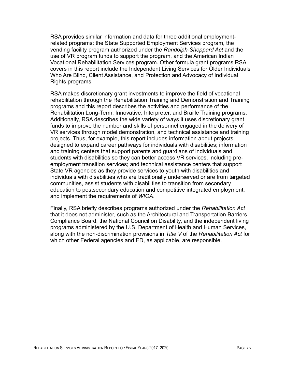RSA provides similar information and data for three additional employmentrelated programs: the State Supported Employment Services program, the vending facility program authorized under the *Randolph-Sheppard Act* and the use of VR program funds to support the program, and the American Indian Vocational Rehabilitation Services program. Other formula grant programs RSA covers in this report include the Independent Living Services for Older Individuals Who Are Blind, Client Assistance, and Protection and Advocacy of Individual Rights programs.

RSA makes discretionary grant investments to improve the field of vocational rehabilitation through the Rehabilitation Training and Demonstration and Training programs and this report describes the activities and performance of the Rehabilitation Long-Term, Innovative, Interpreter, and Braille Training programs. Additionally, RSA describes the wide variety of ways it uses discretionary grant funds to improve the number and skills of personnel engaged in the delivery of VR services through model demonstration, and technical assistance and training projects. Thus, for example, this report includes information about projects designed to expand career pathways for individuals with disabilities; information and training centers that support parents and guardians of individuals and students with disabilities so they can better access VR services, including preemployment transition services; and technical assistance centers that support State VR agencies as they provide services to youth with disabilities and individuals with disabilities who are traditionally underserved or are from targeted communities, assist students with disabilities to transition from secondary education to postsecondary education and competitive integrated employment, and implement the requirements of *WIOA*.

Finally, RSA briefly describes programs authorized under the *Rehabilitation Act* that it does not administer, such as the Architectural and Transportation Barriers Compliance Board, the National Council on Disability, and the independent living programs administered by the U.S. Department of Health and Human Services, along with the non-discrimination provisions in *Title V* of the *Rehabilitation Act* for which other Federal agencies and ED, as applicable, are responsible.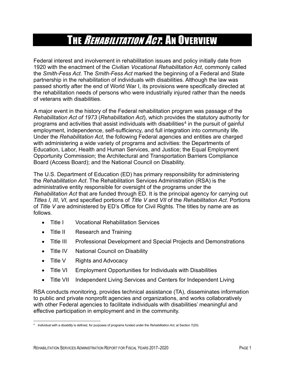### THE *REHABILITATION ACT*: AN OVERVIEW

<span id="page-14-0"></span>Federal interest and involvement in rehabilitation issues and policy initially date from 1920 with the enactment of the *Civilia*n *Vocational Rehabilitation Act*, commonly called the *Smith-Fess Act*. The *Smith-Fess Act* marked the beginning of a Federal and State partnership in the rehabilitation of individuals with disabilities. Although the law was passed shortly after the end of World War I, its provisions were specifically directed at the rehabilitation needs of persons who were industrially injured rather than the needs of veterans with disabilities.

A major event in the history of the Federal rehabilitation program was passage of the *Rehabilitation Act of 1973* (*Rehabilitation Act*), which provides the statutory authority for programs and activities that assist individuals with disabilities<sup>[4](#page-14-1)</sup> in the pursuit of gainful employment, independence, self-sufficiency, and full integration into community life. Under the *Rehabilitation Act*, the following Federal agencies and entities are charged with administering a wide variety of programs and activities: the Departments of Education, Labor, Health and Human Services, and Justice; the Equal Employment Opportunity Commission; the Architectural and Transportation Barriers Compliance Board (Access Board); and the National Council on Disability.

The U.S. Department of Education (ED) has primary responsibility for administering the *Rehabilitation Act*. The Rehabilitation Services Administration (RSA) is the administrative entity responsible for oversight of the programs under the *Rehabilitation Act* that are funded through ED. It is the principal agency for carrying out *Titles I*, *III*, *VI*, and specified portions of *Title V* and *VII* of the *Rehabilitation Act*. Portions of *Title V* are administered by ED's Office for Civil Rights. The titles by name are as follows.

- Title I Vocational Rehabilitation Services
- Title II Research and Training
- Title III Professional Development and Special Projects and Demonstrations
- Title IV National Council on Disability
- Title V Rights and Advocacy
- Title VI Employment Opportunities for Individuals with Disabilities
- Title VII Independent Living Services and Centers for Independent Living

RSA conducts monitoring, provides technical assistance (TA), disseminates information to public and private nonprofit agencies and organizations, and works collaboratively with other Federal agencies to facilitate individuals with disabilities' meaningful and effective participation in employment and in the community.

<span id="page-14-1"></span><sup>4</sup> *Individual with a disability* is defined, for purposes of programs funded under the *Rehabilitation Act*, at Section 7(20).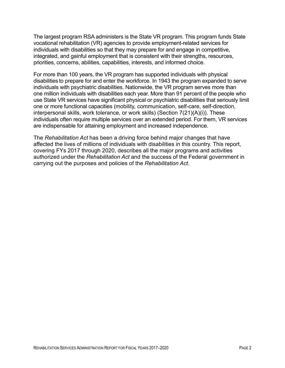The largest program RSA administers is the State VR program. This program funds State vocational rehabilitation (VR) agencies to provide employment-related services for individuals with disabilities so that they may prepare for and engage in competitive, integrated, and gainful employment that is consistent with their strengths, resources, priorities, concerns, abilities, capabilities, interests, and informed choice.

For more than 100 years, the VR program has supported individuals with physical disabilities to prepare for and enter the workforce. In 1943 the program expanded to serve individuals with psychiatric disabilities. Nationwide, the VR program serves more than one million individuals with disabilities each year. More than 91 percent of the people who use State VR services have significant physical or psychiatric disabilities that seriously limit one or more functional capacities (mobility, communication, self-care, self-direction, interpersonal skills, work tolerance, or work skills) (Section 7(21)(A)(i)). These individuals often require multiple services over an extended period. For them, VR services are indispensable for attaining employment and increased independence.

The *Rehabilitation Act* has been a driving force behind major changes that have affected the lives of millions of individuals with disabilities in this country. This report, covering FYs 2017 through 2020, describes all the major programs and activities authorized under the *Rehabilitation Act* and the success of the Federal government in carrying out the purposes and policies of the *Rehabilitation Act*.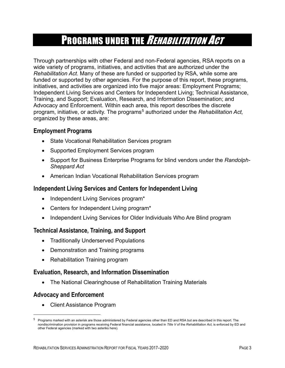### PROGRAMS UNDER THE *REHABILITATION ACT*

<span id="page-16-0"></span>Through partnerships with other Federal and non-Federal agencies, RSA reports on a wide variety of programs, initiatives, and activities that are authorized under the *Rehabilitation Act*. Many of these are funded or supported by RSA, while some are funded or supported by other agencies. For the purpose of this report, these programs, initiatives, and activities are organized into five major areas: Employment Programs; Independent Living Services and Centers for Independent Living; Technical Assistance, Training, and Support; Evaluation, Research, and Information Dissemination; and Advocacy and Enforcement. Within each area, this report describes the discrete program, initiative, or activity. The programs<sup>[5](#page-16-1)</sup> authorized under the *Rehabilitation Act*, organized by these areas, are:

#### **Employment Programs**

- State Vocational Rehabilitation Services program
- Supported Employment Services program
- Support for Business Enterprise Programs for blind vendors under the *Randolph-Sheppard Act*
- American Indian Vocational Rehabilitation Services program

#### **Independent Living Services and Centers for Independent Living**

- Independent Living Services program\*
- Centers for Independent Living program\*
- Independent Living Services for Older Individuals Who Are Blind program

#### **Technical Assistance, Training, and Support**

- Traditionally Underserved Populations
- Demonstration and Training programs
- Rehabilitation Training program

#### **Evaluation, Research, and Information Dissemination**

• The National Clearinghouse of Rehabilitation Training Materials

#### **Advocacy and Enforcement**

• Client Assistance Program

<span id="page-16-1"></span> $5$  Programs marked with an asterisk are those administered by Federal agencies other than ED and RSA but are described in this report. The nondiscrimination provision in programs receiving Federal financial assistance, located in *Title V* of the *Rehabilitation Act,* is enforced by ED and other Federal agencies (marked with two asteriks here).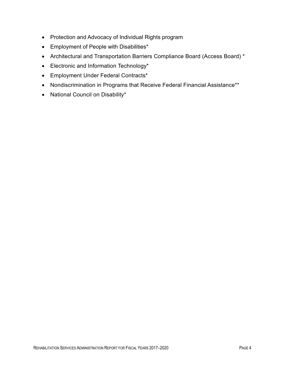- Protection and Advocacy of Individual Rights program
- Employment of People with Disabilities\*
- Architectural and Transportation Barriers Compliance Board (Access Board) \*
- Electronic and Information Technology\*
- Employment Under Federal Contracts\*
- Nondiscrimination in Programs that Receive Federal Financial Assistance\*\*
- National Council on Disability\*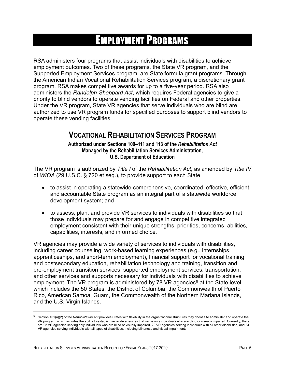### EMPLOYMENT PROGRAMS

<span id="page-18-0"></span>RSA administers four programs that assist individuals with disabilities to achieve employment outcomes. Two of these programs, the State VR program, and the Supported Employment Services program, are State formula grant programs. Through the American Indian Vocational Rehabilitation Services program, a discretionary grant program, RSA makes competitive awards for up to a five-year period. RSA also administers the *Randolph-Sheppard Act*, which requires Federal agencies to give a priority to blind vendors to operate vending facilities on Federal and other properties. Under the VR program, State VR agencies that serve individuals who are blind are authorized to use VR program funds for specified purposes to support blind vendors to operate these vending facilities.

### <span id="page-18-1"></span>**VOCATIONAL REHABILITATION SERVICES PROGRAM**

**Authorized under Sections 100–111 and 113 of the** *Rehabilitation Act* **Managed by the Rehabilitation Services Administration, U.S. Department of Education**

The VR program is authorized by *Title I* of the *Rehabilitation Act*, as amended by *Title IV* of *WIOA* (29 U.S.C. § 720 et seq.), to provide support to each State

- to assist in operating a statewide comprehensive, coordinated, effective, efficient, and accountable State program as an integral part of a statewide workforce development system; and
- to assess, plan, and provide VR services to individuals with disabilities so that those individuals may prepare for and engage in competitive integrated employment consistent with their unique strengths, priorities, concerns, abilities, capabilities, interests, and informed choice.

VR agencies may provide a wide variety of services to individuals with disabilities, including career counseling, work-based learning experiences (e.g., internships, apprenticeships, and short-term employment), financial support for vocational training and postsecondary education, rehabilitation technology and training, transition and pre-employment transition services, supported employment services, transportation, and other services and supports necessary for individuals with disabilities to achieve employment. The VR program is administered by 78 VR agencies<sup>[6](#page-18-2)</sup> at the State level, which includes the 50 States, the District of Columbia, the Commonwealth of Puerto Rico, American Samoa, Guam, the Commonwealth of the Northern Mariana Islands, and the U.S. Virgin Islands.

<span id="page-18-2"></span> $6$  Section 101(a)(2) of the *Rehabilitation Act* provides States with flexibility in the organizational structures they choose to administer and operate the VR program, which includes the ability to establish separate agencies that serve only individuals who are blind or visually impaired. Currently, there are 22 VR agencies serving only individuals who are blind or visually impaired, 22 VR agencies serving individuals with all other disabilities, and 34 VR agencies serving individuals with all types of disabilities, including blindness and visual impairments.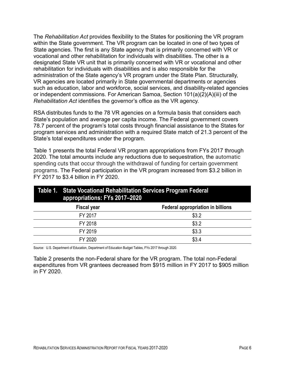The *Rehabilitation Act* provides flexibility to the States for positioning the VR program within the State government. The VR program can be located in one of two types of State agencies. The first is any State agency that is primarily concerned with VR or vocational and other rehabilitation for individuals with disabilities. The other is a designated State VR unit that is primarily concerned with VR or vocational and other rehabilitation for individuals with disabilities and is also responsible for the administration of the State agency's VR program under the State Plan. Structurally, VR agencies are located primarily in State governmental departments or agencies such as education, labor and workforce, social services, and disability-related agencies or independent commissions. For American Samoa, Section 101(a)(2)(A)(iii) of the *Rehabilitation Act* identifies the governor's office as the VR agency.

RSA distributes funds to the 78 VR agencies on a formula basis that considers each State's population and average per capita income. The Federal government covers 78.7 percent of the program's total costs through financial assistance to the States for program services and administration with a required State match of 21.3 percent of the State's total expenditures under the program.

Table 1 presents the total Federal VR program appropriations from FYs 2017 through 2020. The total amounts include any reductions due to sequestration, the automatic spending cuts that occur through the withdrawal of funding for certain government programs. The Federal participation in the VR program increased from \$3.2 billion in FY 2017 to \$3.4 billion in FY 2020.

<span id="page-19-0"></span>

| Table 1. State Vocational Rehabilitation Services Program Federal<br>appropriations: FYs 2017-2020 |                    |                                          |  |
|----------------------------------------------------------------------------------------------------|--------------------|------------------------------------------|--|
|                                                                                                    | <b>Fiscal year</b> | <b>Federal appropriation in billions</b> |  |
|                                                                                                    | FY 2017            | \$3.2                                    |  |
|                                                                                                    | FY 2018            | \$3.2                                    |  |
|                                                                                                    | FY 2019            | \$3.3                                    |  |
|                                                                                                    | FY 2020            | \$3.4                                    |  |

Source: U.S. Department of Education, Department of Education Budget Tables, FYs 2017 through 2020.

Table 2 presents the non-Federal share for the VR program. The total non-Federal expenditures from VR grantees decreased from \$915 million in FY 2017 to \$905 million in FY 2020.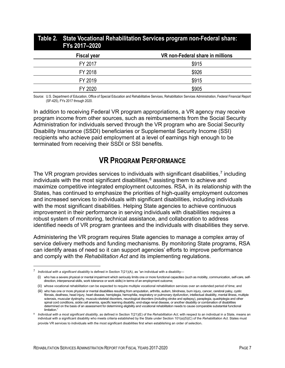<span id="page-20-1"></span>

| Table 2. State Vocational Rehabilitation Services program non-Federal share:<br>FYs 2017-2020 |                    |                                  |  |  |
|-----------------------------------------------------------------------------------------------|--------------------|----------------------------------|--|--|
|                                                                                               | <b>Fiscal year</b> | VR non-Federal share in millions |  |  |
|                                                                                               | FY 2017            | \$915                            |  |  |
|                                                                                               | FY 2018            | \$926                            |  |  |
|                                                                                               | FY 2019            | \$915                            |  |  |
|                                                                                               | FY 2020            | \$905                            |  |  |
|                                                                                               |                    |                                  |  |  |

Source: U.S. Department of Education, Office of Special Education and Rehabilitative Services, Rehabilitation Services Administration, Federal Financial Report (SF-425), FYs 2017 through 2020.

In addition to receiving Federal VR program appropriations, a VR agency may receive program income from other sources, such as reimbursements from the Social Security Administration for individuals served through the VR program who are Social Security Disability Insurance (SSDI) beneficiaries or Supplemental Security Income (SSI) recipients who achieve paid employment at a level of earnings high enough to be terminated from receiving their SSDI or SSI benefits.

### **VR PROGRAM PERFORMANCE**

<span id="page-20-0"></span>The VR program provides services to individuals with significant disabilities,<sup>[7](#page-20-2)</sup> including individuals with the most significant disabilities, $8$  assisting them to achieve and maximize competitive integrated employment outcomes. RSA, in its relationship with the States, has continued to emphasize the priorities of high-quality employment outcomes and increased services to individuals with significant disabilities, including individuals with the most significant disabilities. Helping State agencies to achieve continuous improvement in their performance in serving individuals with disabilities requires a robust system of monitoring, technical assistance, and collaboration to address identified needs of VR program grantees and the individuals with disabilities they serve.

Administering the VR program requires State agencies to manage a complex array of service delivery methods and funding mechanisms. By monitoring State programs, RSA can identify areas of need so it can support agencies' efforts to improve performance and comply with the *Rehabilitation Act* and its implementing regulations.

<span id="page-20-2"></span><sup>7</sup> *Individual with a significant disability* is defined in Section 7(21)(A), as "an individual with a disability—

<sup>(</sup>i) who has a severe physical or mental impairment which seriously limits one or more functional capacities (such as mobility, communication, self-care, selfdirection, interpersonal skills, work tolerance or work skills) in terms of an employment outcome;

<sup>(</sup>ii) whose vocational rehabilitation can be expected to require multiple vocational rehabilitation services over an extended period of time; and

<sup>(</sup>iii) who has one or more physical or mental disabilities resulting from amputation, arthritis, autism, blindness, burn injury, cancer, cerebral palsy, cystic fibrosis, deafness, head injury, heart disease, hemiplegia, hemophilia, respiratory or pulmonary dysfunction, intellectual disability, mental illness, multiple sclerosis, muscular dystrophy, musculo-skeletal disorders, neurological disorders (including stroke and epilepsy), paraplegia, quadriplegia and other spinal cord conditions, sickle cell anemia, specific learning disability, end-stage renal disease, or another disability or combination of disabilities determined on the basis of an assessment for determining eligibility and vocational rehabilitation needs to cause comparable substantial functional **limitation** 

<span id="page-20-3"></span><sup>8</sup> *Individual with a most significant disability,* as defined in Section 7(21)(E) of the *Rehabilitation Act*, with respect to an individual in a State, means an individual with a significant disability who meets criteria established by the State under Section 101(a)(5)(C) of the *Rehabilitation Act*. States must provide VR services to individuals with the most significant disabilities first when establishing an order of selection.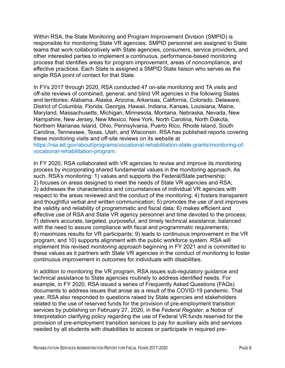Within RSA, the State Monitoring and Program Improvement Division (SMPID) is responsible for monitoring State VR agencies. SMPID personnel are assigned to State teams that work collaboratively with State agencies, consumers, service providers, and other interested parties to implement a continuous, performance-based monitoring process that identifies areas for program improvement, areas of noncompliance, and effective practices. Each State is assigned a SMPID State liaison who serves as the single RSA point of contact for that State.

In FYs 2017 through 2020, RSA conducted 47 on-site monitoring and TA visits and off-site reviews of combined, general, and blind VR agencies in the following States and territories: Alabama, Alaska, Arizona, Arkansas, California, Colorado, Delaware, District of Columbia, Florida, Georgia, Hawaii, Indiana, Kansas, Louisiana, Maine, Maryland, Massachusetts, Michigan, Minnesota, Montana, Nebraska, Nevada, New Hampshire, New Jersey, New Mexico, New York, North Carolina, North Dakota, Northern Marianas Island, Ohio, Pennsylvania, Puerto Rico, Rhode Island, South Carolina, Tennessee, Texas, Utah, and Wisconsin. RSA has published reports covering these monitoring visits and off-site reviews on its website at [https://rsa.ed.gov/about/programs/vocational-rehabilitation-state-grants/monitoring-of](https://rsa.ed.gov/about/programs/vocational-rehabilitation-state-grants/monitoring-of-vocational-rehabilitation-program)[vocational-rehabilitation-program.](https://rsa.ed.gov/about/programs/vocational-rehabilitation-state-grants/monitoring-of-vocational-rehabilitation-program)

In FY 2020, RSA collaborated with VR agencies to revise and improve its monitoring process by incorporating shared fundamental values in the monitoring approach. As such, RSA's monitoring: 1) values and supports the Federal/State partnership; 2) focuses on areas designed to meet the needs of State VR agencies and RSA; 3) addresses the characteristics and circumstances of individual VR agencies with respect to the areas reviewed and the conduct of the monitoring; 4) fosters transparent and thoughtful verbal and written communication; 5) promotes the use of and improves the validity and reliability of programmatic and fiscal data; 6) makes efficient and effective use of RSA and State VR agency personnel and time devoted to the process; 7) delivers accurate, targeted, purposeful, and timely technical assistance, balanced with the need to assure compliance with fiscal and programmatic requirements; 8) maximizes results for VR participants; 9) leads to continuous improvement in the VR program; and 10) supports alignment with the public workforce system. RSA will implement this revised monitoring approach beginning in FY 2021 and is committed to these values as it partners with State VR agencies in the conduct of monitoring to foster continuous improvement in outcomes for individuals with disabilities.

In addition to monitoring the VR program, RSA issues sub-regulatory guidance and technical assistance to State agencies routinely to address identified needs. For example, in FY 2020, RSA issued a series of Frequently Asked Questions (FAQs) documents to address issues that arose as a result of the COVID-19 pandemic. That year, RSA also responded to questions raised by State agencies and stakeholders related to the use of reserved funds for the provision of pre-employment transition services by publishing on February 27, 2020, in the *Federal Register*, a Notice of Interpretation clarifying policy regarding the use of Federal VR funds reserved for the provision of pre-employment transition services to pay for auxiliary aids and services needed by all students with disabilities to access or participate in required pre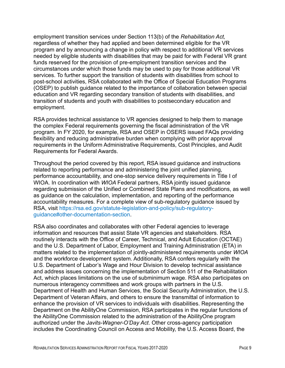employment transition services under Section 113(b) of the *Rehabilitation Act,*  regardless of whether they had applied and been determined eligible for the VR program and by announcing a change in policy with respect to additional VR services needed by eligible students with disabilities that may be paid for with Federal VR grant funds reserved for the provision of pre-employment transition services and the circumstances under which those funds may be used to pay for those additional VR services. To further support the transition of students with disabilities from school to post-school activities, RSA collaborated with the Office of Special Education Programs (OSEP) to publish guidance related to the importance of collaboration between special education and VR regarding secondary transition of students with disabilities, and transition of students and youth with disabilities to postsecondary education and employment.

RSA provides technical assistance to VR agencies designed to help them to manage the complex Federal requirements governing the fiscal administration of the VR program. In FY 2020, for example, RSA and OSEP in OSERS issued FAQs providing flexibility and reducing administrative burden when complying with prior approval requirements in the Uniform Administrative Requirements, Cost Principles, and Audit Requirements for Federal Awards.

Throughout the period covered by this report, RSA issued guidance and instructions related to reporting performance and administering the joint unified planning, performance accountability, and one-stop service delivery requirements in Title I of WIOA. In coordination with *WIOA* Federal partners, RSA jointly issued guidance regarding submission of the Unified or Combined State Plans and modifications, as well as guidance on the calculation, implementation, and reporting of the performance accountability measures. For a complete view of sub-regulatory guidance issued by RSA, visit [https://rsa.ed.gov/statute-legislation-and-policy/sub-regulatory](https://rsa.ed.gov/statute-legislation-and-policy/sub-regulatory-guidance)[guidance#other-documentation-section.](https://rsa.ed.gov/statute-legislation-and-policy/sub-regulatory-guidance)

RSA also coordinates and collaborates with other Federal agencies to leverage information and resources that assist State VR agencies and stakeholders. RSA routinely interacts with the Office of Career, Technical, and Adult Education (OCTAE) and the U.S. Department of Labor, Employment and Training Administration (ETA) in matters related to the implementation of jointly-administered requirements under *WIOA* and the workforce development system. Additionally, RSA confers regularly with the U.S. Department of Labor's Wage and Hour Division to develop technical assistance and address issues concerning the implementation of Section 511 of the Rehabilitation Act, which places limitations on the use of subminimum wage. RSA also participates on numerous interagency committees and work groups with partners in the U.S. Department of Health and Human Services, the Social Security Administration, the U.S. Department of Veteran Affairs, and others to ensure the transmittal of information to enhance the provision of VR services to individuals with disabilities. Representing the Department on the AbilityOne Commission, RSA participates in the regular functions of the AbilityOne Commission related to the administration of the AbilityOne program authorized under the J*avits-Wagner-O'Day Act*. Other cross-agency participation includes the Coordinating Council on Access and Mobility, the U.S. Access Board, the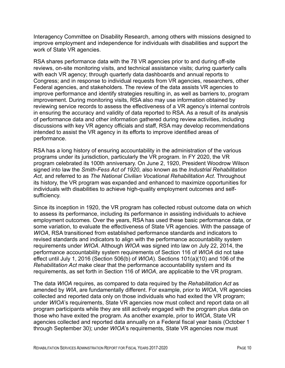Interagency Committee on Disability Research, among others with missions designed to improve employment and independence for individuals with disabilities and support the work of State VR agencies.

RSA shares performance data with the 78 VR agencies prior to and during off-site reviews, on-site monitoring visits, and technical assistance visits; during quarterly calls with each VR agency; through quarterly data dashboards and annual reports to Congress; and in response to individual requests from VR agencies, researchers, other Federal agencies, and stakeholders. The review of the data assists VR agencies to improve performance and identify strategies resulting in, as well as barriers to, program improvement. During monitoring visits, RSA also may use information obtained by reviewing service records to assess the effectiveness of a VR agency's internal controls in ensuring the accuracy and validity of data reported to RSA. As a result of its analysis of performance data and other information gathered during review activities, including discussions with key VR agency officials and staff, RSA may develop recommendations intended to assist the VR agency in its efforts to improve identified areas of performance.

RSA has a long history of ensuring accountability in the administration of the various programs under its jurisdiction, particularly the VR program. In FY 2020, the VR program celebrated its 100th anniversary. On June 2, 1920, President Woodrow Wilson signed into law the *Smith-Fess Act of 1920*, also known as the *Industrial Rehabilitation Act,* and referred to as *The National Civilian Vocational Rehabilitation Act*. Throughout its history, the VR program was expanded and enhanced to maximize opportunities for individuals with disabilities to achieve high-quality employment outcomes and selfsufficiency.

Since its inception in 1920, the VR program has collected robust outcome data on which to assess its performance, including its performance in assisting individuals to achieve employment outcomes. Over the years, RSA has used these basic performance data, or some variation, to evaluate the effectiveness of State VR agencies. With the passage of *WIOA*, RSA transitioned from established performance standards and indicators to revised standards and indicators to align with the performance accountability system requirements under *WIOA*. Although *WIOA* was signed into law on July 22, 2014, the performance accountability system requirements of Section 116 of *WIOA* did not take effect until July 1, 2016 (Section 506(b) of *WIOA*). Sections 101(a)(10) and 106 of the *Rehabilitation Act* make clear that the performance accountability system and its requirements, as set forth in Section 116 of *WIOA*, are applicable to the VR program.

The data *WIOA* requires, as compared to data required by the *Rehabilitation Act* as amended by *WIA*, are fundamentally different. For example, prior to *WIOA*, VR agencies collected and reported data only on those individuals who had exited the VR program; under *WIOA*'s requirements, State VR agencies now must collect and report data on all program participants while they are still actively engaged with the program plus data on those who have exited the program. As another example, prior to *WIOA*, State VR agencies collected and reported data annually on a Federal fiscal year basis (October 1 through September 30); under *WIOA*'s requirements, State VR agencies now must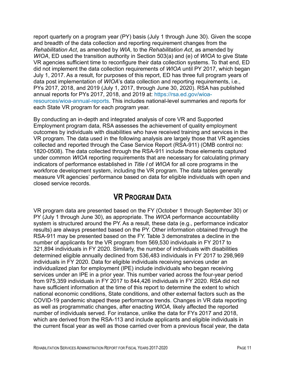report quarterly on a program year (PY) basis (July 1 through June 30). Given the scope and breadth of the data collection and reporting requirement changes from the *Rehabilitation Act*, as amended by *WIA*, to the *Rehabilitation Act*, as amended by *WIOA*, ED used the transition authority in Section 503(a) and (e) of *WIOA* to give State VR agencies sufficient time to reconfigure their data collection systems. To that end, ED did not implement the data collection requirements of *WIOA* until PY 2017, which began July 1, 2017. As a result, for purposes of this report, ED has three full program years of data post implementation of *WIOA*'s data collection and reporting requirements, i.e., PYs 2017, 2018, and 2019 (July 1, 2017, through June 30, 2020). RSA has published annual reports for PYs 2017, 2018, and 2019 at: [https://rsa.ed.gov/wioa](https://rsa.ed.gov/wioa-resources/wioa-annual-reports)[resources/wioa-annual-reports.](https://rsa.ed.gov/wioa-resources/wioa-annual-reports) This includes national-level summaries and reports for each State VR program for each program year.

By conducting an in-depth and integrated analysis of core VR and Supported Employment program data, RSA assesses the achievement of quality employment outcomes by individuals with disabilities who have received training and services in the VR program. The data used in the following analysis are largely those that VR agencies collected and reported through the Case Service Report (RSA-911) (OMB control no: 1820-0508). The data collected through the RSA-911 include those elements captured under common *WIOA* reporting requirements that are necessary for calculating primary indicators of performance established in *Title I* of *WIOA* for all core programs in the workforce development system, including the VR program. The data tables generally measure VR agencies' performance based on data for eligible individuals with open and closed service records.

### **VR PROGRAM DATA**

<span id="page-24-0"></span>VR program data are presented based on the FY (October 1 through September 30) or PY (July 1 through June 30), as appropriate. The *WIOA* performance accountability system is structured around the PY. As a result, these data (e.g., performance indicator results) are always presented based on the PY. Other information obtained through the RSA-911 may be presented based on the FY. Table 3 demonstrates a decline in the number of applicants for the VR program from 569,530 individuals in FY 2017 to 321,894 individuals in FY 2020. Similarly, the number of individuals with disabilities determined eligible annually declined from 536,483 individuals in FY 2017 to 298,969 individuals in FY 2020. Data for eligible individuals receiving services under an individualized plan for employment (IPE) include individuals who began receiving services under an IPE in a prior year. This number varied across the four-year period from 975,359 individuals in FY 2017 to 844,426 individuals in FY 2020. RSA did not have sufficient information at the time of this report to determine the extent to which national economic conditions, State conditions, and other external factors such as the COVID-19 pandemic shaped these performance trends. Changes in VR data reporting as well as programmatic changes, after enacting *WIOA,* likely affected the reported number of individuals served. For instance, unlike the data for FYs 2017 and 2018, which are derived from the RSA-113 and include applicants and eligible individuals in the current fiscal year as well as those carried over from a previous fiscal year, the data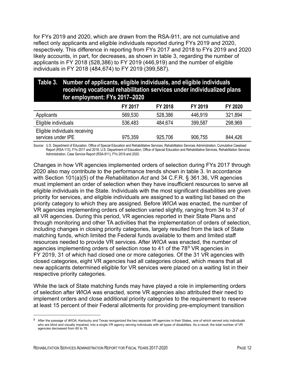for FYs 2019 and 2020, which are drawn from the RSA-911, are not cumulative and reflect only applicants and eligible individuals reported during FYs 2019 and 2020, respectively. This difference in reporting from FYs 2017 and 2018 to FYs 2019 and 2020 likely accounts, in part, for decreases, as shown in table 3, regarding the number of applicants in FY 2018 (528,386) to FY 2019 (446,919) and the number of eligible individuals in FY 2018 (484,674) to FY 2019 (399,587).

<span id="page-25-0"></span>

|                      | Table 3. Number of applicants, eligible individuals, and eligible individuals<br>receiving vocational rehabilitation services under individualized plans<br>for employment: FYs 2017-2020 |         |         |         |         |
|----------------------|-------------------------------------------------------------------------------------------------------------------------------------------------------------------------------------------|---------|---------|---------|---------|
|                      |                                                                                                                                                                                           | FY 2017 | FY 2018 | FY 2019 | FY 2020 |
| Applicants           |                                                                                                                                                                                           | 569,530 | 528,386 | 446,919 | 321,894 |
| Eligible individuals |                                                                                                                                                                                           | 536,483 | 484,674 | 399,587 | 298,969 |
|                      | Eligible individuals receiving                                                                                                                                                            |         |         |         |         |

Source: U.S. Department of Education, Office of Special Education and Rehabilitative Services, Rehabilitation Services Administration, Cumulative Caseload Report (RSA-113), FYs 2017 and 2018; U.S. Department of Education, Office of Special Education and Rehabilitative Services, Rehabilitation Services Administration, Case Service Report (RSA-911), FYs 2019 and 2020.

services under IPE 975,359 925,706 906,755 844,426

Changes in how VR agencies implemented orders of selection during FYs 2017 through 2020 also may contribute to the performance trends shown in table 3. In accordance with Section 101(a)(5) of the *Rehabilitation Act* and 34 C.F.R. § 361.36, VR agencies must implement an order of selection when they have insufficient resources to serve all eligible individuals in the State. Individuals with the most significant disabilities are given priority for services, and eligible individuals are assigned to a waiting list based on the priority category to which they are assigned. Before *WIOA* was enacted, the number of VR agencies implementing orders of selection varied slightly, ranging from 34 to 37 of all VR agencies. During this period, VR agencies reported in their State Plans and through monitoring and other TA activities that the implementation of orders of selection, including changes in closing priority categories, largely resulted from the lack of State matching funds, which limited the Federal funds available to them and limited staff resources needed to provide VR services. After *WIOA* was enacted, the number of agencies implementing orders of selection rose to 41 of the 7[89](#page-25-1) VR agencies in FY 2019, 31 of which had closed one or more categories. Of the 31 VR agencies with closed categories, eight VR agencies had all categories closed, which means that all new applicants determined eligible for VR services were placed on a waiting list in their respective priority categories.

While the lack of State matching funds may have played a role in implementing orders of selection after *WIOA* was enacted, some VR agencies also attributed their need to implement orders and close additional priority categories to the requirement to reserve at least 15 percent of their Federal allotments for providing pre-employment transition

<span id="page-25-1"></span>After the passage of W/OA, Kentucky and Texas reorganized the two separate VR agencies in their States, one of which served only individuals who are blind and visually impaired, into a single VR agency serving individuals with all types of disabilities. As a result, the total number of VR agencies decreased from 80 to 78.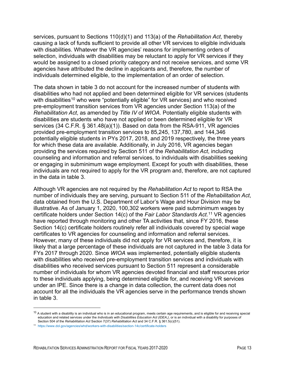services, pursuant to Sections 110(d)(1) and 113(a) of the *Rehabilitation Act*, thereby causing a lack of funds sufficient to provide all other VR services to eligible individuals with disabilities. Whatever the VR agencies' reasons for implementing orders of selection, individuals with disabilities may be reluctant to apply for VR services if they would be assigned to a closed priority category and not receive services, and some VR agencies have attributed the decline in applicants and, therefore, the number of individuals determined eligible, to the implementation of an order of selection.

The data shown in table 3 do not account for the increased number of students with disabilities who had not applied and been determined eligible for VR services (students with disabilities<sup>[10](#page-26-0)</sup> who were "potentially eligible" for VR services) and who received pre-employment transition services from VR agencies under Section 113(a) of the *Rehabilitation Act*, as amended by *Title IV* of *WIOA*. Potentially eligible students with disabilities are students who have not applied or been determined eligible for VR services (34 C.F.R. § 361.48(a)(1)). Based on data from the RSA-911, VR agencies provided pre-employment transition services to 85,245, 137,780, and 144,346 potentially eligible students in PYs 2017, 2018, and 2019 respectively, the three years for which these data are available. Additionally, in July 2016, VR agencies began providing the services required by Section 511 of the *Rehabilitation Act*, including counseling and information and referral services, to individuals with disabilities seeking or engaging in subminimum wage employment. Except for youth with disabilities, these individuals are not required to apply for the VR program and, therefore, are not captured in the data in table 3.

Although VR agencies are not required by the *Rehabilitation Act* to report to RSA the number of individuals they are serving, pursuant to Section 511 of the *Rehabilitation Act*, data obtained from the U.S. Department of Labor's Wage and Hour Division may be illustrative. As of January 1, 2020, 100,302 workers were paid subminimum wages by certificate holders under Section 14(c) of the *Fair Labor Standards Act*. [11](#page-26-1) VR agencies have reported through monitoring and other TA activities that, since FY 2016, these Section 14(c) certificate holders routinely refer all individuals covered by special wage certificates to VR agencies for counseling and information and referral services. However, many of these individuals did not apply for VR services and, therefore, it is likely that a large percentage of these individuals are not captured in the table 3 data for FYs 2017 through 2020. Since *WIOA* was implemented, potentially eligible students with disabilities who received pre-employment transition services and individuals with disabilities who received services pursuant to Section 511 represent a considerable number of individuals for whom VR agencies devoted financial and staff resources prior to these individuals applying, being determined eligible for, and receiving VR services under an IPE. Since there is a change in data collection, the current data does not account for all the individuals the VR agencies serve in the performance trends shown in table 3.

<span id="page-26-0"></span> $^{10}$  A student with a disability is an individual who is in an educational program, meets certain age requirements, and is eligible for and receiving special education and related services under the *Individuals with Disabilities Education Act (IDEA*,*)*, or is an individual with a disability for purposes of Section 504 of the *Rehabilitation Act* Section 7(37) *Rehabilitation Act* and 34 C.F.R. § 361.5(c)(51).

<span id="page-26-1"></span><sup>11</sup> <https://www.dol.gov/agencies/whd/workers-with-disabilities/section-14c/certificate-holders>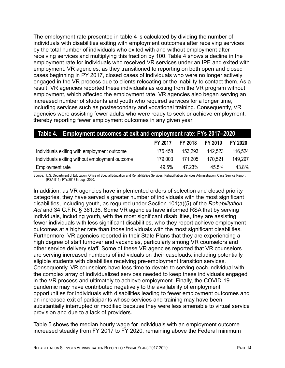The employment rate presented in table 4 is calculated by dividing the number of individuals with disabilities exiting with employment outcomes after receiving services by the total number of individuals who exited with and without employment after receiving services and multiplying this fraction by 100. Table 4 shows a decline in the employment rate for individuals who received VR services under an IPE and exited with employment. VR agencies, as they transitioned to reporting on both open and closed cases beginning in PY 2017, closed cases of individuals who were no longer actively engaged in the VR process due to clients relocating or the inability to contact them. As a result, VR agencies reported these individuals as exiting from the VR program without employment, which affected the employment rate. VR agencies also began serving an increased number of students and youth who required services for a longer time, including services such as postsecondary and vocational training. Consequently, VR agencies were assisting fewer adults who were ready to seek or achieve employment, thereby reporting fewer employment outcomes in any given year.

<span id="page-27-0"></span>

|                                                | Table 4. Employment outcomes at exit and employment rate: FYs 2017–2020 |                |         |         |  |
|------------------------------------------------|-------------------------------------------------------------------------|----------------|---------|---------|--|
|                                                | FY 2017                                                                 | <b>FY 2018</b> | FY 2019 | FY 2020 |  |
| Individuals exiting with employment outcome    | 175,458                                                                 | 153.293        | 142.523 | 116,524 |  |
| Individuals exiting without employment outcome | 179.003                                                                 | 171.205        | 170.521 | 149,297 |  |
| Employment rate                                | 49.5%                                                                   | 47.23%         | 45.5%   | 43.8%   |  |

Source:U.S. Department of Education, Office of Special Education and Rehabilitative Services, Rehabilitation Services Administration, Case Service Report (RSA-911), FYs 2017 through 2020.

In addition, as VR agencies have implemented orders of selection and closed priority categories, they have served a greater number of individuals with the most significant disabilities, including youth, as required under Section 101(a)(5) of the *Rehabilitation Act* and 34 C.F.R. § 361.36. Some VR agencies have informed RSA that by serving individuals, including youth, with the most significant disabilities, they are assisting fewer individuals with less significant disabilities, who they report achieve employment outcomes at a higher rate than those individuals with the most significant disabilities. Furthermore, VR agencies reported in their State Plans that they are experiencing a high degree of staff turnover and vacancies, particularly among VR counselors and other service delivery staff. Some of these VR agencies reported that VR counselors are serving increased numbers of individuals on their caseloads, including potentially eligible students with disabilities receiving pre-employment transition services. Consequently, VR counselors have less time to devote to serving each individual with the complex array of individualized services needed to keep these individuals engaged in the VR process and ultimately to achieve employment. Finally, the COVID-19 pandemic may have contributed negatively to the availability of employment opportunities for individuals with disabilities leading to fewer employment outcomes and an increased exit of participants whose services and training may have been substantially interrupted or modified because they were less amenable to virtual service provision and due to a lack of providers.

Table 5 shows the median hourly wage for individuals with an employment outcome increased steadily from FY 2017 to FY 2020, remaining above the Federal minimum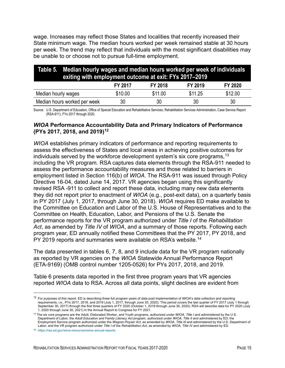wage. Increases may reflect those States and localities that recently increased their State minimum wage. The median hours worked per week remained stable at 30 hours per week. The trend may reflect that individuals with the most significant disabilities may be unable to or choose not to pursue full-time employment.

<span id="page-28-0"></span>

| Table 5. Median hourly wages and median hours worked per week of individuals<br>exiting with employment outcome at exit: FYs 2017-2019 |         |                |         |         |  |
|----------------------------------------------------------------------------------------------------------------------------------------|---------|----------------|---------|---------|--|
|                                                                                                                                        | FY 2017 | <b>FY 2018</b> | FY 2019 | FY 2020 |  |
| Median hourly wages                                                                                                                    | \$10.00 | \$11.00        | \$11.25 | \$12.00 |  |
| Median hours worked per week                                                                                                           | 30      | 30             | 30      | 30      |  |

Source: U.S. Department of Education, Office of Special Education and Rehabilitative Services, Rehabilitation Services Administration, Case Service Report (RSA-911), FYs 2017 through 2020.

#### *WIOA* **Performance Accountability Data and Primary Indicators of Performance (PYs 2017, 2018, and 2019)[12](#page-28-1)**

*WIOA* establishes primary indicators of performance and reporting requirements to assess the effectiveness of States and local areas in achieving positive outcomes for individuals served by the workforce development system's six core programs, $^{\rm 13}$  $^{\rm 13}$  $^{\rm 13}$ including the VR program. RSA captures data elements through the RSA-911 needed to assess the performance accountability measures and those related to barriers in employment listed in Section 116(b) of *WIOA*. The RSA-911 was issued through Policy Directive 16-04, dated June 14, 2017. VR agencies began using this significantly revised RSA -911 to collect and report these data, including many new data elements they did not report prior to enactment of *WIOA* (e.g., post-exit data), on a quarterly basis in PY 2017 (July 1, 2017, through June 30, 2018). *WIOA* requires ED make available to the Committee on Education and Labor of the U.S. House of Representatives and to the Committee on Health, Education, Labor, and Pensions of the U.S. Senate the performance reports for the VR program authorized under *Title I* of the *Rehabilitation Act*, as amended by *Title IV* of *WIOA*, and a summary of those reports. Following each program year, ED annually notified these Committees that the PY 2017, PY 2018, and PY 2019 reports and summaries were available on RSA's website.<sup>14</sup>

The data presented in tables 6, 7, 8, and 9 include data for the VR program nationally as reported by VR agencies on the *WIOA* Statewide Annual Performance Report (ETA-9169) (OMB control number 1205-0526) for PYs 2017, 2018, and 2019.

Table 6 presents data reported in the first three program years that VR agencies reported *WIOA* data to RSA. Across all data points, slight declines are evident from

<span id="page-28-1"></span><sup>12</sup> For purposes of this report, ED is describing three full program years of data post implementation of *WIOA*'s data collection and reporting requirements, i.e., PYs 2017, 2018, and 2019 (July 1, 2017, through June 30, 2020). This period covers the last quarter of FY 2017 (July 1 through September 30, 2017) through the first three quarters of FY 2020 (October 1, 2019 through June 30, 2020). RSA will describe data for PY 2020 (July 1, 2020 through June 30, 2021) in the Annual Report to Congress for FY 2021.

<span id="page-28-2"></span><sup>13</sup> The six core programs are the Adult, Dislocated Worker, and Youth programs, authorized under *WIOA, Title I* and administered by the U.S. Department of Labor; the *Adult Education and Family Literacy Act* program, authorized under *WIOA, Title II* and administered by ED; the Employment Service program authorized under the *Wagner-Peyser Act*, as amended by *WIOA, Title III* and administered by the U.S. Department of Labor; and the VR program authorized under *Title I* of the *Rehabilitation Act*, as amended by *WIOA, Title IV* and administered by ED.

<span id="page-28-3"></span><sup>14</sup> <https://rsa.ed.gov/wioa-resources/wioa-annual-reports>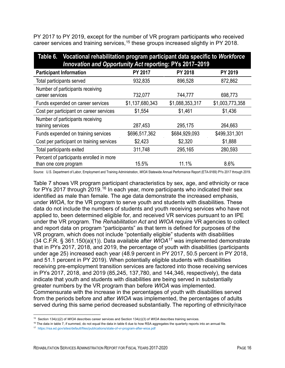PY 2017 to PY 2019, except for the number of VR program participants who received career services and training services,<sup>[15](#page-29-1)</sup> these groups increased slightly in PY 2018.

<span id="page-29-0"></span>

| Table 6. Vocational rehabilitation program participant data specific to Workforce<br><b>Innovation and Opportunity Act reporting: PYs 2017-2019</b> |                 |                 |                 |  |
|-----------------------------------------------------------------------------------------------------------------------------------------------------|-----------------|-----------------|-----------------|--|
| <b>Participant Information</b>                                                                                                                      | <b>PY 2017</b>  | <b>PY 2018</b>  | PY 2019         |  |
| Total participants served                                                                                                                           | 932,835         | 896,528         | 872,862         |  |
| Number of participants receiving<br>career services                                                                                                 | 732,077         | 744,777         | 698,773         |  |
| Funds expended on career services                                                                                                                   | \$1,137,680,343 | \$1,088,353,317 | \$1,003,773,358 |  |
| Cost per participant on career services                                                                                                             | \$1,554         | \$1,461         | \$1,436         |  |
| Number of participants receiving<br>training services                                                                                               | 287,453         | 295,175         | 264,663         |  |
| Funds expended on training services                                                                                                                 | \$696,517,362   | \$684,929,093   | \$499,331,301   |  |
| Cost per participant on training services                                                                                                           | \$2,423         | \$2,320         | \$1,888         |  |
| Total participants exited                                                                                                                           | 311,748         | 295,165         | 280,593         |  |
| Percent of participants enrolled in more<br>than one core program                                                                                   | 15.5%           | 11.1%           | 8.6%            |  |

Source: U.S. Department of Labor, Employment and Training Administration, *WIOA* Statewide Annual Performance Report (ETA-9169) PYs 2017 through 2019.

Table 7 shows VR program participant characteristics by sex, age, and ethnicity or race for PYs 2017 through 2019.<sup>[16](#page-29-2)</sup> In each year, more participants who indicated their sex identified as male than female. The age data demonstrate the increased emphasis, under *WIOA*, for the VR program to serve youth and students with disabilities. These data do not include the numbers of students and youth receiving services who have not applied to, been determined eligible for, and received VR services pursuant to an IPE under the VR program. The *Rehabilitation Act* and *WIOA* require VR agencies to collect and report data on program "participants" as that term is defined for purposes of the VR program, which does not include "potentially eligible" students with disabilities (34 C.F.R. § 361.150(a)(1)). Data available after *WIOA*[17](#page-29-3) was implemented demonstrate that in PYs 2017, 2018, and 2019, the percentage of youth with disabilities (participants under age 25) increased each year (48.9 percent in PY 2017, 50.5 percent in PY 2018, and 51.1 percent in PY 2019). When potentially eligible students with disabilities receiving pre-employment transition services are factored into those receiving services in PYs 2017, 2018, and 2019 (85,245, 137,780, and 144,346, respectively), the data indicate that youth and students with disabilities are being served in substantially greater numbers by the VR program than before *WIOA* was implemented. Commensurate with the increase in the percentages of youth with disabilities served from the periods before and after *WIOA* was implemented, the percentages of adults served during this same period decreased substantially. The reporting of ethnicity/race

<span id="page-29-1"></span><sup>15</sup> Section 134(c)(2) of *WIOA* describes career services and Section 134(c)(3) of *WIOA* describes training services.

<span id="page-29-2"></span><sup>&</sup>lt;sup>16</sup> The data in table 7, if summed, do not equal the data in table 6 due to how RSA aggregates the quarterly reports into an annual file.

<span id="page-29-3"></span><sup>17</sup> <https://rsa.ed.gov/sites/default/files/publications/state-of-vr-program-after-wioa.pdf>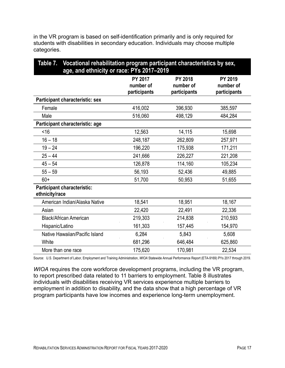| in the VR program is based on self-identification primarily and is only required for |
|--------------------------------------------------------------------------------------|
| students with disabilities in secondary education. Individuals may choose multiple   |
| categories.                                                                          |

<span id="page-30-0"></span>

| Table 7. Vocational rehabilitation program participant characteristics by sex,<br>age, and ethnicity or race: PYs 2017-2019 |                                             |                                      |                                      |  |
|-----------------------------------------------------------------------------------------------------------------------------|---------------------------------------------|--------------------------------------|--------------------------------------|--|
|                                                                                                                             | <b>PY 2017</b><br>number of<br>participants | PY 2018<br>number of<br>participants | PY 2019<br>number of<br>participants |  |
| Participant characteristic: sex                                                                                             |                                             |                                      |                                      |  |
| Female                                                                                                                      | 416,002                                     | 396,930                              | 385,597                              |  |
| Male                                                                                                                        | 516,060                                     | 498,129                              | 484,284                              |  |
| Participant characteristic: age                                                                                             |                                             |                                      |                                      |  |
| <16                                                                                                                         | 12,563                                      | 14,115                               | 15,698                               |  |
| $16 - 18$                                                                                                                   | 248,187                                     | 262,809                              | 257,971                              |  |
| $19 - 24$                                                                                                                   | 196,220                                     | 175,938                              | 171,211                              |  |
| $25 - 44$                                                                                                                   | 241,666                                     | 226,227                              | 221,208                              |  |
| $45 - 54$                                                                                                                   | 126,878                                     | 114,160                              | 105,234                              |  |
| $55 - 59$                                                                                                                   | 56,193                                      | 52,436                               | 49,885                               |  |
| $60+$                                                                                                                       | 51,700                                      | 50,953                               | 51,655                               |  |
| <b>Participant characteristic:</b><br>ethnicity/race                                                                        |                                             |                                      |                                      |  |
| American Indian/Alaska Native                                                                                               | 18,541                                      | 18,951                               | 18,167                               |  |
| Asian                                                                                                                       | 22,420                                      | 22,491                               | 22,336                               |  |
| <b>Black/African American</b>                                                                                               | 219,303                                     | 214,838                              | 210,593                              |  |
| Hispanic/Latino                                                                                                             | 161,303                                     | 157,445                              | 154,970                              |  |
| Native Hawaiian/Pacific Island                                                                                              | 6,284                                       | 5,843                                | 5,608                                |  |
| White                                                                                                                       | 681,296                                     | 646,484                              | 625,860                              |  |
| More than one race                                                                                                          | 175,620                                     | 170,981                              | 22,534                               |  |

Source: U.S. Department of Labor, Employment and Training Administration, *WIOA* Statewide Annual Performance Report (ETA-9169) PYs 2017 through 2019.

*WIOA* requires the core workforce development programs, including the VR program, to report prescribed data related to 11 barriers to employment. Table 8 illustrates individuals with disabilities receiving VR services experience multiple barriers to employment in addition to disability, and the data show that a high percentage of VR program participants have low incomes and experience long-term unemployment.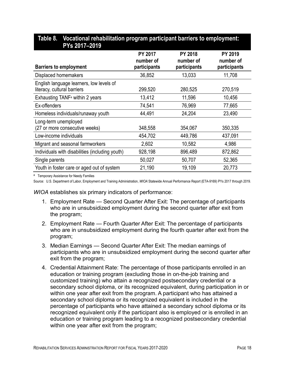| PISZUII–ZUIY                                                            |                                             |                                             |                                      |
|-------------------------------------------------------------------------|---------------------------------------------|---------------------------------------------|--------------------------------------|
| <b>Barriers to employment</b>                                           | <b>PY 2017</b><br>number of<br>participants | <b>PY 2018</b><br>number of<br>participants | PY 2019<br>number of<br>participants |
| Displaced homemakers                                                    | 36,852                                      | 13,033                                      | 11,708                               |
| English language learners, low levels of<br>literacy, cultural barriers | 299,520                                     | 280,525                                     | 270,519                              |
| Exhausting TANF <sup>a</sup> within 2 years                             | 13,412                                      | 11,596                                      | 10,456                               |
| Ex-offenders                                                            | 74,541                                      | 76,969                                      | 77,665                               |
| Homeless individuals/runaway youth                                      | 44,491                                      | 24,204                                      | 23,490                               |
| Long-term unemployed<br>(27 or more consecutive weeks)                  | 348,558                                     | 354,067                                     | 350,335                              |
| Low-income individuals                                                  | 454,702                                     | 449,786                                     | 437,091                              |
| Migrant and seasonal farmworkers                                        | 2,602                                       | 10,582                                      | 4,986                                |
| Individuals with disabilities (including youth)                         | 928,198                                     | 896,489                                     | 872,862                              |
| Single parents                                                          | 50,027                                      | 50,707                                      | 52,365                               |
| Youth in foster care or aged out of system                              | 21,190                                      | 19,109                                      | 20,773                               |

#### <span id="page-31-0"></span>**Table 8. Vocational rehabilitation program participant barriers to employment: PYs 2017–2019**

a Temporary Assistance for Needy Families

Source: U.S. Department of Labor, Employment and Training Administration, *WIOA* Statewide Annual Performance Report (ETA-9169) PYs 2017 through 2019.

*WIOA* establishes six primary indicators of performance:

- 1. Employment Rate Second Quarter After Exit: The percentage of participants who are in unsubsidized employment during the second quarter after exit from the program;
- 2. Employment Rate Fourth Quarter After Exit: The percentage of participants who are in unsubsidized employment during the fourth quarter after exit from the program;
- 3. Median Earnings Second Quarter After Exit: The median earnings of participants who are in unsubsidized employment during the second quarter after exit from the program;
- 4. Credential Attainment Rate: The percentage of those participants enrolled in an education or training program (excluding those in on-the-job training and customized training) who attain a recognized postsecondary credential or a secondary school diploma, or its recognized equivalent, during participation in or within one year after exit from the program. A participant who has attained a secondary school diploma or its recognized equivalent is included in the percentage of participants who have attained a secondary school diploma or its recognized equivalent only if the participant also is employed or is enrolled in an education or training program leading to a recognized postsecondary credential within one year after exit from the program;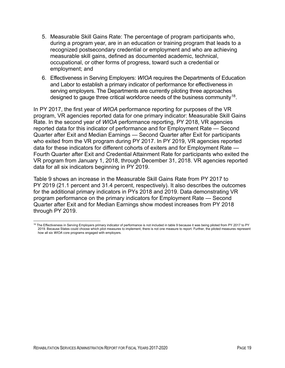- 5. Measurable Skill Gains Rate: The percentage of program participants who, during a program year, are in an education or training program that leads to a recognized postsecondary credential or employment and who are achieving measurable skill gains, defined as documented academic, technical, occupational, or other forms of progress, toward such a credential or employment; and
- 6. Effectiveness in Serving Employers: *WIOA* requires the Departments of Education and Labor to establish a primary indicator of performance for effectiveness in serving employers. The Departments are currently piloting three approaches designed to gauge three critical workforce needs of the business community<sup>[18](#page-32-0)</sup>.

In PY 2017, the first year of *WIOA* performance reporting for purposes of the VR program, VR agencies reported data for one primary indicator: Measurable Skill Gains Rate. In the second year of *WIOA* performance reporting, PY 2018, VR agencies reported data for this indicator of performance and for Employment Rate — Second Quarter after Exit and Median Earnings — Second Quarter after Exit for participants who exited from the VR program during PY 2017. In PY 2019, VR agencies reported data for these indicators for different cohorts of exiters and for Employment Rate — Fourth Quarter after Exit and Credential Attainment Rate for participants who exited the VR program from January 1, 2018, through December 31, 2018. VR agencies reported data for all six indicators beginning in PY 2019.

Table 9 shows an increase in the Measurable Skill Gains Rate from PY 2017 to PY 2019 (21.1 percent and 31.4 percent, respectively). It also describes the outcomes for the additional primary indicators in PYs 2018 and 2019. Data demonstrating VR program performance on the primary indicators for Employment Rate — Second Quarter after Exit and for Median Earnings show modest increases from PY 2018 through PY 2019.

<span id="page-32-0"></span><sup>&</sup>lt;sup>18</sup> The Effectiveness in Serving Employers primary indicator of performance is not included in table 9 because it was being piloted from PY 2017 to PY 2019. Because States could choose which pilot measures to implement, there is not one measure to report. Further, the piloted measures represent how all six *WIOA* core programs engaged with employers.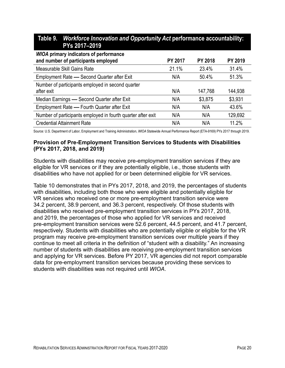<span id="page-33-0"></span>

| Table 9. Workforce Innovation and Opportunity Act performance accountability:<br>PYs 2017-2019 |                |                |                |
|------------------------------------------------------------------------------------------------|----------------|----------------|----------------|
| <b>WIOA primary indicators of performance</b><br>and number of participants employed           | <b>PY 2017</b> | <b>PY 2018</b> | <b>PY 2019</b> |
| Measurable Skill Gains Rate                                                                    | 21.1%          | 23.4%          | 31.4%          |
| Employment Rate - Second Quarter after Exit                                                    | N/A            | 50.4%          | 51.3%          |
| Number of participants employed in second quarter<br>after exit                                | N/A            | 147,768        | 144,938        |
| Median Earnings - Second Quarter after Exit                                                    | N/A            | \$3,875        | \$3,931        |
| Employment Rate - Fourth Quarter after Exit                                                    | N/A            | N/A            | 43.6%          |
| Number of participants employed in fourth quarter after exit                                   | N/A            | N/A            | 129,692        |
| <b>Credential Attainment Rate</b>                                                              | N/A            | N/A            | 11.2%          |

Source: U.S. Department of Labor, Employment and Training Administration, *WIOA* Statewide Annual Performance Report (ETA-9169) PYs 2017 through 2019.

#### **Provision of Pre-Employment Transition Services to Students with Disabilities (PYs 2017, 2018, and 2019)**

Students with disabilities may receive pre-employment transition services if they are eligible for VR services or if they are potentially eligible, i.e., those students with disabilities who have not applied for or been determined eligible for VR services.

Table 10 demonstrates that in PYs 2017, 2018, and 2019, the percentages of students with disabilities, including both those who were eligible and potentially eligible for VR services who received one or more pre-employment transition service were 34.2 percent, 38.9 percent, and 36.3 percent, respectively. Of those students with disabilities who received pre-employment transition services in PYs 2017, 2018, and 2019, the percentages of those who applied for VR services and received pre-employment transition services were 52.6 percent, 44.5 percent, and 41.7 percent, respectively. Students with disabilities who are potentially eligible or eligible for the VR program may receive pre-employment transition services over multiple years if they continue to meet all criteria in the definition of "student with a disability." An increasing number of students with disabilities are receiving pre-employment transition services and applying for VR services. Before PY 2017, VR agencies did not report comparable data for pre-employment transition services because providing these services to students with disabilities was not required until *WIOA*.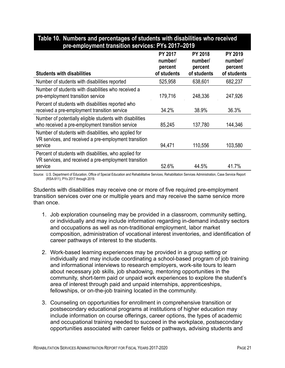| <b>Students with disabilities</b>                                                                                          | <b>PY 2017</b><br>number/<br>percent<br>of students | <b>PY 2018</b><br>number/<br>percent<br>of students | <b>PY 2019</b><br>number/<br>percent<br>of students |
|----------------------------------------------------------------------------------------------------------------------------|-----------------------------------------------------|-----------------------------------------------------|-----------------------------------------------------|
| Number of students with disabilities reported                                                                              | 525,958                                             | 638,601                                             | 682,237                                             |
| Number of students with disabilities who received a<br>pre-employment transition service                                   | 179,716                                             | 248,336                                             | 247,926                                             |
| Percent of students with disabilities reported who<br>received a pre-employment transition service                         | 34.2%                                               | 38.9%                                               | 36.3%                                               |
| Number of potentially eligible students with disabilities<br>who received a pre-employment transition service              | 85,245                                              | 137,780                                             | 144,346                                             |
| Number of students with disabilities, who applied for<br>VR services, and received a pre-employment transition<br>service  | 94,471                                              | 110,556                                             | 103,580                                             |
| Percent of students with disabilities, who applied for<br>VR services, and received a pre-employment transition<br>service | 52.6%                                               | 44.5%                                               | 41.7%                                               |

#### <span id="page-34-0"></span>**Table 10. Numbers and percentages of students with disabilities who received pre-employment transition services: PYs 2017–2019**

Source: U.S. Department of Education, Office of Special Education and Rehabilitative Services, Rehabilitation Services Administration, Case Service Report (RSA-911), PYs 2017 through 2019.

Students with disabilities may receive one or more of five required pre-employment transition services over one or multiple years and may receive the same service more than once.

- 1. Job exploration counseling may be provided in a classroom, community setting, or individually and may include information regarding in-demand industry sectors and occupations as well as non-traditional employment, labor market composition, administration of vocational interest inventories, and identification of career pathways of interest to the students.
- 2. Work-based learning experiences may be provided in a group setting or individually and may include coordinating a school-based program of job training and informational interviews to research employers, work-site tours to learn about necessary job skills, job shadowing, mentoring opportunities in the community, short-term paid or unpaid work experiences to explore the student's area of interest through paid and unpaid internships, apprenticeships, fellowships, or on-the-job training located in the community.
- 3. Counseling on opportunities for enrollment in comprehensive transition or postsecondary educational programs at institutions of higher education may include information on course offerings, career options, the types of academic and occupational training needed to succeed in the workplace, postsecondary opportunities associated with career fields or pathways, advising students and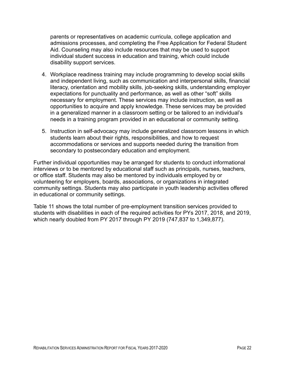parents or representatives on academic curricula, college application and admissions processes, and completing the Free Application for Federal Student Aid. Counseling may also include resources that may be used to support individual student success in education and training, which could include disability support services.

- 4. Workplace readiness training may include programming to develop social skills and independent living, such as communication and interpersonal skills, financial literacy, orientation and mobility skills, job-seeking skills, understanding employer expectations for punctuality and performance, as well as other "soft" skills necessary for employment. These services may include instruction, as well as opportunities to acquire and apply knowledge. These services may be provided in a generalized manner in a classroom setting or be tailored to an individual's needs in a training program provided in an educational or community setting.
- 5. Instruction in self-advocacy may include generalized classroom lessons in which students learn about their rights, responsibilities, and how to request accommodations or services and supports needed during the transition from secondary to postsecondary education and employment.

Further individual opportunities may be arranged for students to conduct informational interviews or to be mentored by educational staff such as principals, nurses, teachers, or office staff. Students may also be mentored by individuals employed by or volunteering for employers, boards, associations, or organizations in integrated community settings. Students may also participate in youth leadership activities offered in educational or community settings.

Table 11 shows the total number of pre-employment transition services provided to students with disabilities in each of the required activities for PYs 2017, 2018, and 2019, which nearly doubled from PY 2017 through PY 2019 (747,837 to 1,349,877).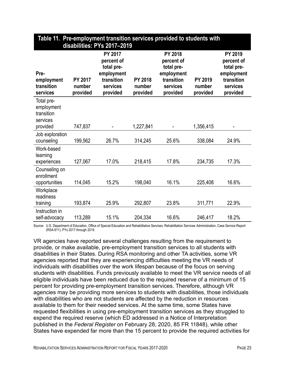|                                                                | <u>. ріс Ліш</u><br>disabilities: PYs 2017-2019 |                                                                                         |                                      |                                                                                         |                               |                                                                                         |  |  |
|----------------------------------------------------------------|-------------------------------------------------|-----------------------------------------------------------------------------------------|--------------------------------------|-----------------------------------------------------------------------------------------|-------------------------------|-----------------------------------------------------------------------------------------|--|--|
| Pre-<br>employment<br>transition<br>services                   | <b>PY 2017</b><br>number<br>provided            | PY 2017<br>percent of<br>total pre-<br>employment<br>transition<br>services<br>provided | <b>PY 2018</b><br>number<br>provided | PY 2018<br>percent of<br>total pre-<br>employment<br>transition<br>services<br>provided | PY 2019<br>number<br>provided | PY 2019<br>percent of<br>total pre-<br>employment<br>transition<br>services<br>provided |  |  |
| Total pre-<br>employment<br>transition<br>services<br>provided | 747,837                                         |                                                                                         | 1,227,841                            |                                                                                         | 1,356,415                     |                                                                                         |  |  |
| Job exploration<br>counseling                                  | 199,562                                         | 26.7%                                                                                   | 314,245                              | 25.6%                                                                                   | 338,084                       | 24.9%                                                                                   |  |  |
| Work-based<br>learning<br>experiences                          | 127,067                                         | 17.0%                                                                                   | 218,415                              | 17.8%                                                                                   | 234,735                       | 17.3%                                                                                   |  |  |
| Counseling on<br>enrollment<br>opportunities                   | 114,045                                         | 15.2%                                                                                   | 198,040                              | 16.1%                                                                                   | 225,408                       | 16.6%                                                                                   |  |  |
| Workplace<br>readiness<br>training                             | 193,874                                         | 25.9%                                                                                   | 292,807                              | 23.8%                                                                                   | 311,771                       | 22.9%                                                                                   |  |  |
| Instruction in<br>self-advocacy                                | 113,289                                         | 15.1%                                                                                   | 204,334                              | 16.6%                                                                                   | 246,417                       | 18.2%                                                                                   |  |  |

# **Table 11. Pre-employment transition services provided to students with**

Source: U.S. Department of Education, Office of Special Education and Rehabilitative Services, Rehabilitation Services Administration, Case Service Report (RSA-911), PYs 2017 through 2019.

VR agencies have reported several challenges resulting from the requirement to provide, or make available, pre-employment transition services to all students with disabilities in their States. During RSA monitoring and other TA activities, some VR agencies reported that they are experiencing difficulties meeting the VR needs of individuals with disabilities over the work lifespan because of the focus on serving students with disabilities. Funds previously available to meet the VR service needs of all eligible individuals have been reduced due to the required reserve of a minimum of 15 percent for providing pre-employment transition services. Therefore, although VR agencies may be providing more services to students with disabilities, those individuals with disabilities who are not students are affected by the reduction in resources available to them for their needed services. At the same time, some States have requested flexibilities in using pre-employment transition services as they struggled to expend the required reserve (which ED addressed in a Notice of Interpretation published in the *Federal Register* on February 28, 2020, 85 FR 11848), while other States have expended far more than the 15 percent to provide the required activities for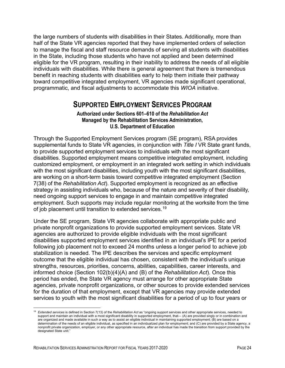the large numbers of students with disabilities in their States. Additionally, more than half of the State VR agencies reported that they have implemented orders of selection to manage the fiscal and staff resource demands of serving all students with disabilities in the State, including those students who have not applied and been determined eligible for the VR program, resulting in their inability to address the needs of all eligible individuals with disabilities. While there is general agreement that there is tremendous benefit in reaching students with disabilities early to help them initiate their pathway toward competitive integrated employment, VR agencies made significant operational, programmatic, and fiscal adjustments to accommodate this *WIOA* initiative.

## **SUPPORTED EMPLOYMENT SERVICES PROGRAM**

#### **Authorized under Sections 601–610 of the** *Rehabilitation Act* **Managed by the Rehabilitation Services Administration, U.S. Department of Education**

Through the Supported Employment Services program (SE program), RSA provides supplemental funds to State VR agencies, in conjunction with *Title I* VR State grant funds, to provide supported employment services to individuals with the most significant disabilities. Supported employment means competitive integrated employment, including customized employment, or employment in an integrated work setting in which individuals with the most significant disabilities, including youth with the most significant disabilities, are working on a short-term basis toward competitive integrated employment (Section 7(38) of the *Rehabilitation Act*). Supported employment is recognized as an effective strategy in assisting individuals who, because of the nature and severity of their disability, need ongoing support services to engage in and maintain competitive integrated employment. Such supports may include regular monitoring at the worksite from the time of job placement until transition to extended services.<sup>[19](#page-37-0)</sup>

Under the SE program, State VR agencies collaborate with appropriate public and private nonprofit organizations to provide supported employment services. State VR agencies are authorized to provide eligible individuals with the most significant disabilities supported employment services identified in an individual's IPE for a period following job placement not to exceed 24 months unless a longer period to achieve job stabilization is needed. The IPE describes the services and specific employment outcome that the eligible individual has chosen, consistent with the individual's unique strengths, resources, priorities, concerns, abilities, capabilities, career interests, and informed choice (Section 102(b)(4)(A) and (B) of the *Rehabilitation Act*). Once this period has ended, the State VR agency must arrange for other appropriate State agencies, private nonprofit organizations, or other sources to provide extended services for the duration of that employment, except that VR agencies may provide extended services to youth with the most significant disabilities for a period of up to four years or

<span id="page-37-0"></span><sup>19</sup> *Extended services* is defined in Section 7(13) of the *Rehabilitation Act* as "ongoing support services and other appropriate services, needed to support and maintain an individual with a most significant disability in supported employment, that— (A) are provided singly or in combination and are organized and made available in such a way as to assist an eligible individual in maintaining supported employment; (B) are based on a determination of the needs of an eligible individual, as specified in an individualized plan for employment; and (C) are provided by a State agency, a nonprofit private organization, employer, or any other appropriate resource, after an individual has made the transition from support provided by the designated State unit."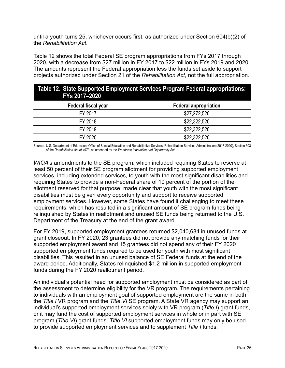until a youth turns 25, whichever occurs first, as authorized under Section 604(b)(2) of the *Rehabilitation Act*.

Table 12 shows the total Federal SE program appropriations from FYs 2017 through 2020, with a decrease from \$27 million in FY 2017 to \$22 million in FYs 2019 and 2020. The amounts represent the Federal appropriation less the funds set aside to support projects authorized under Section 21 of the *Rehabilitation Act*, not the full appropriation.

| Table 12. State Supported Employment Services Program Federal appropriations:<br>FYs 2017-2020 |                              |  |  |  |
|------------------------------------------------------------------------------------------------|------------------------------|--|--|--|
| Federal fiscal year                                                                            | <b>Federal appropriation</b> |  |  |  |
| FY 2017                                                                                        | \$27,272,520                 |  |  |  |
| FY 2018                                                                                        | \$22,322,520                 |  |  |  |
| FY 2019                                                                                        | \$22,322,520                 |  |  |  |
| FY 2020                                                                                        | \$22,322,520                 |  |  |  |

Source: U.S. Department of Education, Office of Special Education and Rehabilitative Services, Rehabilitation Services Administration (2017-2020), Section 603 of the *Rehabilitation Act of 1973*, as amended by the *Workforce Innovation and Opportunity Act*.

*WIOA*'s amendments to the SE program, which included requiring States to reserve at least 50 percent of their SE program allotment for providing supported employment services, including extended services, to youth with the most significant disabilities and requiring States to provide a non-Federal share of 10 percent of the portion of the allotment reserved for that purpose, made clear that youth with the most significant disabilities must be given every opportunity and support to receive supported employment services. However, some States have found it challenging to meet these requirements, which has resulted in a significant amount of SE program funds being relinquished by States in reallotment and unused SE funds being returned to the U.S. Department of the Treasury at the end of the grant award.

For FY 2019, supported employment grantees returned \$2,040,684 in unused funds at grant closeout. In FY 2020, 23 grantees did not provide any matching funds for their supported employment award and 15 grantees did not spend any of their FY 2020 supported employment funds required to be used for youth with most significant disabilities. This resulted in an unused balance of SE Federal funds at the end of the award period. Additionally, States relinquished \$1.2 million in supported employment funds during the FY 2020 reallotment period.

An individual's potential need for supported employment must be considered as part of the assessment to determine eligibility for the VR program. The requirements pertaining to individuals with an employment goal of supported employment are the same in both the *Title I* VR program and the *Title VI* SE program. A State VR agency may support an individual's supported employment services solely with VR program (*Title I*) grant funds, or it may fund the cost of supported employment services in whole or in part with SE program (*Title VI*) grant funds. *Title VI* supported employment funds may only be used to provide supported employment services and to supplement *Title I* funds.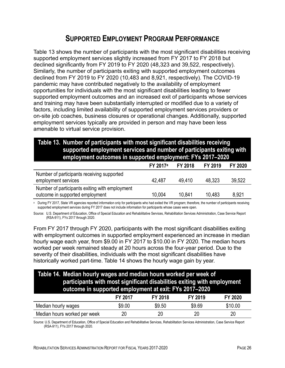## **SUPPORTED EMPLOYMENT PROGRAM PERFORMANCE**

Table 13 shows the number of participants with the most significant disabilities receiving supported employment services slightly increased from FY 2017 to FY 2018 but declined significantly from FY 2019 to FY 2020 (48,323 and 39,522, respectively). Similarly, the number of participants exiting with supported employment outcomes declined from FY 2019 to FY 2020 (10,483 and 8,921, respectively). The COVID-19 pandemic may have contributed negatively to the availability of employment opportunities for individuals with the most significant disabilities leading to fewer supported employment outcomes and an increased exit of participants whose services and training may have been substantially interrupted or modified due to a variety of factors, including limited availability of supported employment services providers or on-site job coaches, business closures or operational changes. Additionally, supported employment services typically are provided in person and may have been less amenable to virtual service provision.

### **Table 13. Number of participants with most significant disabilities receiving supported employment services and number of participants exiting with employment outcomes in supported employment: FYs 2017–2020**

|                                                | <b>FY 2017</b> <sup>a</sup> | FY 2018 | FY 2019 | FY 2020 |
|------------------------------------------------|-----------------------------|---------|---------|---------|
| Number of participants receiving supported     |                             |         |         |         |
| employment services                            | 42.487                      | 49.410  | 48.323  | 39,522  |
| Number of participants exiting with employment |                             |         |         |         |
| outcome in supported employment                | 10.004                      | 10.841  | 10,483  | 8,921   |

<sup>a</sup> During FY 2017, State VR agencies reported information only for participants who had exited the VR program; therefore, the number of participants receiving supported employment services during FY 2017 does not include information for participants whose cases were open.

Source: U.S. Department of Education, Office of Special Education and Rehabilitative Services, Rehabilitation Services Administration, Case Service Report (RSA-911), FYs 2017 through 2020.

From FY 2017 through FY 2020, participants with the most significant disabilities exiting with employment outcomes in supported employment experienced an increase in median hourly wage each year, from \$9.00 in FY 2017 to \$10.00 in FY 2020. The median hours worked per week remained steady at 20 hours across the four-year period. Due to the severity of their disabilities, individuals with the most significant disabilities have historically worked part-time. Table 14 shows the hourly wage gain by year.

### **Table 14. Median hourly wages and median hours worked per week of participants with most significant disabilities exiting with employment outcome in supported employment at exit: FYs 2017–2020**

| .                            |         |         |         |         |
|------------------------------|---------|---------|---------|---------|
|                              | FY 2017 | FY 2018 | FY 2019 | FY 2020 |
| Median hourly wages          | \$9.00  | \$9.50  | \$9.69  | \$10.00 |
| Median hours worked per week | 20      | 20      | 20      | 20      |

Source: U.S. Department of Education, Office of Special Education and Rehabilitative Services, Rehabilitation Services Administration, Case Service Report (RSA-911), FYs 2017 through 2020.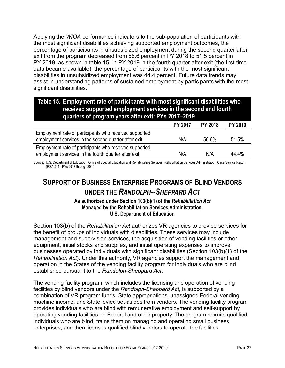Applying the *WIOA* performance indicators to the sub-population of participants with the most significant disabilities achieving supported employment outcomes, the percentage of participants in unsubsidized employment during the second quarter after exit from the program decreased from 56.6 percent in PY 2018 to 51.5 percent in PY 2019, as shown in table 15. In PY 2019 in the fourth quarter after exit (the first time data became available), the percentage of participants with the most significant disabilities in unsubsidized employment was 44.4 percent. Future data trends may assist in understanding patterns of sustained employment by participants with the most significant disabilities.

#### **Table 15. Employment rate of participants with most significant disabilities who received supported employment services in the second and fourth quarters of program years after exit: PYs 2017–2019 PY 2017 PY 2018 PY 2019** Employment rate of participants who received supported

| Employment rate of participants who received supported |     |       |       |
|--------------------------------------------------------|-----|-------|-------|
| employment services in the second quarter after exit   | N/A | 56.6% | 51.5% |
| Employment rate of participants who received supported |     |       |       |
| employment services in the fourth quarter after exit   | N/A | N/A   | 44.4% |

Source: U.S. Department of Education, Office of Special Education and Rehabilitative Services, Rehabilitation Services Administration, Case Service Report (RSA-911), PYs 2017 through 2019.

# **SUPPORT OF BUSINESS ENTERPRISE PROGRAMS OF BLIND VENDORS UNDER THE** *RANDOLPH--SHEPPARD ACT*

**As authorized under Section 103(b)(1) of the** *Rehabilitation Act* **Managed by the Rehabilitation Services Administration, U.S. Department of Education**

Section 103(b) of the *Rehabilitation Act* authorizes VR agencies to provide services for the benefit of groups of individuals with disabilities. These services may include management and supervision services, the acquisition of vending facilities or other equipment, initial stocks and supplies, and initial operating expenses to improve businesses operated by individuals with significant disabilities (Section 103(b)(1) of the *Rehabilitation Act*). Under this authority, VR agencies support the management and operation in the States of the vending facility program for individuals who are blind established pursuant to the *Randolph-Sheppard Act*.

The vending facility program, which includes the licensing and operation of vending facilities by blind vendors under the *Randolph-Sheppard Act,* is supported by a combination of VR program funds, State appropriations, unassigned Federal vending machine income, and State levied set-asides from vendors. The vending facility program provides individuals who are blind with remunerative employment and self-support by operating vending facilities on Federal and other property. The program recruits qualified individuals who are blind, trains them on managing and operating small business enterprises, and then licenses qualified blind vendors to operate the facilities.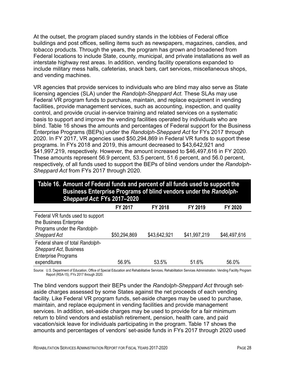At the outset, the program placed sundry stands in the lobbies of Federal office buildings and post offices, selling items such as newspapers, magazines, candies, and tobacco products. Through the years, the program has grown and broadened from Federal locations to include State, county, municipal, and private installations as well as interstate highway rest areas. In addition, vending facility operations expanded to include military mess halls, cafeterias, snack bars, cart services, miscellaneous shops, and vending machines.

VR agencies that provide services to individuals who are blind may also serve as State licensing agencies (SLA) under the *Randolph-Sheppard Act.* These SLAs may use Federal VR program funds to purchase, maintain, and replace equipment in vending facilities, provide management services, such as accounting, inspection, and quality control, and provide crucial in-service training and related services on a systematic basis to support and improve the vending facilities operated by individuals who are blind. Table 16 shows the amounts and percentages of Federal support for the Business Enterprise Programs (BEPs) under the *Randolph-Sheppard Act* for FYs 2017 through 2020. In FY 2017, VR agencies used \$50,294,869 in Federal VR funds to support these programs. In FYs 2018 and 2019, this amount decreased to \$43,642,921 and \$41,997,219, respectively. However, the amount increased to \$46,497,616 in FY 2020. These amounts represent 56.9 percent, 53.5 percent, 51.6 percent, and 56.0 percent, respectively, of all funds used to support the BEPs of blind vendors under the *Randolph-Sheppard Act* from FYs 2017 through 2020.

### **Table 16. Amount of Federal funds and percent of all funds used to support the Business Enterprise Programs of blind vendors under the** *Randolph-Sheppard Act***: FYs 2017–2020**

|                                                                                                             | <b>FY 2017</b> | FY 2018      | FY 2019      | FY 2020      |
|-------------------------------------------------------------------------------------------------------------|----------------|--------------|--------------|--------------|
| Federal VR funds used to support<br>the Business Enterprise<br>Programs under the Randolph-<br>Sheppard Act | \$50,294,869   | \$43,642,921 | \$41,997,219 | \$46,497,616 |
| Federal share of total Randolph-<br>Sheppard Act, Business<br><b>Enterprise Programs</b><br>expenditures    | 56.9%          | 53.5%        | 51.6%        | 56.0%        |

Source: U.S. Department of Education, Office of Special Education and Rehabilitative Services, Rehabilitation Services Administration. Vending Facility Program Report (RSA-15), FYs 2017 through 2020.

The blind vendors support their BEPs under the *Randolph-Sheppard Act* through setaside charges assessed by some States against the net proceeds of each vending facility. Like Federal VR program funds, set-aside charges may be used to purchase, maintain, and replace equipment in vending facilities and provide management services. In addition, set-aside charges may be used to provide for a fair minimum return to blind vendors and establish retirement, pension, health care, and paid vacation/sick leave for individuals participating in the program. Table 17 shows the amounts and percentages of vendors' set-aside funds in FYs 2017 through 2020 used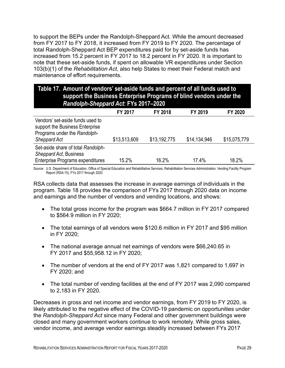to support the BEPs under the Randolph-Sheppard Act. While the amount decreased from FY 2017 to FY 2018, it increased from FY 2019 to FY 2020. The percentage of total Randolph-Sheppard Act BEP expenditures paid for by set-aside funds has increased from 15.2 percent in FY 2017 to 18.2 percent in FY 2020. It is important to note that these set-aside funds, if spent on allowable VR expenditures under Section 103(b)(1) of the *Rehabilitation Act*, also help States to meet their Federal match and maintenance of effort requirements.

### **Table 17. Amount of vendors' set-aside funds and percent of all funds used to support the Business Enterprise Programs of blind vendors under the**  *Randolph-Sheppard Act***: FYs 2017–2020**

|                                                                                                                     | FY 2017      | <b>FY 2018</b> | FY 2019      | FY 2020      |
|---------------------------------------------------------------------------------------------------------------------|--------------|----------------|--------------|--------------|
| Vendors' set-aside funds used to<br>support the Business Enterprise<br>Programs under the Randolph-<br>Sheppard Act | \$13,513,609 | \$13,192,775   | \$14,134,946 | \$15,075,779 |
| Set-aside share of total Randolph-<br>Sheppard Act, Business<br><b>Enterprise Programs expenditures</b>             | 15.2%        | 16.2%          | 17.4%        | 18.2%        |

Source: U.S. Department of Education, Office of Special Education and Rehabilitative Services, Rehabilitation Services Administration. Vending Facility Program Report (RSA-15), FYs 2017 through 2020.

RSA collects data that assesses the increase in average earnings of individuals in the program. Table 18 provides the comparison of FYs 2017 through 2020 data on income and earnings and the number of vendors and vending locations, and shows:

- The total gross income for the program was \$664.7 million in FY 2017 compared to \$564.9 million in FY 2020;
- The total earnings of all vendors were \$120.6 million in FY 2017 and \$95 million in FY 2020;
- The national average annual net earnings of vendors were \$66,240.65 in FY 2017 and \$55,958.12 in FY 2020;
- The number of vendors at the end of FY 2017 was 1,821 compared to 1,697 in FY 2020; and
- The total number of vending facilities at the end of FY 2017 was 2,090 compared to 2,183 in FY 2020.

Decreases in gross and net income and vendor earnings, from FY 2019 to FY 2020, is likely attributed to the negative effect of the COVID-19 pandemic on opportunities under the *Randolph-Sheppard Act* since many Federal and other government buildings were closed and many government workers continue to work remotely. While gross sales, vendor income, and average vendor earnings steadily increased between FYs 2017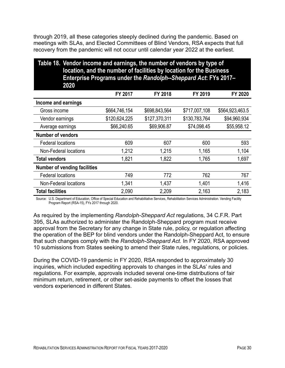through 2019, all these categories steeply declined during the pandemic. Based on meetings with SLAs, and Elected Committees of Blind Vendors, RSA expects that full recovery from the pandemic will not occur until calendar year 2022 at the earliest.

| Table 18. Vendor income and earnings, the number of vendors by type of<br>location, and the number of facilities by location for the Business<br>Enterprise Programs under the Randolph--Sheppard Act: FYs 2017-<br>2020 |               |               |               |                 |  |  |  |
|--------------------------------------------------------------------------------------------------------------------------------------------------------------------------------------------------------------------------|---------------|---------------|---------------|-----------------|--|--|--|
|                                                                                                                                                                                                                          | FY 2017       | FY 2018       | FY 2019       | FY 2020         |  |  |  |
| Income and earnings                                                                                                                                                                                                      |               |               |               |                 |  |  |  |
| Gross income                                                                                                                                                                                                             | \$664,746,154 | \$698,843,564 | \$717,007,108 | \$564,923,463.5 |  |  |  |
| Vendor earnings                                                                                                                                                                                                          | \$120,624,225 | \$127,370,311 | \$130,783,764 | \$94,960,934    |  |  |  |
| Average earnings                                                                                                                                                                                                         | \$66,240.65   | \$69,906.87   | \$74,098.45   | \$55,958.12     |  |  |  |
| <b>Number of vendors</b>                                                                                                                                                                                                 |               |               |               |                 |  |  |  |
| <b>Federal locations</b>                                                                                                                                                                                                 | 609           | 607           | 600           | 593             |  |  |  |
| <b>Non-Federal locations</b>                                                                                                                                                                                             | 1,212         | 1,215         | 1,165         | 1,104           |  |  |  |
| <b>Total vendors</b>                                                                                                                                                                                                     | 1,821         | 1,822         | 1,765         | 1,697           |  |  |  |
| <b>Number of vending facilities</b>                                                                                                                                                                                      |               |               |               |                 |  |  |  |
| <b>Federal locations</b>                                                                                                                                                                                                 | 749           | 772           | 762           | 767             |  |  |  |
| Non-Federal locations                                                                                                                                                                                                    | 1,341         | 1,437         | 1,401         | 1,416           |  |  |  |
| <b>Total facilities</b>                                                                                                                                                                                                  | 2,090         | 2,209         | 2,163         | 2,183           |  |  |  |

Source: U.S. Department of Education, Office of Special Education and Rehabilitative Services, Rehabilitation Services Administration. Vending Facility Program Report (RSA-15), FYs 2017 through 2020.

As required by the implementing *Randolph-Sheppard Act* regulations, 34 C.F.R. Part 395, SLAs authorized to administer the Randolph-Sheppard program must receive approval from the Secretary for any change in State rule, policy, or regulation affecting the operation of the BEP for blind vendors under the Randolph-Sheppard Act, to ensure that such changes comply with the *Randolph-Sheppard Act.* In FY 2020, RSA approved 10 submissions from States seeking to amend their State rules, regulations, or policies.

During the COVID-19 pandemic in FY 2020, RSA responded to approximately 30 inquiries, which included expediting approvals to changes in the SLAs' rules and regulations. For example, approvals included several one-time distributions of fair minimum return, retirement, or other set-aside payments to offset the losses that vendors experienced in different States.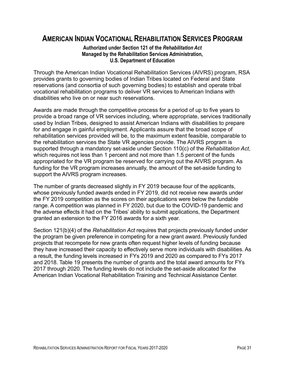## **AMERICAN INDIAN VOCATIONAL REHABILITATION SERVICES PROGRAM**

#### **Authorized under Section 121 of the** *Rehabilitation Act* **Managed by the Rehabilitation Services Administration, U.S. Department of Education**

Through the American Indian Vocational Rehabilitation Services (AIVRS) program, RSA provides grants to governing bodies of Indian Tribes located on Federal and State reservations (and consortia of such governing bodies) to establish and operate tribal vocational rehabilitation programs to deliver VR services to American Indians with disabilities who live on or near such reservations.

Awards are made through the competitive process for a period of up to five years to provide a broad range of VR services including, where appropriate, services traditionally used by Indian Tribes, designed to assist American Indians with disabilities to prepare for and engage in gainful employment. Applicants assure that the broad scope of rehabilitation services provided will be, to the maximum extent feasible, comparable to the rehabilitation services the State VR agencies provide. The AIVRS program is supported through a mandatory set-aside under Section 110(c) of the *Rehabilitation Act*, which requires not less than 1 percent and not more than 1.5 percent of the funds appropriated for the VR program be reserved for carrying out the AIVRS program. As funding for the VR program increases annually, the amount of the set-aside funding to support the AIVRS program increases.

The number of grants decreased slightly in FY 2019 because four of the applicants, whose previously funded awards ended in FY 2019, did not receive new awards under the FY 2019 competition as the scores on their applications were below the fundable range. A competition was planned in FY 2020, but due to the COVID-19 pandemic and the adverse effects it had on the Tribes' ability to submit applications, the Department granted an extension to the FY 2016 awards for a sixth year.

Section 121(b)(4) of the *Rehabilitation Act* requires that projects previously funded under the program be given preference in competing for a new grant award. Previously funded projects that recompete for new grants often request higher levels of funding because they have increased their capacity to effectively serve more individuals with disabilities. As a result, the funding levels increased in FYs 2019 and 2020 as compared to FYs 2017 and 2018. Table 19 presents the number of grants and the total award amounts for FYs 2017 through 2020. The funding levels do not include the set-aside allocated for the American Indian Vocational Rehabilitation Training and Technical Assistance Center.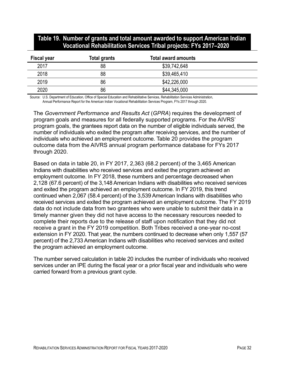#### **Table 19. Number of grants and total amount awarded to support American Indian Vocational Rehabilitation Services Tribal projects: FYs 2017–2020**

| <b>Fiscal year</b> | <b>Total grants</b> | <b>Total award amounts</b> |  |
|--------------------|---------------------|----------------------------|--|
| 2017               | 88                  | \$39,742,648               |  |
| 2018               | 88                  | \$39,465,410               |  |
| 2019               | 86                  | \$42,226,000               |  |
| 2020               | 86                  | \$44,345,000               |  |

Source: U.S. Department of Education, Office of Special Education and Rehabilitative Services, Rehabilitation Services Administration, Annual Performance Report for the American Indian Vocational Rehabilitation Services Program, FYs 2017 through 2020.

The *Government Performance and Results Act* (*GPRA*) requires the development of program goals and measures for all federally supported programs. For the AIVRS' program goals, the grantees report data on the number of eligible individuals served, the number of individuals who exited the program after receiving services, and the number of individuals who achieved an employment outcome. Table 20 provides the program outcome data from the AIVRS annual program performance database for FYs 2017 through 2020.

Based on data in table 20, in FY 2017, 2,363 (68.2 percent) of the 3,465 American Indians with disabilities who received services and exited the program achieved an employment outcome. In FY 2018, these numbers and percentage decreased when 2,128 (67.6 percent) of the 3,148 American Indians with disabilities who received services and exited the program achieved an employment outcome. In FY 2019, this trend continued when 2,067 (58.4 percent) of the 3,539 American Indians with disabilities who received services and exited the program achieved an employment outcome. The FY 2019 data do not include data from two grantees who were unable to submit their data in a timely manner given they did not have access to the necessary resources needed to complete their reports due to the release of staff upon notification that they did not receive a grant in the FY 2019 competition. Both Tribes received a one-year no-cost extension in FY 2020. That year, the numbers continued to decrease when only 1,557 (57 percent) of the 2,733 American Indians with disabilities who received services and exited the program achieved an employment outcome.

The number served calculation in table 20 includes the number of individuals who received services under an IPE during the fiscal year or a prior fiscal year and individuals who were carried forward from a previous grant cycle.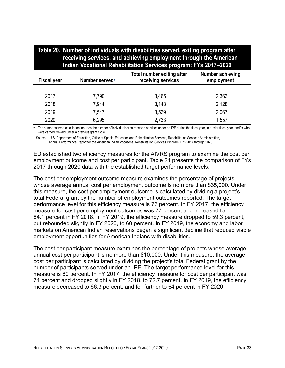| Table 20. Number of individuals with disabilities served, exiting program after |
|---------------------------------------------------------------------------------|
| receiving services, and achieving employment through the American               |
| Indian Vocational Rehabilitation Services program: FYs 2017–2020                |

| <b>Fiscal year</b> | Number served <sup>a</sup> | <b>Total number exiting after</b><br>receiving services | Number achieving<br>employment |
|--------------------|----------------------------|---------------------------------------------------------|--------------------------------|
|                    |                            |                                                         |                                |
| 2017               | 7,790                      | 3,465                                                   | 2,363                          |
| 2018               | 7,944                      | 3,148                                                   | 2,128                          |
| 2019               | 7,547                      | 3,539                                                   | 2,067                          |
| 2020               | 6,295                      | 2,733                                                   | 1,557                          |

<span id="page-46-0"></span>The number served calculation includes the number of individuals who received services under an IPE during the fiscal year, in a prior fiscal year, and/or who were carried forward under a previous grant cycle.

Source: U.S. Department of Education, Office of Special Education and Rehabilitative Services, Rehabilitation Services Administration, Annual Performance Report for the American Indian Vocational Rehabilitation Services Program, FYs 2017 through 2020.

ED established two efficiency measures for the AIVRS program to examine the cost per employment outcome and cost per participant. Table 21 presents the comparison of FYs 2017 through 2020 data with the established target performance levels.

The cost per employment outcome measure examines the percentage of projects whose average annual cost per employment outcome is no more than \$35,000. Under this measure, the cost per employment outcome is calculated by dividing a project's total Federal grant by the number of employment outcomes reported. The target performance level for this efficiency measure is 76 percent. In FY 2017, the efficiency measure for cost per employment outcomes was 77 percent and increased to 84.1 percent in FY 2018. In FY 2019, the efficiency measure dropped to 59.3 percent, but rebounded slightly in FY 2020, to 60 percent. In FY 2019, the economy and labor markets on American Indian reservations began a significant decline that reduced viable employment opportunities for American Indians with disabilities.

The cost per participant measure examines the percentage of projects whose average annual cost per participant is no more than \$10,000. Under this measure, the average cost per participant is calculated by dividing the project's total Federal grant by the number of participants served under an IPE. The target performance level for this measure is 80 percent. In FY 2017, the efficiency measure for cost per participant was 74 percent and dropped slightly in FY 2018, to 72.7 percent. In FY 2019, the efficiency measure decreased to 66.3 percent, and fell further to 64 percent in FY 2020.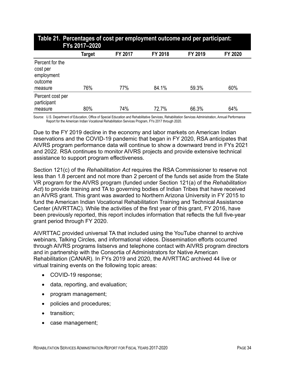| <b>TANIVE IT TO DUMMY OF OUR PUT UMPTO JIMOTH OUTOOMS AND PUT PUT MORALITY</b><br>FYs 2017-2020 |        |         |         |         |         |  |
|-------------------------------------------------------------------------------------------------|--------|---------|---------|---------|---------|--|
|                                                                                                 | Target | FY 2017 | FY 2018 | FY 2019 | FY 2020 |  |
| Percent for the<br>cost per<br>employment<br>outcome<br>measure                                 | 76%    | 77%     | 84.1%   | 59.3%   | 60%     |  |
| Percent cost per<br>participant<br>measure                                                      | 80%    | 74%     | 72.7%   | 66.3%   | 64%     |  |

# **Table 21. Percentages of cost per employment outcome and per participant:**

Source: U.S. Department of Education, Office of Special Education and Rehabilitative Services, Rehabilitation Services Administration, Annual Performance Report for the American Indian Vocational Rehabilitation Services Program, FYs 2017 through 2020.

Due to the FY 2019 decline in the economy and labor markets on American Indian reservations and the COVID-19 pandemic that began in FY 2020, RSA anticipates that AIVRS program performance data will continue to show a downward trend in FYs 2021 and 2022. RSA continues to monitor AIVRS projects and provide extensive technical assistance to support program effectiveness.

Section 121(c) of the *Rehabilitation Act* requires the RSA Commissioner to reserve not less than 1.8 percent and not more than 2 percent of the funds set aside from the State VR program for the AIVRS program (funded under Section 121(a) of the *Rehabilitation Act*) to provide training and TA to governing bodies of Indian Tribes that have received an AIVRS grant. This grant was awarded to Northern Arizona University in FY 2015 to fund the American Indian Vocational Rehabilitation Training and Technical Assistance Center (AIVRTTAC). While the activities of the first year of this grant, FY 2016, have been previously reported, this report includes information that reflects the full five-year grant period through FY 2020.

AIVRTTAC provided universal TA that included using the YouTube channel to archive webinars, Talking Circles, and informational videos. Dissemination efforts occurred through AIVRS programs listservs and telephone contact with AIVRS program directors and in partnership with the Consortia of Administrators for Native American Rehabilitation (CANAR). In FYs 2019 and 2020, the AIVRTTAC archived 44 live or virtual training events on the following topic areas:

- COVID-19 response;
- data, reporting, and evaluation;
- program management;
- policies and procedures;
- transition;
- case management;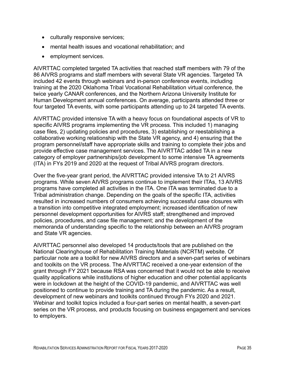- culturally responsive services;
- mental health issues and vocational rehabilitation; and
- employment services.

AIVRTTAC completed targeted TA activities that reached staff members with 79 of the 86 AIVRS programs and staff members with several State VR agencies. Targeted TA included 42 events through webinars and in-person conference events, including training at the 2020 Oklahoma Tribal Vocational Rehabilitation virtual conference, the twice yearly CANAR conferences, and the Northern Arizona University Institute for Human Development annual conferences. On average, participants attended three or four targeted TA events, with some participants attending up to 24 targeted TA events.

AIVRTTAC provided intensive TA with a heavy focus on foundational aspects of VR to specific AIVRS programs implementing the VR process. This included 1) managing case files, 2) updating policies and procedures, 3) establishing or reestablishing a collaborative working relationship with the State VR agency, and 4) ensuring that the program personnel/staff have appropriate skills and training to complete their jobs and provide effective case management services. The AIVRTTAC added TA in a new category of employer partnerships/job development to some intensive TA agreements (ITA) in FYs 2019 and 2020 at the request of Tribal AIVRS program directors.

Over the five-year grant period, the AIVRTTAC provided intensive TA to 21 AIVRS programs. While seven AIVRS programs continue to implement their ITAs, 13 AIVRS programs have completed all activities in the ITA. One ITA was terminated due to a Tribal administration change. Depending on the goals of the specific ITA, activities resulted in increased numbers of consumers achieving successful case closures with a transition into competitive integrated employment; increased identification of new personnel development opportunities for AIVRS staff; strengthened and improved policies, procedures, and case file management; and the development of the memoranda of understanding specific to the relationship between an AIVRS program and State VR agencies.

AIVRTTAC personnel also developed 14 products/tools that are published on the National Clearinghouse of Rehabilitation Training Materials (NCRTM) website. Of particular note are a toolkit for new AIVRS directors and a seven-part series of webinars and toolkits on the VR process. The AIVRTTAC received a one-year extension of the grant through FY 2021 because RSA was concerned that it would not be able to receive quality applications while institutions of higher education and other potential applicants were in lockdown at the height of the COVID-19 pandemic, and AIVRTTAC was well positioned to continue to provide training and TA during the pandemic. As a result, development of new webinars and toolkits continued through FYs 2020 and 2021. Webinar and toolkit topics included a four-part series on mental health, a seven-part series on the VR process, and products focusing on business engagement and services to employers.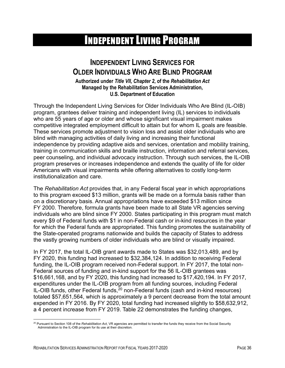# INDEPENDENT LIVING PROGRAM

## **INDEPENDENT LIVING SERVICES FOR OLDER INDIVIDUALS WHO ARE BLIND PROGRAM**

**Authorized under** *Title VII, Chapter 2***, of the** *Rehabilitation Act* **Managed by the Rehabilitation Services Administration, U.S. Department of Education**

Through the Independent Living Services for Older Individuals Who Are Blind (IL-OIB) program, grantees deliver training and independent living (IL) services to individuals who are 55 years of age or older and whose significant visual impairment makes competitive integrated employment difficult to attain but for whom IL goals are feasible. These services promote adjustment to vision loss and assist older individuals who are blind with managing activities of daily living and increasing their functional independence by providing adaptive aids and services, orientation and mobility training, training in communication skills and braille instruction, information and referral services, peer counseling, and individual advocacy instruction. Through such services, the IL-OIB program preserves or increases independence and extends the quality of life for older Americans with visual impairments while offering alternatives to costly long-term institutionalization and care.

The *Rehabilitation Act* provides that, in any Federal fiscal year in which appropriations to this program exceed \$13 million, grants will be made on a formula basis rather than on a discretionary basis. Annual appropriations have exceeded \$13 million since FY 2000. Therefore, formula grants have been made to all State VR agencies serving individuals who are blind since FY 2000. States participating in this program must match every \$9 of Federal funds with \$1 in non-Federal cash or in-kind resources in the year for which the Federal funds are appropriated. This funding promotes the sustainability of the State-operated programs nationwide and builds the capacity of States to address the vastly growing numbers of older individuals who are blind or visually impaired.

In FY 2017, the total IL-OIB grant awards made to States was \$32,013,489, and by FY 2020, this funding had increased to \$32,384,124. In addition to receiving Federal funding, the IL-OIB program received non-Federal support. In FY 2017, the total non-Federal sources of funding and in-kind support for the 56 IL-OIB grantees was \$16,661,168, and by FY 2020, this funding had increased to \$17,420,194. In FY 2017, expenditures under the IL-OIB program from all funding sources, including Federal IL-OIB funds, other Federal funds,<sup>[20](#page-49-0)</sup> non-Federal funds (cash and in-kind resources) totaled \$57,651,564, which is approximately a 9 percent decrease from the total amount expended in FY 2016. By FY 2020, total funding had increased slightly to \$58,632,912, a 4 percent increase from FY 2019. Table 22 demonstrates the funding changes,

<span id="page-49-0"></span><sup>20</sup> Pursuant to Section 108 of the *Rehabilitation Act*, VR agencies are permitted to transfer the funds they receive from the Social Security Administration to the IL-OIB program for its use at their discretion.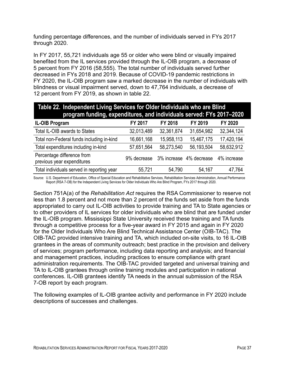funding percentage differences, and the number of individuals served in FYs 2017 through 2020.

In FY 2017, 55,721 individuals age 55 or older who were blind or visually impaired benefited from the IL services provided through the IL-OIB program, a decrease of 5 percent from FY 2016 (58,555). The total number of individuals served further decreased in FYs 2018 and 2019. Because of COVID-19 pandemic restrictions in FY 2020, the IL-OIB program saw a marked decrease in the number of individuals with blindness or visual impairment served, down to 47,764 individuals, a decrease of 12 percent from FY 2019, as shown in table 22.

| Table 22. Independent Living Services for Older Individuals who are Blind<br>program funding, expenditures, and individuals served: FYs 2017-2020 |                                     |                |            |             |
|---------------------------------------------------------------------------------------------------------------------------------------------------|-------------------------------------|----------------|------------|-------------|
| <b>IL-OIB Program</b>                                                                                                                             | FY 2017                             | <b>FY 2018</b> | FY 2019    | FY 2020     |
| Total IL-OIB awards to States                                                                                                                     | 32,013,489                          | 32,361,874     | 31,654,982 | 32,344,124  |
| Total non-Federal funds including in-kind                                                                                                         | 16,661,168                          | 15,958,113     | 15,467,175 | 17,420,194  |
| Total expenditures including in-kind                                                                                                              | 57,651,564                          | 58,273,540     | 56,193,504 | 58,632,912  |
| Percentage difference from<br>previous year expenditures                                                                                          | 9% decrease 3% increase 4% decrease |                |            | 4% increase |
| Total individuals served in reporting year                                                                                                        | 55,721                              | 54,790         | 54,167     | 47,764      |

Source: U.S. Department of Education, Office of Special Education and Rehabilitative Services, Rehabilitation Services Administration, Annual Performance Report (RSA 7-OB) for the Independent Living Services for Older Individuals Who Are Blind Program, FYs 2017 through 2020.

Section 751A(a) of the *Rehabilitation Act* requires the RSA Commissioner to reserve not less than 1.8 percent and not more than 2 percent of the funds set aside from the funds appropriated to carry out IL-OIB activities to provide training and TA to State agencies or to other providers of IL services for older individuals who are blind that are funded under the IL-OIB program. Mississippi State University received these training and TA funds through a competitive process for a five-year award in FY 2015 and again in FY 2020 for the Older Individuals Who Are Blind Technical Assistance Center (OIB-TAC). The OIB-TAC provided intensive training and TA, which included on-site visits, to 16 IL-OIB grantees in the areas of community outreach; best practice in the provision and delivery of services; program performance, including data reporting and analysis; and financial and management practices, including practices to ensure compliance with grant administration requirements. The OIB-TAC provided targeted and universal training and TA to IL-OIB grantees through online training modules and participation in national conferences. IL-OIB grantees identify TA needs in the annual submission of the RSA 7-OB report by each program.

The following examples of IL-OIB grantee activity and performance in FY 2020 include descriptions of successes and challenges.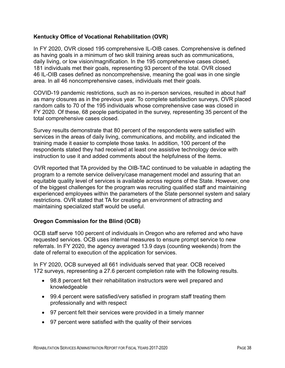#### **Kentucky Office of Vocational Rehabilitation (OVR)**

In FY 2020, OVR closed 195 comprehensive IL-OIB cases. Comprehensive is defined as having goals in a minimum of two skill training areas such as communications, daily living, or low vision/magnification. In the 195 comprehensive cases closed, 181 individuals met their goals, representing 93 percent of the total. OVR closed 46 IL-OIB cases defined as noncomprehensive, meaning the goal was in one single area. In all 46 noncomprehensive cases, individuals met their goals.

COVID-19 pandemic restrictions, such as no in-person services, resulted in about half as many closures as in the previous year. To complete satisfaction surveys, OVR placed random calls to 70 of the 195 individuals whose comprehensive case was closed in FY 2020. Of these, 68 people participated in the survey, representing 35 percent of the total comprehensive cases closed.

Survey results demonstrate that 80 percent of the respondents were satisfied with services in the areas of daily living, communications, and mobility, and indicated the training made it easier to complete those tasks. In addition, 100 percent of the respondents stated they had received at least one assistive technology device with instruction to use it and added comments about the helpfulness of the items.

OVR reported that TA provided by the OIB-TAC continued to be valuable in adapting the program to a remote service delivery/case management model and assuring that an equitable quality level of services is available across regions of the State. However, one of the biggest challenges for the program was recruiting qualified staff and maintaining experienced employees within the parameters of the State personnel system and salary restrictions. OVR stated that TA for creating an environment of attracting and maintaining specialized staff would be useful.

#### **Oregon Commission for the Blind (OCB)**

OCB staff serve 100 percent of individuals in Oregon who are referred and who have requested services. OCB uses internal measures to ensure prompt service to new referrals. In FY 2020, the agency averaged 13.9 days (counting weekends) from the date of referral to execution of the application for services.

In FY 2020, OCB surveyed all 661 individuals served that year. OCB received 172 surveys, representing a 27.6 percent completion rate with the following results.

- 98.8 percent felt their rehabilitation instructors were well prepared and knowledgeable
- 99.4 percent were satisfied/very satisfied in program staff treating them professionally and with respect
- 97 percent felt their services were provided in a timely manner
- 97 percent were satisfied with the quality of their services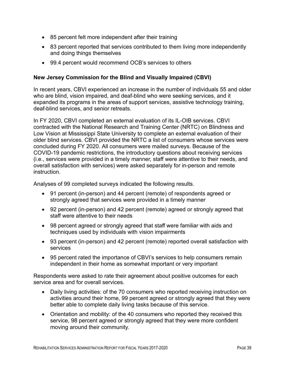- 85 percent felt more independent after their training
- 83 percent reported that services contributed to them living more independently and doing things themselves
- 99.4 percent would recommend OCB's services to others

#### **New Jersey Commission for the Blind and Visually Impaired (CBVI)**

In recent years, CBVI experienced an increase in the number of individuals 55 and older who are blind, vision impaired, and deaf-blind who were seeking services, and it expanded its programs in the areas of support services, assistive technology training, deaf-blind services, and senior retreats.

In FY 2020, CBVI completed an external evaluation of its IL-OIB services. CBVI contracted with the National Research and Training Center (NRTC) on Blindness and Low Vision at Mississippi State University to complete an external evaluation of their older blind services. CBVI provided the NRTC a list of consumers whose services were concluded during FY 2020. All consumers were mailed surveys. Because of the COVID-19 pandemic restrictions, the introductory questions about receiving services (i.e., services were provided in a timely manner, staff were attentive to their needs, and overall satisfaction with services) were asked separately for in-person and remote instruction.

Analyses of 99 completed surveys indicated the following results.

- 91 percent (in-person) and 44 percent (remote) of respondents agreed or strongly agreed that services were provided in a timely manner
- 92 percent (in-person) and 42 percent (remote) agreed or strongly agreed that staff were attentive to their needs
- 98 percent agreed or strongly agreed that staff were familiar with aids and techniques used by individuals with vision impairments
- 93 percent (in-person) and 42 percent (remote) reported overall satisfaction with services
- 95 percent rated the importance of CBVI's services to help consumers remain independent in their home as somewhat important or very important

Respondents were asked to rate their agreement about positive outcomes for each service area and for overall services.

- Daily living activities: of the 70 consumers who reported receiving instruction on activities around their home, 99 percent agreed or strongly agreed that they were better able to complete daily living tasks because of this service.
- Orientation and mobility: of the 40 consumers who reported they received this service, 98 percent agreed or strongly agreed that they were more confident moving around their community.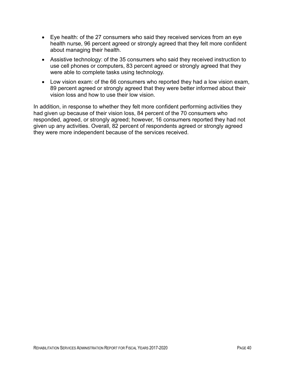- Eye health: of the 27 consumers who said they received services from an eye health nurse, 96 percent agreed or strongly agreed that they felt more confident about managing their health.
- Assistive technology: of the 35 consumers who said they received instruction to use cell phones or computers, 83 percent agreed or strongly agreed that they were able to complete tasks using technology.
- Low vision exam: of the 66 consumers who reported they had a low vision exam, 89 percent agreed or strongly agreed that they were better informed about their vision loss and how to use their low vision.

In addition, in response to whether they felt more confident performing activities they had given up because of their vision loss, 84 percent of the 70 consumers who responded, agreed, or strongly agreed; however, 16 consumers reported they had not given up any activities. Overall, 82 percent of respondents agreed or strongly agreed they were more independent because of the services received.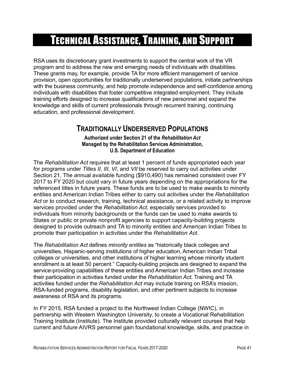# TECHNICAL ASSISTANCE, TRAINING, AND SUPPORT

RSA uses its discretionary grant investments to support the central work of the VR program and to address the new and emerging needs of individuals with disabilities. These grants may, for example, provide TA for more efficient management of service provision, open opportunities for traditionally underserved populations, initiate partnerships with the business community, and help promote independence and self-confidence among individuals with disabilities that foster competitive integrated employment. They include training efforts designed to increase qualifications of new personnel and expand the knowledge and skills of current professionals through recurrent training, continuing education, and professional development.

## **TRADITIONALLY UNDERSERVED POPULATIONS**

**Authorized under Section 21 of the** *Rehabilitation Act* **Managed by the Rehabilitation Services Administration, U.S. Department of Education**

The *Rehabilitation Act* requires that at least 1 percent of funds appropriated each year for programs under *Titles II, III, VI*, and *VII* be reserved to carry out activities under Section 21. The annual available funding (\$910,490) has remained consistent over FY 2017 to FY 2020 but could vary in future years depending on the appropriations for the referenced titles in future years. These funds are to be used to make awards to minority entities and American Indian Tribes either to carry out activities under the *Rehabilitation Act* or to conduct research, training, technical assistance, or a related activity to improve services provided under the *Rehabilitation Act*, especially services provided to individuals from minority backgrounds or the funds can be used to make awards to States or public or private nonprofit agencies to support capacity-building projects designed to provide outreach and TA to minority entities and American Indian Tribes to promote their participation in activities under the *Rehabilitation Act*.

The *Rehabilitation Act* defines *minority entities* as "historically black colleges and universities, Hispanic-serving institutions of higher education, American Indian Tribal colleges or universities, and other institutions of higher learning whose minority student enrollment is at least 50 percent." Capacity-building projects are designed to expand the service-providing capabilities of these entities and American Indian Tribes and increase their participation in activities funded under the *Rehabilitation Act*. Training and TA activities funded under the *Rehabilitation Act* may include training on RSA's mission, RSA-funded programs, disability legislation, and other pertinent subjects to increase awareness of RSA and its programs.

In FY 2015, RSA funded a project to the Northwest Indian College (NWIC), in partnership with Western Washington University, to create a Vocational Rehabilitation Training Institute (Institute). The Institute provided culturally relevant courses that help current and future AIVRS personnel gain foundational knowledge, skills, and practice in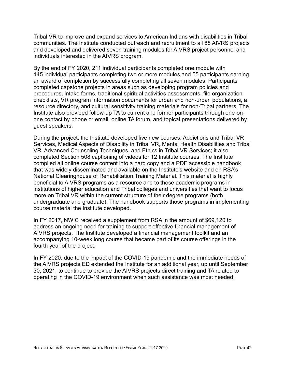Tribal VR to improve and expand services to American Indians with disabilities in Tribal communities. The Institute conducted outreach and recruitment to all 88 AIVRS projects and developed and delivered seven training modules for AIVRS project personnel and individuals interested in the AIVRS program.

By the end of FY 2020, 211 individual participants completed one module with 145 individual participants completing two or more modules and 55 participants earning an award of completion by successfully completing all seven modules. Participants completed capstone projects in areas such as developing program policies and procedures, intake forms, traditional spiritual activities assessments, file organization checklists, VR program information documents for urban and non-urban populations, a resource directory, and cultural sensitivity training materials for non-Tribal partners. The Institute also provided follow-up TA to current and former participants through one-onone contact by phone or email, online TA forum, and topical presentations delivered by guest speakers.

During the project, the Institute developed five new courses: Addictions and Tribal VR Services, Medical Aspects of Disability in Tribal VR, Mental Health Disabilities and Tribal VR, Advanced Counseling Techniques, and Ethics in Tribal VR Services; it also completed Section 508 captioning of videos for 12 Institute courses. The Institute compiled all online course content into a hard copy and a PDF accessible handbook that was widely disseminated and available on the Institute's website and on RSA's National Clearinghouse of Rehabilitation Training Material. This material is highly beneficial to AIVRS programs as a resource and to those academic programs in institutions of higher education and Tribal colleges and universities that want to focus more on Tribal VR within the current structure of their degree programs (both undergraduate and graduate). The handbook supports those programs in implementing course material the Institute developed.

In FY 2017, NWIC received a supplement from RSA in the amount of \$69,120 to address an ongoing need for training to support effective financial management of AIVRS projects. The Institute developed a financial management toolkit and an accompanying 10-week long course that became part of its course offerings in the fourth year of the project.

In FY 2020, due to the impact of the COVID-19 pandemic and the immediate needs of the AIVRS projects ED extended the Institute for an additional year, up until September 30, 2021, to continue to provide the AIVRS projects direct training and TA related to operating in the COVID-19 environment when such assistance was most needed.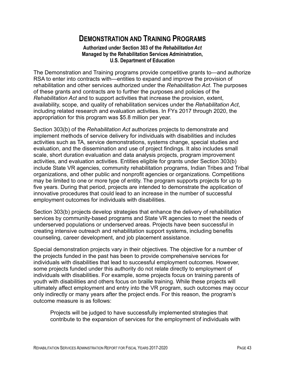## **DEMONSTRATION AND TRAINING PROGRAMS**

**Authorized under Section 303 of the** *Rehabilitation Act*  **Managed by the Rehabilitation Services Administration, U.S. Department of Education**

The Demonstration and Training programs provide competitive grants to—and authorize RSA to enter into contracts with—entities to expand and improve the provision of rehabilitation and other services authorized under the *Rehabilitation Act*. The purposes of these grants and contracts are to further the purposes and policies of the *Rehabilitation Act* and to support activities that increase the provision, extent, availability, scope, and quality of rehabilitation services under the *Rehabilitation Act*, including related research and evaluation activities. In FYs 2017 through 2020, the appropriation for this program was \$5.8 million per year.

Section 303(b) of the *Rehabilitation Act* authorizes projects to demonstrate and implement methods of service delivery for individuals with disabilities and includes activities such as TA, service demonstrations, systems change, special studies and evaluation, and the dissemination and use of project findings. It also includes small scale, short duration evaluation and data analysis projects, program improvement activities, and evaluation activities. Entities eligible for grants under Section 303(b) include State VR agencies, community rehabilitation programs, Indian Tribes and Tribal organizations, and other public and nonprofit agencies or organizations. Competitions may be limited to one or more type of entity. The program supports projects for up to five years. During that period, projects are intended to demonstrate the application of innovative procedures that could lead to an increase in the number of successful employment outcomes for individuals with disabilities.

Section 303(b) projects develop strategies that enhance the delivery of rehabilitation services by community-based programs and State VR agencies to meet the needs of underserved populations or underserved areas. Projects have been successful in creating intensive outreach and rehabilitation support systems, including benefits counseling, career development, and job placement assistance.

Special demonstration projects vary in their objectives. The objective for a number of the projects funded in the past has been to provide comprehensive services for individuals with disabilities that lead to successful employment outcomes. However, some projects funded under this authority do not relate directly to employment of individuals with disabilities. For example, some projects focus on training parents of youth with disabilities and others focus on braille training. While these projects will ultimately affect employment and entry into the VR program, such outcomes may occur only indirectly or many years after the project ends. For this reason, the program's outcome measure is as follows:

Projects will be judged to have successfully implemented strategies that contribute to the expansion of services for the employment of individuals with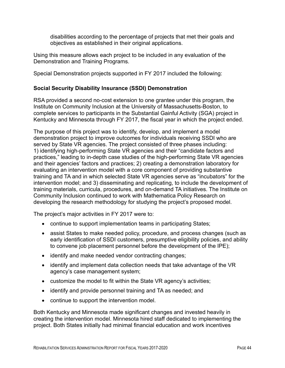disabilities according to the percentage of projects that met their goals and objectives as established in their original applications.

Using this measure allows each project to be included in any evaluation of the Demonstration and Training Programs.

Special Demonstration projects supported in FY 2017 included the following:

#### **Social Security Disability Insurance (SSDI) Demonstration**

RSA provided a second no-cost extension to one grantee under this program, the Institute on Community Inclusion at the University of Massachusetts-Boston, to complete services to participants in the Substantial Gainful Activity (SGA) project in Kentucky and Minnesota through FY 2017, the fiscal year in which the project ended.

The purpose of this project was to identify, develop, and implement a model demonstration project to improve outcomes for individuals receiving SSDI who are served by State VR agencies. The project consisted of three phases including: 1) identifying high-performing State VR agencies and their "candidate factors and practices," leading to in-depth case studies of the high-performing State VR agencies and their agencies' factors and practices; 2) creating a demonstration laboratory for evaluating an intervention model with a core component of providing substantive training and TA and in which selected State VR agencies serve as "incubators" for the intervention model; and 3) disseminating and replicating, to include the development of training materials, curricula, procedures, and on-demand TA initiatives. The Institute on Community Inclusion continued to work with Mathematica Policy Research on developing the research methodology for studying the project's proposed model.

The project's major activities in FY 2017 were to:

- continue to support implementation teams in participating States;
- assist States to make needed policy, procedure, and process changes (such as early identification of SSDI customers, presumptive eligibility policies, and ability to convene job placement personnel before the development of the IPE);
- identify and make needed vendor contracting changes;
- identify and implement data collection needs that take advantage of the VR agency's case management system;
- customize the model to fit within the State VR agency's activities;
- identify and provide personnel training and TA as needed; and
- continue to support the intervention model.

Both Kentucky and Minnesota made significant changes and invested heavily in creating the intervention model. Minnesota hired staff dedicated to implementing the project. Both States initially had minimal financial education and work incentives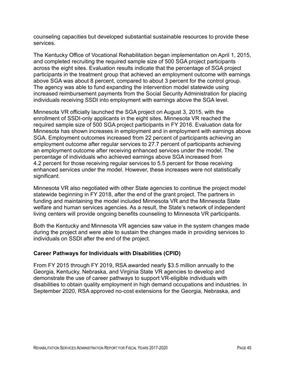counseling capacities but developed substantial sustainable resources to provide these services.

The Kentucky Office of Vocational Rehabilitation began implementation on April 1, 2015, and completed recruiting the required sample size of 500 SGA project participants across the eight sites. Evaluation results indicate that the percentage of SGA project participants in the treatment group that achieved an employment outcome with earnings above SGA was about 8 percent, compared to about 3 percent for the control group. The agency was able to fund expanding the intervention model statewide using increased reimbursement payments from the Social Security Administration for placing individuals receiving SSDI into employment with earnings above the SGA level.

Minnesota VR officially launched the SGA project on August 3, 2015, with the enrollment of SSDI-only applicants in the eight sites. Minnesota VR reached the required sample size of 500 SGA project participants in FY 2016. Evaluation data for Minnesota has shown increases in employment and in employment with earnings above SGA. Employment outcomes increased from 22 percent of participants achieving an employment outcome after regular services to 27.7 percent of participants achieving an employment outcome after receiving enhanced services under the model. The percentage of individuals who achieved earnings above SGA increased from 4.2 percent for those receiving regular services to 5.5 percent for those receiving enhanced services under the model. However, these increases were not statistically significant.

Minnesota VR also negotiated with other State agencies to continue the project model statewide beginning in FY 2018, after the end of the grant project. The partners in funding and maintaining the model included Minnesota VR and the Minnesota State welfare and human services agencies. As a result, the State's network of independent living centers will provide ongoing benefits counseling to Minnesota VR participants.

Both the Kentucky and Minnesota VR agencies saw value in the system changes made during the project and were able to sustain the changes made in providing services to individuals on SSDI after the end of the project.

#### **Career Pathways for Individuals with Disabilities (CPID)**

From FY 2015 through FY 2019, RSA awarded nearly \$3.5 million annually to the Georgia, Kentucky, Nebraska, and Virginia State VR agencies to develop and demonstrate the use of career pathways to support VR-eligible individuals with disabilities to obtain quality employment in high demand occupations and industries. In September 2020, RSA approved no-cost extensions for the Georgia, Nebraska, and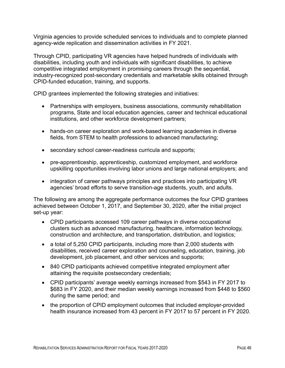Virginia agencies to provide scheduled services to individuals and to complete planned agency-wide replication and dissemination activities in FY 2021.

Through CPID, participating VR agencies have helped hundreds of individuals with disabilities, including youth and individuals with significant disabilities, to achieve competitive integrated employment in promising careers through the sequential, industry-recognized post-secondary credentials and marketable skills obtained through CPID-funded education, training, and supports.

CPID grantees implemented the following strategies and initiatives:

- Partnerships with employers, business associations, community rehabilitation programs, State and local education agencies, career and technical educational institutions, and other workforce development partners;
- hands-on career exploration and work-based learning academies in diverse fields, from STEM to health professions to advanced manufacturing;
- secondary school career-readiness curricula and supports;
- pre-apprenticeship, apprenticeship, customized employment, and workforce upskilling opportunities involving labor unions and large national employers; and
- integration of career pathways principles and practices into participating VR agencies' broad efforts to serve transition-age students, youth, and adults.

The following are among the aggregate performance outcomes the four CPID grantees achieved between October 1, 2017, and September 30, 2020, after the initial project set-up year:

- CPID participants accessed 109 career pathways in diverse occupational clusters such as advanced manufacturing, healthcare, information technology, construction and architecture, and transportation, distribution, and logistics;
- a total of 5,250 CPID participants, including more than 2,000 students with disabilities, received career exploration and counseling, education, training, job development, job placement, and other services and supports;
- 840 CPID participants achieved competitive integrated employment after attaining the requisite postsecondary credentials;
- CPID participants' average weekly earnings increased from \$543 in FY 2017 to \$683 in FY 2020, and their median weekly earnings increased from \$448 to \$560 during the same period; and
- the proportion of CPID employment outcomes that included employer-provided health insurance increased from 43 percent in FY 2017 to 57 percent in FY 2020.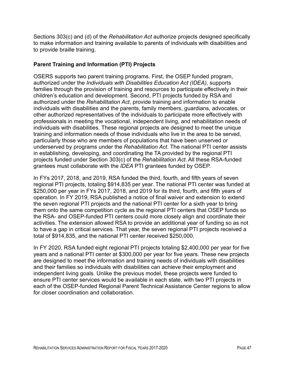Sections 303(c) and (d) of the *Rehabilitation Act* authorize projects designed specifically to make information and training available to parents of individuals with disabilities and to provide braille training.

#### **Parent Training and Information (PTI) Projects**

OSERS supports two parent training programs. First, the OSEP funded program, authorized under the *Individuals with Disabilities Education Act (IDEA)*, supports families through the provision of training and resources to participate effectively in their children's education and development. Second, PTI projects funded by RSA and authorized under the *Rehabilitation Act*, provide training and information to enable individuals with disabilities and the parents, family members, guardians, advocates, or other authorized representatives of the individuals to participate more effectively with professionals in meeting the vocational, independent living, and rehabilitation needs of individuals with disabilities. These regional projects are designed to meet the unique training and information needs of those individuals who live in the area to be served, particularly those who are members of populations that have been unserved or underserved by programs under the *Rehabilitation Act*. The national PTI center assists in establishing, developing, and coordinating the TA provided by the regional PTI projects funded under Section 303(c) of the *Rehabilitation Act*. All these RSA-funded grantees must collaborate with the *IDEA* PTI grantees funded by OSEP.

In FYs 2017, 2018, and 2019, RSA funded the third, fourth, and fifth years of seven regional PTI projects, totaling \$914,835 per year. The national PTI center was funded at \$250,000 per year in FYs 2017, 2018, and 2019 for its third, fourth, and fifth years of operation. In FY 2019, RSA published a notice of final waiver and extension to extend the seven regional PTI projects and the national PTI center for a sixth year to bring them onto the same competition cycle as the regional PTI centers that OSEP funds so the RSA- and OSEP-funded PTI centers could more closely align and coordinate their activities. The extension allowed RSA to provide an additional year of funding so as not to have a gap in critical services. That year, the seven regional PTI projects received a total of \$914,835, and the national PTI center received \$250,000.

In FY 2020, RSA funded eight regional PTI projects totaling \$2,400,000 per year for five years and a national PTI center at \$300,000 per year for five years. These new projects are designed to meet the information and training needs of individuals with disabilities and their families so individuals with disabilities can achieve their employment and independent living goals. Unlike the previous model, these projects were funded to ensure PTI center services would be available in each state, with two PTI projects in each of the OSEP-funded Regional Parent Technical Assistance Center regions to allow for closer coordination and collaboration.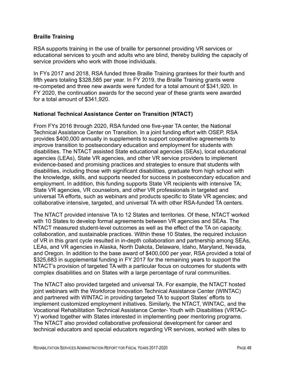#### **Braille Training**

RSA supports training in the use of braille for personnel providing VR services or educational services to youth and adults who are blind, thereby building the capacity of service providers who work with those individuals.

In FYs 2017 and 2018, RSA funded three Braille Training grantees for their fourth and fifth years totaling \$328,585 per year. In FY 2019, the Braille Training grants were re-competed and three new awards were funded for a total amount of \$341,920. In FY 2020, the continuation awards for the second year of these grants were awarded for a total amount of \$341,920.

#### **National Technical Assistance Center on Transition (NTACT)**

From FYs 2016 through 2020, RSA funded one five-year TA center, the National Technical Assistance Center on Transition. In a joint funding effort with OSEP, RSA provides \$400,000 annually in supplements to support cooperative agreements to improve transition to postsecondary education and employment for students with disabilities. The NTACT assisted State educational agencies (SEAs), local educational agencies (LEAs), State VR agencies, and other VR service providers to implement evidence-based and promising practices and strategies to ensure that students with disabilities, including those with significant disabilities, graduate from high school with the knowledge, skills, and supports needed for success in postsecondary education and employment. In addition, this funding supports State VR recipients with intensive TA; State VR agencies, VR counselors, and other VR professionals in targeted and universal TA efforts, such as webinars and products specific to State VR agencies; and collaborative intensive, targeted, and universal TA with other RSA-funded TA centers.

The NTACT provided intensive TA to 12 States and territories. Of these, NTACT worked with 10 States to develop formal agreements between VR agencies and SEAs. The NTACT measured student-level outcomes as well as the effect of the TA on capacity, collaboration, and sustainable practices. Within these 10 States, the required inclusion of VR in this grant cycle resulted in in-depth collaboration and partnership among SEAs, LEAs, and VR agencies in Alaska, North Dakota, Delaware, Idaho, Maryland, Nevada, and Oregon. In addition to the base award of \$400,000 per year, RSA provided a total of \$325,683 in supplemental funding in FY 2017 for the remaining years to support the NTACT's provision of targeted TA with a particular focus on outcomes for students with complex disabilities and on States with a large percentage of rural communities.

The NTACT also provided targeted and universal TA. For example, the NTACT hosted joint webinars with the Workforce Innovation Technical Assistance Center (WINTAC) and partnered with WINTAC in providing targeted TA to support States' efforts to implement customized employment initiatives. Similarly, the NTACT, WINTAC, and the Vocational Rehabilitation Technical Assistance Center- Youth with Disabilities (VRTAC-Y) worked together with States interested in implementing peer mentoring programs. The NTACT also provided collaborative professional development for career and technical educators and special educators regarding VR services, worked with sites to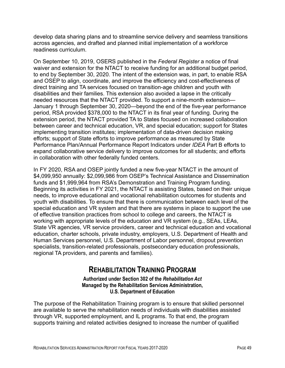develop data sharing plans and to streamline service delivery and seamless transitions across agencies, and drafted and planned initial implementation of a workforce readiness curriculum.

On September 10, 2019, OSERS published in the *Federal Register* a notice of final waiver and extension for the NTACT to receive funding for an additional budget period, to end by September 30, 2020. The intent of the extension was, in part, to enable RSA and OSEP to align, coordinate, and improve the efficiency and cost-effectiveness of direct training and TA services focused on transition-age children and youth with disabilities and their families. This extension also avoided a lapse in the critically needed resources that the NTACT provided. To support a nine-month extension— January 1 through September 30, 2020—beyond the end of the five-year performance period, RSA provided \$378,000 to the NTACT in its final year of funding. During the extension period, the NTACT provided TA to States focused on increased collaboration between career and technical education, VR, and special education; support for States implementing transition institutes; implementation of data-driven decision making efforts; support of State efforts to improve performance as measured by State Performance Plan/Annual Performance Report Indicators under *IDEA* Part B efforts to expand collaborative service delivery to improve outcomes for all students; and efforts in collaboration with other federally funded centers.

In FY 2020, RSA and OSEP jointly funded a new five-year NTACT in the amount of \$4,099,950 annually: \$2,099,986 from OSEP's Technical Assistance and Dissemination funds and \$1,999,964 from RSA's Demonstration and Training Program funding. Beginning its activities in FY 2021, the NTACT is assisting States, based on their unique needs, to improve educational and vocational rehabilitation outcomes for students and youth with disabilities. To ensure that there is communication between each level of the special education and VR system and that there are systems in place to support the use of effective transition practices from school to college and careers, the NTACT is working with appropriate levels of the education and VR system (e.g., SEAs, LEAs, State VR agencies, VR service providers, career and technical education and vocational education, charter schools, private industry, employers, U.S. Department of Health and Human Services personnel, U.S. Department of Labor personnel, dropout prevention specialists, transition-related professionals, postsecondary education professionals, regional TA providers, and parents and families).

## **REHABILITATION TRAINING PROGRAM**

**Authorized under Section 302 of the** *Rehabilitation Act* **Managed by the Rehabilitation Services Administration, U.S. Department of Education**

The purpose of the Rehabilitation Training program is to ensure that skilled personnel are available to serve the rehabilitation needs of individuals with disabilities assisted through VR, supported employment, and IL programs. To that end, the program supports training and related activities designed to increase the number of qualified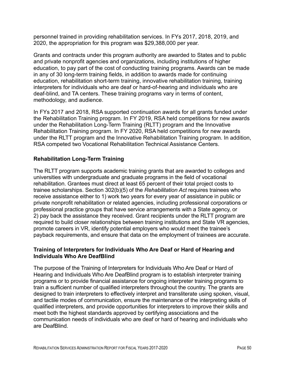personnel trained in providing rehabilitation services. In FYs 2017, 2018, 2019, and 2020, the appropriation for this program was \$29,388,000 per year.

Grants and contracts under this program authority are awarded to States and to public and private nonprofit agencies and organizations, including institutions of higher education, to pay part of the cost of conducting training programs. Awards can be made in any of 30 long-term training fields, in addition to awards made for continuing education, rehabilitation short-term training, innovative rehabilitation training, training interpreters for individuals who are deaf or hard-of-hearing and individuals who are deaf-blind, and TA centers. These training programs vary in terms of content, methodology, and audience.

In FYs 2017 and 2018, RSA supported continuation awards for all grants funded under the Rehabilitation Training program. In FY 2019, RSA held competitions for new awards under the Rehabilitation Long-Term Training (RLTT) program and the Innovative Rehabilitation Training program. In FY 2020, RSA held competitions for new awards under the RLTT program and the Innovative Rehabilitation Training program. In addition, RSA competed two Vocational Rehabilitation Technical Assistance Centers.

#### **Rehabilitation Long-Term Training**

The RLTT program supports academic training grants that are awarded to colleges and universities with undergraduate and graduate programs in the field of vocational rehabilitation. Grantees must direct at least 65 percent of their total project costs to trainee scholarships. Section 302(b)(5) of the *Rehabilitation Act* requires trainees who receive assistance either to 1) work two years for every year of assistance in public or private nonprofit rehabilitation or related agencies, including professional corporations or professional practice groups that have service arrangements with a State agency, or 2) pay back the assistance they received. Grant recipients under the RLTT program are required to build closer relationships between training institutions and State VR agencies, promote careers in VR, identify potential employers who would meet the trainee's payback requirements, and ensure that data on the employment of trainees are accurate.

#### **Training of Interpreters for Individuals Who Are Deaf or Hard of Hearing and Individuals Who Are DeafBlind**

The purpose of the Training of Interpreters for Individuals Who Are Deaf or Hard of Hearing and Individuals Who Are DeafBlind program is to establish interpreter training programs or to provide financial assistance for ongoing interpreter training programs to train a sufficient number of qualified interpreters throughout the country. The grants are designed to train interpreters to effectively interpret and transliterate using spoken, visual, and tactile modes of communication, ensure the maintenance of the interpreting skills of qualified interpreters, and provide opportunities for interpreters to improve their skills and meet both the highest standards approved by certifying associations and the communication needs of individuals who are deaf or hard of hearing and individuals who are DeafBlind.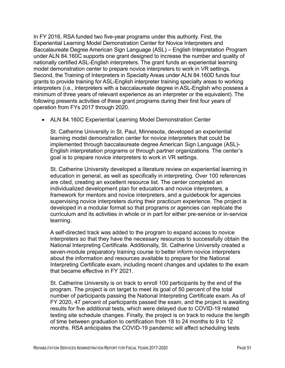In FY 2016, RSA funded two five-year programs under this authority. First, the Experiential Learning Model Demonstration Center for Novice Interpreters and Baccalaureate Degree American Sign Language (ASL) – English Interpretation Program under ALN 84.160C supports one grant designed to increase the number and quality of nationally certified ASL-English interpreters. The grant funds an experiential learning model demonstration center to prepare novice interpreters to work in VR settings. Second, the Training of Interpreters in Specialty Areas under ALN 84.160D funds four grants to provide training for ASL-English interpreter training specialty areas to working interpreters (i.e., interpreters with a baccalaureate degree in ASL-English who possess a minimum of three years of relevant experience as an interpreter or the equivalent). The following presents activities of these grant programs during their first four years of operation from FYs 2017 through 2020.

• ALN 84.160C Experiential Learning Model Demonstration Center

St. Catherine University in St. Paul, Minnesota, developed an experiential learning model demonstration center for novice interpreters that could be implemented through baccalaureate degree American Sign Language (ASL)- English interpretation programs or through partner organizations. The center's goal is to prepare novice interpreters to work in VR settings.

St. Catherine University developed a literature review on experiential learning in education in general, as well as specifically in interpreting. Over 100 references are cited, creating an excellent resource list. The center completed an individualized development plan for educators and novice interpreters, a framework for mentors and novice interpreters, and a guidebook for agencies supervising novice interpreters during their practicum experience. The project is developed in a modular format so that programs or agencies can replicate the curriculum and its activities in whole or in part for either pre-service or in-service learning.

A self-directed track was added to the program to expand access to novice interpreters so that they have the necessary resources to successfully obtain the National Interpreting Certificate. Additionally, St. Catherine University created a seven-module preparatory training course to better inform novice interpreters about the information and resources available to prepare for the National Interpreting Certificate exam, including recent changes and updates to the exam that became effective in FY 2021.

St. Catherine University is on track to enroll 100 participants by the end of the program. The project is on target to meet its goal of 50 percent of the total number of participants passing the National Interpreting Certificate exam. As of FY 2020, 47 percent of participants passed the exam, and the project is awaiting results for five additional tests, which were delayed due to COVID-19 related testing site schedule changes. Finally, the project is on track to reduce the length of time between graduation to certification from 18 to 24 months to 9 to 12 months. RSA anticipates the COVID-19 pandemic will affect scheduling tests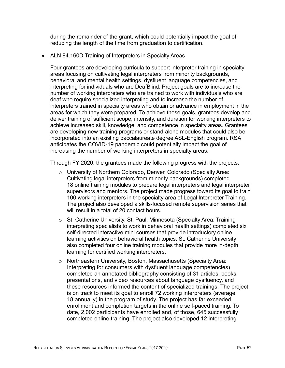during the remainder of the grant, which could potentially impact the goal of reducing the length of the time from graduation to certification.

• ALN 84.160D Training of Interpreters in Specialty Areas

Four grantees are developing curricula to support interpreter training in specialty areas focusing on cultivating legal interpreters from minority backgrounds, behavioral and mental health settings, dysfluent language competencies, and interpreting for individuals who are DeafBlind. Project goals are to increase the number of working interpreters who are trained to work with individuals who are deaf who require specialized interpreting and to increase the number of interpreters trained in specialty areas who obtain or advance in employment in the areas for which they were prepared. To achieve these goals, grantees develop and deliver training of sufficient scope, intensity, and duration for working interpreters to achieve increased skill, knowledge, and competence in specialty areas. Grantees are developing new training programs or stand-alone modules that could also be incorporated into an existing baccalaureate degree ASL-English program. RSA anticipates the COVID-19 pandemic could potentially impact the goal of increasing the number of working interpreters in specialty areas.

Through FY 2020, the grantees made the following progress with the projects.

- o University of Northern Colorado, Denver, Colorado (Specialty Area: Cultivating legal interpreters from minority backgrounds) completed 18 online training modules to prepare legal interpreters and legal interpreter supervisors and mentors. The project made progress toward its goal to train 100 working interpreters in the specialty area of Legal Interpreter Training. The project also developed a skills-focused remote supervision series that will result in a total of 20 contact hours.
- o St. Catherine University, St. Paul, Minnesota (Specialty Area: Training interpreting specialists to work in behavioral health settings) completed six self-directed interactive mini courses that provide introductory online learning activities on behavioral health topics. St. Catherine University also completed four online training modules that provide more in-depth learning for certified working interpreters.
- o Northeastern University, Boston, Massachusetts (Specialty Area: Interpreting for consumers with dysfluent language competencies) completed an annotated bibliography consisting of 31 articles, books, presentations, and video resources about language dysfluency, and these resources informed the content of specialized trainings. The project is on track to meet its goal to enroll 72 working interpreters (average 18 annually) in the program of study. The project has far exceeded enrollment and completion targets in the online self-paced training. To date, 2,002 participants have enrolled and, of those, 645 successfully completed online training. The project also developed 12 interpreting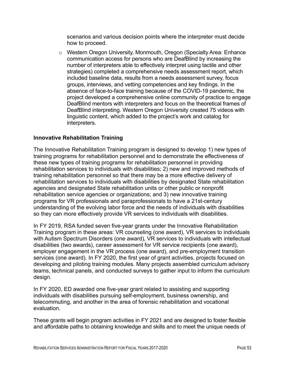scenarios and various decision points where the interpreter must decide how to proceed.

o Western Oregon University, Monmouth, Oregon (Specialty Area: Enhance communication access for persons who are DeafBlind by increasing the number of interpreters able to effectively interpret using tactile and other strategies) completed a comprehensive needs assessment report, which included baseline data, results from a needs assessment survey, focus groups, interviews, and vetting competencies and key findings. In the absence of face-to-face training because of the COVID-19 pandemic, the project developed a comprehensive online community of practice to engage DeafBlind mentors with interpreters and focus on the theoretical frames of DeafBlind interpreting. Western Oregon University created 75 videos with linguistic content, which added to the project's work and catalog for interpreters.

#### **Innovative Rehabilitation Training**

The Innovative Rehabilitation Training program is designed to develop 1) new types of training programs for rehabilitation personnel and to demonstrate the effectiveness of these new types of training programs for rehabilitation personnel in providing rehabilitation services to individuals with disabilities; 2) new and improved methods of training rehabilitation personnel so that there may be a more effective delivery of rehabilitation services to individuals with disabilities by designated State rehabilitation agencies and designated State rehabilitation units or other public or nonprofit rehabilitation service agencies or organizations; and 3) new innovative training programs for VR professionals and paraprofessionals to have a 21st-century understanding of the evolving labor force and the needs of individuals with disabilities so they can more effectively provide VR services to individuals with disabilities.

In FY 2019, RSA funded seven five-year grants under the Innovative Rehabilitation Training program in these areas: VR counseling (one award), VR services to individuals with Autism Spectrum Disorders (one award), VR services to individuals with intellectual disabilities (two awards), career assessment for VR service recipients (one award), employer engagement in the VR process (one award), and pre-employment transition services (one award). In FY 2020, the first year of grant activities, projects focused on developing and piloting training modules. Many projects assembled curriculum advisory teams, technical panels, and conducted surveys to gather input to inform the curriculum design.

In FY 2020, ED awarded one five-year grant related to assisting and supporting individuals with disabilities pursuing self-employment, business ownership, and telecommuting, and another in the area of forensic rehabilitation and vocational evaluation.

These grants will begin program activities in FY 2021 and are designed to foster flexible and affordable paths to obtaining knowledge and skills and to meet the unique needs of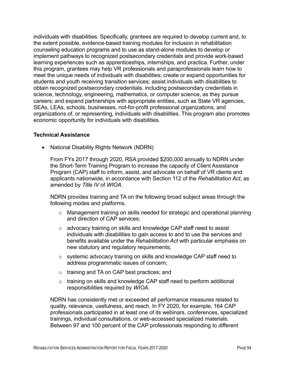individuals with disabilities. Specifically, grantees are required to develop current and, to the extent possible, evidence-based training modules for inclusion in rehabilitation counseling education programs and to use as stand-alone modules to develop or implement pathways to recognized postsecondary credentials and provide work-based learning experiences such as apprenticeships, internships, and practica. Further, under this program, grantees may help VR professionals and paraprofessionals learn how to meet the unique needs of individuals with disabilities; create or expand opportunities for students and youth receiving transition services; assist individuals with disabilities to obtain recognized postsecondary credentials, including postsecondary credentials in science, technology, engineering, mathematics, or computer science, as they pursue careers; and expand partnerships with appropriate entities, such as State VR agencies, SEAs, LEAs, schools, businesses, not-for-profit professional organizations, and organizations of, or representing, individuals with disabilities. This program also promotes economic opportunity for individuals with disabilities.

#### **Technical Assistance**

• National Disability Rights Network (NDRN)

From FYs 2017 through 2020, RSA provided \$200,000 annually to NDRN under the Short-Term Training Program to increase the capacity of Client Assistance Program (CAP) staff to inform, assist, and advocate on behalf of VR clients and applicants nationwide, in accordance with Section 112 of the *Rehabilitation Act*, as amended by *Title IV* of *WIOA*.

NDRN provides training and TA on the following broad subject areas through the following modes and platforms.

- o Management training on skills needed for strategic and operational planning and direction of CAP services;
- o advocacy training on skills and knowledge CAP staff need to assist individuals with disabilities to gain access to and to use the services and benefits available under the *Rehabilitation Act* with particular emphasis on new statutory and regulatory requirements;
- o systemic advocacy training on skills and knowledge CAP staff need to address programmatic issues of concern;
- o training and TA on CAP best practices; and
- $\circ$  training on skills and knowledge CAP staff need to perform additional responsibilities required by *WIOA*.

NDRN has consistently met or exceeded all performance measures related to quality, relevance, usefulness, and reach. In FY 2020, for example, 164 CAP professionals participated in at least one of its webinars, conferences, specialized trainings, individual consultations, or web-accessed specialized materials. Between 97 and 100 percent of the CAP professionals responding to different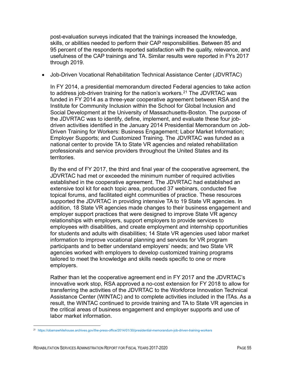post-evaluation surveys indicated that the trainings increased the knowledge, skills, or abilities needed to perform their CAP responsibilities. Between 85 and 95 percent of the respondents reported satisfaction with the quality, relevance, and usefulness of the CAP trainings and TA. Similar results were reported in FYs 2017 through 2019.

• Job-Driven Vocational Rehabilitation Technical Assistance Center (JDVRTAC)

In FY 2014, a presidential memorandum directed Federal agencies to take action to address job-driven training for the nation's workers.<sup>[21](#page-68-0)</sup> The JDVRTAC was funded in FY 2014 as a three-year cooperative agreement between RSA and the Institute for Community Inclusion within the School for Global Inclusion and Social Development at the University of Massachusetts-Boston. The purpose of the JDVRTAC was to identify, define, implement, and evaluate these four jobdriven activities identified in the January 2014 Presidential Memorandum on Job-Driven Training for Workers: Business Engagement; Labor Market Information; Employer Supports; and Customized Training. The JDVRTAC was funded as a national center to provide TA to State VR agencies and related rehabilitation professionals and service providers throughout the United States and its territories.

By the end of FY 2017, the third and final year of the cooperative agreement, the JDVRTAC had met or exceeded the minimum number of required activities established in the cooperative agreement. The JDVRTAC had established an extensive tool kit for each topic area, produced 37 webinars, conducted five topical forums, and facilitated eight communities of practice. These resources supported the JDVRTAC in providing intensive TA to 19 State VR agencies. In addition, 18 State VR agencies made changes to their business engagement and employer support practices that were designed to improve State VR agency relationships with employers, support employers to provide services to employees with disabilities, and create employment and internship opportunities for students and adults with disabilities; 14 State VR agencies used labor market information to improve vocational planning and services for VR program participants and to better understand employers' needs; and two State VR agencies worked with employers to develop customized training programs tailored to meet the knowledge and skills needs specific to one or more employers.

Rather than let the cooperative agreement end in FY 2017 and the JDVRTAC's innovative work stop, RSA approved a no-cost extension for FY 2018 to allow for transferring the activities of the JDVRTAC to the Workforce Innovation Technical Assistance Center (WINTAC) and to complete activities included in the ITAs. As a result, the WINTAC continued to provide training and TA to State VR agencies in the critical areas of business engagement and employer supports and use of labor market information.

<span id="page-68-0"></span><sup>21</sup> <https://obamawhitehouse.archives.gov/the-press-office/2014/01/30/presidential-memorandum-job-driven-training-workers>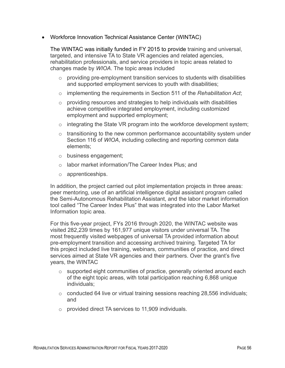• Workforce Innovation Technical Assistance Center (WINTAC)

The WINTAC was initially funded in FY 2015 to provide training and universal, targeted, and intensive TA to State VR agencies and related agencies, rehabilitation professionals, and service providers in topic areas related to changes made by *WIOA*. The topic areas included

- $\circ$  providing pre-employment transition services to students with disabilities and supported employment services to youth with disabilities;
- o implementing the requirements in Section 511 of the *Rehabilitation Act*;
- $\circ$  providing resources and strategies to help individuals with disabilities achieve competitive integrated employment, including customized employment and supported employment;
- $\circ$  integrating the State VR program into the workforce development system;
- $\circ$  transitioning to the new common performance accountability system under Section 116 of *WIOA*, including collecting and reporting common data elements;
- o business engagement;
- o labor market information/The Career Index Plus; and
- o apprenticeships.

In addition, the project carried out pilot implementation projects in three areas: peer mentoring, use of an artificial intelligence digital assistant program called the Semi-Autonomous Rehabilitation Assistant, and the labor market information tool called "The Career Index Plus" that was integrated into the Labor Market Information topic area.

For this five-year project, FYs 2016 through 2020, the WINTAC website was visited 282,239 times by 161,977 unique visitors under universal TA. The most frequently visited webpages of universal TA provided information about pre-employment transition and accessing archived training. Targeted TA for this project included live training, webinars, communities of practice, and direct services aimed at State VR agencies and their partners. Over the grant's five years, the WINTAC

- $\circ$  supported eight communities of practice, generally oriented around each of the eight topic areas, with total participation reaching 6,868 unique individuals;
- $\circ$  conducted 64 live or virtual training sessions reaching 28,556 individuals; and
- o provided direct TA services to 11,909 individuals.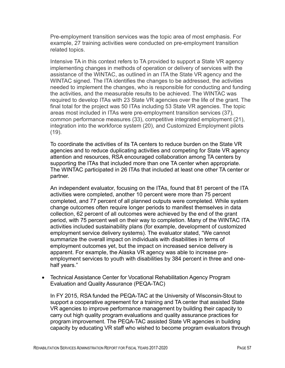Pre-employment transition services was the topic area of most emphasis. For example, 27 training activities were conducted on pre-employment transition related topics.

Intensive TA in this context refers to TA provided to support a State VR agency implementing changes in methods of operation or delivery of services with the assistance of the WINTAC, as outlined in an ITA the State VR agency and the WINTAC signed. The ITA identifies the changes to be addressed, the activities needed to implement the changes, who is responsible for conducting and funding the activities, and the measurable results to be achieved. The WINTAC was required to develop ITAs with 23 State VR agencies over the life of the grant. The final total for the project was 50 ITAs including 53 State VR agencies. The topic areas most included in ITAs were pre-employment transition services (37), common performance measures (33), competitive integrated employment (21), integration into the workforce system (20), and Customized Employment pilots (19).

To coordinate the activities of its TA centers to reduce burden on the State VR agencies and to reduce duplicating activities and competing for State VR agency attention and resources, RSA encouraged collaboration among TA centers by supporting the ITAs that included more than one TA center when appropriate. The WINTAC participated in 26 ITAs that included at least one other TA center or partner.

An independent evaluator, focusing on the ITAs, found that 81 percent of the ITA activities were completed, another 10 percent were more than 75 percent completed, and 77 percent of all planned outputs were completed. While system change outcomes often require longer periods to manifest themselves in data collection, 62 percent of all outcomes were achieved by the end of the grant period, with 75 percent well on their way to completion. Many of the WINTAC ITA activities included sustainability plans (for example, development of customized employment service delivery systems). The evaluator stated, "We cannot summarize the overall impact on individuals with disabilities in terms of employment outcomes yet, but the impact on increased service delivery is apparent. For example, the Alaska VR agency was able to increase preemployment services to youth with disabilities by 384 percent in three and onehalf years."

• Technical Assistance Center for Vocational Rehabilitation Agency Program Evaluation and Quality Assurance (PEQA-TAC)

In FY 2015, RSA funded the PEQA-TAC at the University of Wisconsin-Stout to support a cooperative agreement for a training and TA center that assisted State VR agencies to improve performance management by building their capacity to carry out high quality program evaluations and quality assurance practices for program improvement. The PEQA-TAC assisted State VR agencies in building capacity by educating VR staff who wished to become program evaluators through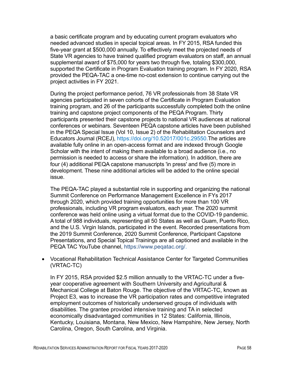a basic certificate program and by educating current program evaluators who needed advanced studies in special topical areas. In FY 2015, RSA funded this five-year grant at \$500,000 annually. To effectively meet the projected needs of State VR agencies to have trained qualified program evaluators on staff, an annual supplemental award of \$75,000 for years two through five, totaling \$300,000, supported the Certificate in Program Evaluation training program. In FY 2020, RSA provided the PEQA-TAC a one-time no-cost extension to continue carrying out the project activities in FY 2021.

During the project performance period, 76 VR professionals from 38 State VR agencies participated in seven cohorts of the Certificate in Program Evaluation training program, and 26 of the participants successfully completed both the online training and capstone project components of the PEQA Program. Thirty participants presented their capstone projects to national VR audiences at national conferences or webinars. Seventeen PEQA capstone articles have been published in the PEQA Special Issue (Vol 10, Issue 2) of the Rehabilitation Counselors and Educators Journal (RCEJ), [https://doi.org/10.52017/001c.29550.](https://doi.org/10.52017/001c.29550)The articles are available fully online in an open-access format and are indexed through Google Scholar with the intent of making them available to a broad audience (i.e., no permission is needed to access or share the information). In addition, there are four (4) additional PEQA capstone manuscripts 'in press' and five (5) more in development. These nine additional articles will be added to the online special issue.

The PEQA-TAC played a substantial role in supporting and organizing the national Summit Conference on Performance Management Excellence in FYs 2017 through 2020, which provided training opportunities for more than 100 VR professionals, including VR program evaluators, each year. The 2020 summit conference was held online using a virtual format due to the COVID-19 pandemic. A total of 988 individuals, representing all 50 States as well as Guam, Puerto Rico, and the U.S. Virgin Islands, participated in the event. Recorded presentations from the 2019 Summit Conference, 2020 Summit Conference, Participant Capstone Presentations, and Special Topical Trainings are all captioned and available in the PEQA TAC YouTube channel, [https://www.peqatac.org/.](https://www.peqatac.org/)

• Vocational Rehabilitation Technical Assistance Center for Targeted Communities (VRTAC-TC)

In FY 2015, RSA provided \$2.5 million annually to the VRTAC-TC under a fiveyear cooperative agreement with Southern University and Agricultural & Mechanical College at Baton Rouge. The objective of the VRTAC-TC, known as Project E3, was to increase the VR participation rates and competitive integrated employment outcomes of historically underserved groups of individuals with disabilities. The grantee provided intensive training and TA in selected economically disadvantaged communities in 12 States: California, Illinois, Kentucky, Louisiana, Montana, New Mexico, New Hampshire, New Jersey, North Carolina, Oregon, South Carolina, and Virginia.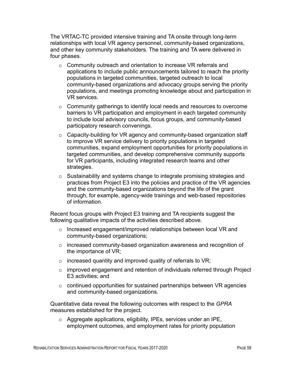The VRTAC-TC provided intensive training and TA onsite through long-term relationships with local VR agency personnel, community-based organizations, and other key community stakeholders. The training and TA were delivered in four phases.

- o Community outreach and orientation to increase VR referrals and applications to include public announcements tailored to reach the priority populations in targeted communities, targeted outreach to local community-based organizations and advocacy groups serving the priority populations, and meetings promoting knowledge about and participation in VR services.
- o Community gatherings to identify local needs and resources to overcome barriers to VR participation and employment in each targeted community to include local advisory councils, focus groups, and community-based participatory research convenings.
- $\circ$  Capacity-building for VR agency and community-based organization staff to improve VR service delivery to priority populations in targeted communities, expand employment opportunities for priority populations in targeted communities, and develop comprehensive community supports for VR participants, including integrated research teams and other strategies.
- o Sustainability and systems change to integrate promising strategies and practices from Project E3 into the policies and practice of the VR agencies and the community-based organizations beyond the life of the grant through, for example, agency-wide trainings and web-based repositories of information.

Recent focus groups with Project E3 training and TA recipients suggest the following qualitative impacts of the activities described above.

- o Increased engagement/improved relationships between local VR and community-based organizations;
- o increased community-based organization awareness and recognition of the importance of VR;
- o increased quantity and improved quality of referrals to VR;
- o improved engagement and retention of individuals referred through Project E3 activities; and
- $\circ$  continued opportunities for sustained partnerships between VR agencies and community-based organizations.

Quantitative data reveal the following outcomes with respect to the *GPRA* measures established for the project.

o Aggregate applications, eligibility, IPEs, services under an IPE, employment outcomes, and employment rates for priority population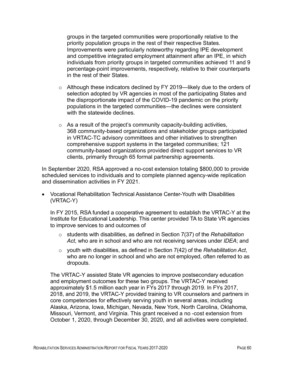groups in the targeted communities were proportionally relative to the priority population groups in the rest of their respective States. Improvements were particularly noteworthy regarding IPE development and competitive integrated employment attainment after an IPE, in which individuals from priority groups in targeted communities achieved 11 and 9 percentage-point improvements, respectively, relative to their counterparts in the rest of their States.

- o Although these indicators declined by FY 2019—likely due to the orders of selection adopted by VR agencies in most of the participating States and the disproportionate impact of the COVID-19 pandemic on the priority populations in the targeted communities—the declines were consistent with the statewide declines.
- $\circ$  As a result of the project's community capacity-building activities, 368 community-based organizations and stakeholder groups participated in VRTAC-TC advisory committees and other initiatives to strengthen comprehensive support systems in the targeted communities; 121 community-based organizations provided direct support services to VR clients, primarily through 65 formal partnership agreements.

In September 2020, RSA approved a no-cost extension totaling \$800,000 to provide scheduled services to individuals and to complete planned agency-wide replication and dissemination activities in FY 2021.

• Vocational Rehabilitation Technical Assistance Center-Youth with Disabilities (VRTAC-Y)

In FY 2015, RSA funded a cooperative agreement to establish the VRTAC-Y at the Institute for Educational Leadership. This center provided TA to State VR agencies to improve services to and outcomes of

- o students with disabilities, as defined in Section 7(37) of the *Rehabilitation Act*, who are in school and who are not receiving services under *IDEA*; and
- o youth with disabilities, as defined in Section 7(42) of the *Rehabilitation Act*, who are no longer in school and who are not employed, often referred to as dropouts.

The VRTAC-Y assisted State VR agencies to improve postsecondary education and employment outcomes for these two groups. The VRTAC-Y received approximately \$1.5 million each year in FYs 2017 through 2019. In FYs 2017, 2018, and 2019, the VRTAC-Y provided training to VR counselors and partners in core competencies for effectively serving youth in several areas, including Alaska, Arizona, Iowa, Michigan, Nevada, New York, North Carolina, Oklahoma, Missouri, Vermont, and Virginia. This grant received a no -cost extension from October 1, 2020, through December 30, 2020, and all activities were completed.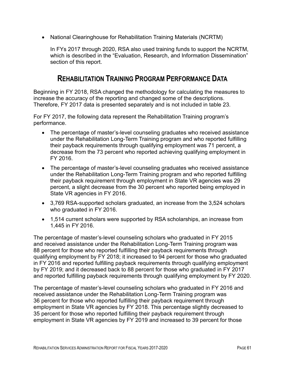• National Clearinghouse for Rehabilitation Training Materials (NCRTM)

In FYs 2017 through 2020, RSA also used training funds to support the NCRTM, which is described in the "Evaluation, Research, and Information Dissemination" section of this report.

#### **REHABILITATION TRAINING PROGRAM PERFORMANCE DATA**

Beginning in FY 2018, RSA changed the methodology for calculating the measures to increase the accuracy of the reporting and changed some of the descriptions. Therefore, FY 2017 data is presented separately and is not included in table 23.

For FY 2017, the following data represent the Rehabilitation Training program's performance.

- The percentage of master's-level counseling graduates who received assistance under the Rehabilitation Long-Term Training program and who reported fulfilling their payback requirements through qualifying employment was 71 percent, a decrease from the 73 percent who reported achieving qualifying employment in FY 2016.
- The percentage of master's-level counseling graduates who received assistance under the Rehabilitation Long-Term Training program and who reported fulfilling their payback requirement through employment in State VR agencies was 29 percent, a slight decrease from the 30 percent who reported being employed in State VR agencies in FY 2016.
- 3,769 RSA-supported scholars graduated, an increase from the 3,524 scholars who graduated in FY 2016.
- 1,514 current scholars were supported by RSA scholarships, an increase from 1,445 in FY 2016.

The percentage of master's-level counseling scholars who graduated in FY 2015 and received assistance under the Rehabilitation Long-Term Training program was 88 percent for those who reported fulfilling their payback requirements through qualifying employment by FY 2018; it increased to 94 percent for those who graduated in FY 2016 and reported fulfilling payback requirements through qualifying employment by FY 2019; and it decreased back to 88 percent for those who graduated in FY 2017 and reported fulfilling payback requirements through qualifying employment by FY 2020.

The percentage of master's-level counseling scholars who graduated in FY 2016 and received assistance under the Rehabilitation Long-Term Training program was 36 percent for those who reported fulfilling their payback requirement through employment in State VR agencies by FY 2018. This percentage slightly decreased to 35 percent for those who reported fulfilling their payback requirement through employment in State VR agencies by FY 2019 and increased to 39 percent for those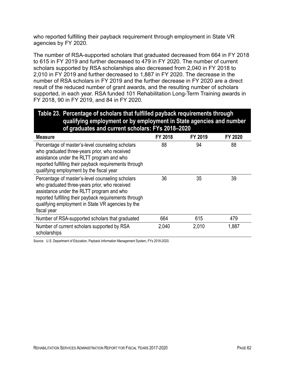who reported fulfilling their payback requirement through employment in State VR agencies by FY 2020.

The number of RSA-supported scholars that graduated decreased from 664 in FY 2018 to 615 in FY 2019 and further decreased to 479 in FY 2020. The number of current scholars supported by RSA scholarships also decreased from 2,040 in FY 2018 to 2,010 in FY 2019 and further decreased to 1,887 in FY 2020. The decrease in the number of RSA scholars in FY 2019 and the further decrease in FY 2020 are a direct result of the reduced number of grant awards, and the resulting number of scholars supported, in each year. RSA funded 101 Rehabilitation Long-Term Training awards in FY 2018, 90 in FY 2019, and 84 in FY 2020.

#### **Table 23. Percentage of scholars that fulfilled payback requirements through qualifying employment or by employment in State agencies and number of graduates and current scholars: FYs 2018–2020**

| <b>Measure</b>                                                                                                                                                                                                                                                               | <b>FY 2018</b> | FY 2019 | FY 2020 |
|------------------------------------------------------------------------------------------------------------------------------------------------------------------------------------------------------------------------------------------------------------------------------|----------------|---------|---------|
| Percentage of master's-level counseling scholars<br>who graduated three-years prior, who received<br>assistance under the RLTT program and who<br>reported fulfilling their payback requirements through<br>qualifying employment by the fiscal year                         | 88             | 94      | 88      |
| Percentage of master's-level counseling scholars<br>who graduated three-years prior, who received<br>assistance under the RLTT program and who<br>reported fulfilling their payback requirements through<br>qualifying employment in State VR agencies by the<br>fiscal year | 36             | 35      | 39      |
| Number of RSA-supported scholars that graduated                                                                                                                                                                                                                              | 664            | 615     | 479     |
| Number of current scholars supported by RSA<br>scholarships                                                                                                                                                                                                                  | 2,040          | 2,010   | 1,887   |

Source: U.S. Department of Education, Payback Information Management System, FYs 2018-2020.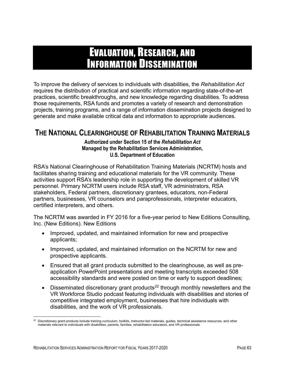# EVALUATION, RESEARCH, AND INFORMATION DISSEMINATION

To improve the delivery of services to individuals with disabilities, the *Rehabilitation Act* requires the distribution of practical and scientific information regarding state-of-the-art practices, scientific breakthroughs, and new knowledge regarding disabilities. To address those requirements, RSA funds and promotes a variety of research and demonstration projects, training programs, and a range of information dissemination projects designed to generate and make available critical data and information to appropriate audiences.

### **THE NATIONAL CLEARINGHOUSE OF REHABILITATION TRAINING MATERIALS**

**Authorized under Section 15 of the** *Rehabilitation Act* **Managed by the Rehabilitation Services Administration, U.S. Department of Education**

RSA's National Clearinghouse of Rehabilitation Training Materials (NCRTM) hosts and facilitates sharing training and educational materials for the VR community. These activities support RSA's leadership role in supporting the development of skilled VR personnel. Primary NCRTM users include RSA staff, VR administrators, RSA stakeholders, Federal partners, discretionary grantees, educators, non-Federal partners, businesses, VR counselors and paraprofessionals, interpreter educators, certified interpreters, and others.

The NCRTM was awarded in FY 2016 for a five-year period to New Editions Consulting, Inc. (New Editions). New Editions

- Improved, updated, and maintained information for new and prospective applicants;
- Improved, updated, and maintained information on the NCRTM for new and prospective applicants.
- Ensured that all grant products submitted to the clearinghouse, as well as preapplication PowerPoint presentations and meeting transcripts exceeded 508 accessibility standards and were posted on time or early to support deadlines;
- Disseminated discretionary grant products<sup>[22](#page-76-0)</sup> through monthly newsletters and the VR Workforce Studio podcast featuring individuals with disabilities and stories of competitive integrated employment, businesses that hire individuals with disabilities, and the work of VR professionals.

<span id="page-76-0"></span><sup>22</sup> Discretionary grant products include training curriculum, toolkits, instructor-led materials, guides, technical assistance resources, and other materials relevant to individuals with disabilities, parents, families, rehabilitation educators, and VR professionals.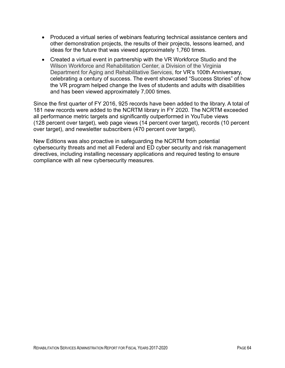- Produced a virtual series of webinars featuring technical assistance centers and other demonstration projects, the results of their projects, lessons learned, and ideas for the future that was viewed approximately 1,760 times.
- Created a virtual event in partnership with the VR Workforce Studio and the Wilson Workforce and Rehabilitation Center, a Division of the Virginia Department for Aging and Rehabilitative Services, for VR's 100th Anniversary, celebrating a century of success. The event showcased "Success Stories" of how the VR program helped change the lives of students and adults with disabilities and has been viewed approximately 7,000 times.

Since the first quarter of FY 2016, 925 records have been added to the library. A total of 181 new records were added to the NCRTM library in FY 2020. The NCRTM exceeded all performance metric targets and significantly outperformed in YouTube views (128 percent over target), web page views (14 percent over target), records (10 percent over target), and newsletter subscribers (470 percent over target).

New Editions was also proactive in safeguarding the NCRTM from potential cybersecurity threats and met all Federal and ED cyber security and risk management directives, including installing necessary applications and required testing to ensure compliance with all new cybersecurity measures.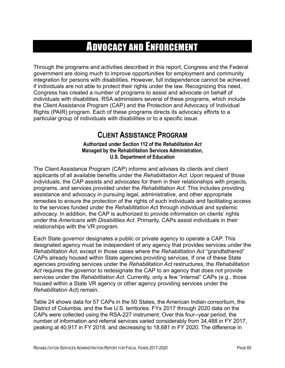# ADVOCACY AND ENFORCEMENT

Through the programs and activities described in this report, Congress and the Federal government are doing much to improve opportunities for employment and community integration for persons with disabilities. However, full independence cannot be achieved if individuals are not able to protect their rights under the law. Recognizing this need, Congress has created a number of programs to assist and advocate on behalf of individuals with disabilities. RSA administers several of these programs, which include the Client Assistance Program (CAP) and the Protection and Advocacy of Individual Rights (PAIR) program. Each of these programs directs its advocacy efforts to a particular group of individuals with disabilities or to a specific issue.

### **CLIENT ASSISTANCE PROGRAM**

**Authorized under Section 112 of the** *Rehabilitation Act* **Managed by the Rehabilitation Services Administration, U.S. Department of Education**

The Client Assistance Program (CAP) informs and advises its clients and client applicants of all available benefits under the *Rehabilitation Act*. Upon request of those individuals, the CAP assists and advocates for them in their relationships with projects, programs, and services provided under the *Rehabilitation Act*. This includes providing assistance and advocacy in pursuing legal, administrative, and other appropriate remedies to ensure the protection of the rights of such individuals and facilitating access to the services funded under the *Rehabilitation Ac*t through individual and systemic advocacy. In addition, the CAP is authorized to provide information on clients' rights under the *Americans with Disabilities Act*. Primarily, CAPs assist individuals in their relationships with the VR program.

Each State governor designates a public or private agency to operate a CAP. This designated agency must be independent of any agency that provides services under the *Rehabilitation Act*, except in those cases where the *Rehabilitation Act* "grandfathered" CAPs already housed within State agencies providing services. If one of these State agencies providing services under the *Rehabilitation Act* restructures, the *Rehabilitation Act* requires the governor to redesignate the CAP to an agency that does not provide services under the *Rehabilitation Act*. Currently, only a few "internal" CAPs (e.g., those housed within a State VR agency or other agency providing services under the *Rehabilitation Act*) remain.

Table 24 shows data for 57 CAPs in the 50 States, the American Indian consortium, the District of Columbia, and the five U.S. territories. FYs 2017 through 2020 data on the CAPs were collected using the RSA-227 instrument. Over this four--year period, the number of information and referral services varied considerably from 34,488 in FY 2017, peaking at 40,917 in FY 2018, and decreasing to 18,681 in FY 2020. The difference in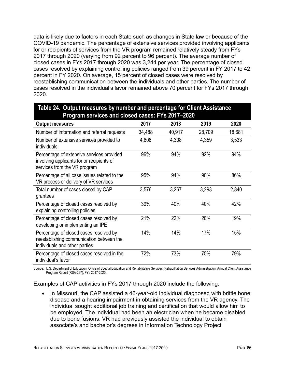data is likely due to factors in each State such as changes in State law or because of the COVID-19 pandemic. The percentage of extensive services provided involving applicants for or recipients of services from the VR program remained relatively steady from FYs 2017 through 2020 (varying from 92 percent to 96 percent). The average number of closed cases in FYs 2017 through 2020 was 3,244 per year. The percentage of closed cases resolved by explaining controlling policies ranged from 39 percent in FY 2017 to 42 percent in FY 2020. On average, 15 percent of closed cases were resolved by reestablishing communication between the individuals and other parties. The number of cases resolved in the individual's favor remained above 70 percent for FYs 2017 through 2020.

| Program services and closed cases: FYs 2017-2020                                                                       |        |        |        |        |  |  |  |
|------------------------------------------------------------------------------------------------------------------------|--------|--------|--------|--------|--|--|--|
| <b>Output measures</b>                                                                                                 | 2017   | 2018   | 2019   | 2020   |  |  |  |
| Number of information and referral requests                                                                            | 34,488 | 40,917 | 28,709 | 18,681 |  |  |  |
| Number of extensive services provided to<br>individuals                                                                | 4,608  | 4,308  | 4,359  | 3,533  |  |  |  |
| Percentage of extensive services provided<br>involving applicants for or recipients of<br>services from the VR program | 96%    | 94%    | 92%    | 94%    |  |  |  |
| Percentage of all case issues related to the<br>VR process or delivery of VR services                                  | 95%    | 94%    | 90%    | 86%    |  |  |  |
| Total number of cases closed by CAP<br>grantees                                                                        | 3,576  | 3,267  | 3,293  | 2,840  |  |  |  |
| Percentage of closed cases resolved by<br>explaining controlling policies                                              | 39%    | 40%    | 40%    | 42%    |  |  |  |
| Percentage of closed cases resolved by<br>developing or implementing an IPE                                            | 21%    | 22%    | 20%    | 19%    |  |  |  |
| Percentage of closed cases resolved by<br>reestablishing communication between the<br>individuals and other parties    | 14%    | 14%    | 17%    | 15%    |  |  |  |
| Percentage of closed cases resolved in the<br>individual's favor                                                       | 72%    | 73%    | 75%    | 79%    |  |  |  |

# **Table 24. Output measures by number and percentage for Client Assistance**

Source: U.S. Department of Education, Office of Special Education and Rehabilitative Services, Rehabilitation Services Administration, Annual Client Assistance Program Report (RSA-227), FYs 2017-2020.

Examples of CAP activities in FYs 2017 through 2020 include the following:

• In Missouri, the CAP assisted a 46-year-old individual diagnosed with brittle bone disease and a hearing impairment in obtaining services from the VR agency. The individual sought additional job training and certification that would allow him to be employed. The individual had been an electrician when he became disabled due to bone fusions. VR had previously assisted the individual to obtain associate's and bachelor's degrees in Information Technology Project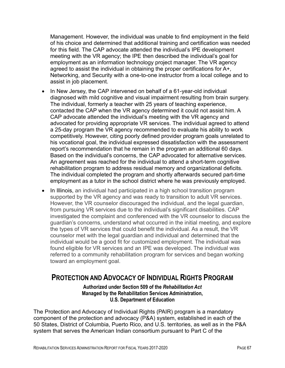Management. However, the individual was unable to find employment in the field of his choice and determined that additional training and certification was needed for this field. The CAP advocate attended the individual's IPE development meeting with the VR agency; the IPE then described the individual's goal for employment as an information technology project manager. The VR agency agreed to assist the individual in obtaining the proper certifications for A+, Networking, and Security with a one-to-one instructor from a local college and to assist in job placement.

- In New Jersey, the CAP intervened on behalf of a 61-year-old individual diagnosed with mild cognitive and visual impairment resulting from brain surgery. The individual, formerly a teacher with 25 years of teaching experience, contacted the CAP when the VR agency determined it could not assist him. A CAP advocate attended the individual's meeting with the VR agency and advocated for providing appropriate VR services. The individual agreed to attend a 25-day program the VR agency recommended to evaluate his ability to work competitively. However, citing poorly defined provider program goals unrelated to his vocational goal, the individual expressed dissatisfaction with the assessment report's recommendation that he remain in the program an additional 60 days. Based on the individual's concerns, the CAP advocated for alternative services. An agreement was reached for the individual to attend a short-term cognitive rehabilitation program to address residual memory and organizational deficits. The individual completed the program and shortly afterwards secured part-time employment as a tutor in the school district where he was previously employed.
- In Illinois, an individual had participated in a high school transition program supported by the VR agency and was ready to transition to adult VR services. However, the VR counselor discouraged the individual, and the legal guardian, from pursuing VR services due to the individual's significant disabilities. CAP investigated the complaint and conferenced with the VR counselor to discuss the guardian's concerns, understand what occurred in the initial meeting, and explore the types of VR services that could benefit the individual. As a result, the VR counselor met with the legal guardian and individual and determined that the individual would be a good fit for customized employment. The individual was found eligible for VR services and an IPE was developed. The individual was referred to a community rehabilitation program for services and began working toward an employment goal.

#### **PROTECTION AND ADVOCACY OF INDIVIDUAL RIGHTS PROGRAM**

#### **Authorized under Section 509 of the** *Rehabilitation Act*  **Managed by the Rehabilitation Services Administration, U.S. Department of Education**

The Protection and Advocacy of Individual Rights (PAIR) program is a mandatory component of the protection and advocacy (P&A) system, established in each of the 50 States, District of Columbia, Puerto Rico, and U.S. territories, as well as in the P&A system that serves the American Indian consortium pursuant to Part C of the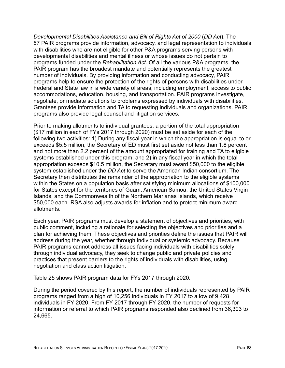*Developmental Disabilities Assistance and Bill of Rights Act of 2000* (*DD Act*). The 57 PAIR programs provide information, advocacy, and legal representation to individuals with disabilities who are not eligible for other P&A programs serving persons with developmental disabilities and mental illness or whose issues do not pertain to programs funded under the *Rehabilitation Act*. Of all the various P&A programs, the PAIR program has the broadest mandate and potentially represents the greatest number of individuals. By providing information and conducting advocacy, PAIR programs help to ensure the protection of the rights of persons with disabilities under Federal and State law in a wide variety of areas, including employment, access to public accommodations, education, housing, and transportation. PAIR programs investigate, negotiate, or mediate solutions to problems expressed by individuals with disabilities. Grantees provide information and TA to requesting individuals and organizations. PAIR programs also provide legal counsel and litigation services.

Prior to making allotments to individual grantees, a portion of the total appropriation (\$17 million in each of FYs 2017 through 2020) must be set aside for each of the following two activities: 1) During any fiscal year in which the appropriation is equal to or exceeds \$5.5 million, the Secretary of ED must first set aside not less than 1.8 percent and not more than 2.2 percent of the amount appropriated for training and TA to eligible systems established under this program; and 2) in any fiscal year in which the total appropriation exceeds \$10.5 million, the Secretary must award \$50,000 to the eligible system established under the *DD Act* to serve the American Indian consortium. The Secretary then distributes the remainder of the appropriation to the eligible systems within the States on a population basis after satisfying minimum allocations of \$100,000 for States except for the territories of Guam, American Samoa, the United States Virgin Islands, and the Commonwealth of the Northern Marianas Islands, which receive \$50,000 each. RSA also adjusts awards for inflation and to protect minimum award allotments.

Each year, PAIR programs must develop a statement of objectives and priorities, with public comment, including a rationale for selecting the objectives and priorities and a plan for achieving them. These objectives and priorities define the issues that PAIR will address during the year, whether through individual or systemic advocacy. Because PAIR programs cannot address all issues facing individuals with disabilities solely through individual advocacy, they seek to change public and private policies and practices that present barriers to the rights of individuals with disabilities, using negotiation and class action litigation.

Table 25 shows PAIR program data for FYs 2017 through 2020.

During the period covered by this report, the number of individuals represented by PAIR programs ranged from a high of 10,256 individuals in FY 2017 to a low of 9,428 individuals in FY 2020. From FY 2017 through FY 2020, the number of requests for information or referral to which PAIR programs responded also declined from 36,303 to 24,665.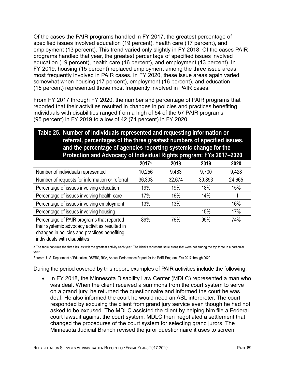Of the cases the PAIR programs handled in FY 2017, the greatest percentage of specified issues involved education (19 percent), health care (17 percent), and employment (13 percent). This trend varied only slightly in FY 2018. Of the cases PAIR programs handled that year, the greatest percentage of specified issues involved education (19 percent), health care (16 percent), and employment (13 percent). In FY 2019, housing (15 percent) replaced employment among the three issue areas most frequently involved in PAIR cases. In FY 2020, these issue areas again varied somewhat when housing (17 percent), employment (16 percent), and education (15 percent) represented those most frequently involved in PAIR cases.

From FY 2017 through FY 2020, the number and percentage of PAIR programs that reported that their activities resulted in changes in policies and practices benefiting individuals with disabilities ranged from a high of 54 of the 57 PAIR programs (95 percent) in FY 2019 to a low of 42 (74 percent) in FY 2020.

#### **Table 25. Number of individuals represented and requesting information or referral, percentages of the three greatest numbers of specified issues, and the percentage of agencies reporting systemic change for the Protection and Advocacy of Individual Rights program: FYs 2017–2020**

|                                                                                                                                                                              | 2017a  | 2018   | 2019   | 2020          |
|------------------------------------------------------------------------------------------------------------------------------------------------------------------------------|--------|--------|--------|---------------|
| Number of individuals represented                                                                                                                                            | 10,256 | 9,483  | 9,700  | 9,428         |
| Number of requests for information or referral                                                                                                                               | 36,303 | 32,674 | 30,893 | 24,665        |
| Percentage of issues involving education                                                                                                                                     | 19%    | 19%    | 18%    | 15%           |
| Percentage of issues involving health care                                                                                                                                   | 17%    | 16%    | 14%    | $-\mathsf{I}$ |
| Percentage of issues involving employment                                                                                                                                    | 13%    | 13%    |        | 16%           |
| Percentage of issues involving housing                                                                                                                                       |        |        | 15%    | 17%           |
| Percentage of PAIR programs that reported<br>their systemic advocacy activities resulted in<br>changes in policies and practices benefiting<br>individuals with disabilities | 89%    | 76%    | 95%    | 74%           |

a The table captures the three issues with the greatest activity each year. The blanks represent issue areas that were not among the top three in a particular year.

Source: U.S. Department of Education, OSERS, RSA, Annual Performance Report for the PAIR Program, FYs 2017 through 2020.

During the period covered by this report, examples of PAIR activities include the following:

• In FY 2018, the Minnesota Disability Law Center (MDLC) represented a man who was deaf. When the client received a summons from the court system to serve on a grand jury, he returned the questionnaire and informed the court he was deaf. He also informed the court he would need an ASL interpreter. The court responded by excusing the client from grand jury service even though he had not asked to be excused. The MDLC assisted the client by helping him file a Federal court lawsuit against the court system. MDLC then negotiated a settlement that changed the procedures of the court system for selecting grand jurors. The Minnesota Judicial Branch revised the juror questionnaire it uses to screen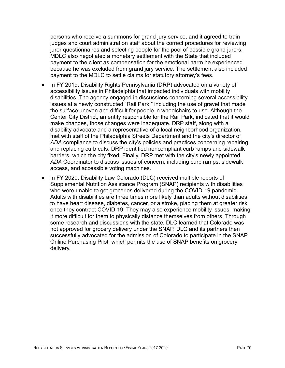persons who receive a summons for grand jury service, and it agreed to train judges and court administration staff about the correct procedures for reviewing juror questionnaires and selecting people for the pool of possible grand jurors. MDLC also negotiated a monetary settlement with the State that included payment to the client as compensation for the emotional harm he experienced because he was excluded from grand jury service. The settlement also included payment to the MDLC to settle claims for statutory attorney's fees.

- In FY 2019, Disability Rights Pennsylvania (DRP) advocated on a variety of accessibility issues in Philadelphia that impacted individuals with mobility disabilities. The agency engaged in discussions concerning several accessibility issues at a newly constructed "Rail Park," including the use of gravel that made the surface uneven and difficult for people in wheelchairs to use. Although the Center City District, an entity responsible for the Rail Park, indicated that it would make changes, those changes were inadequate. DRP staff, along with a disability advocate and a representative of a local neighborhood organization, met with staff of the Philadelphia Streets Department and the city's director of *ADA* compliance to discuss the city's policies and practices concerning repairing and replacing curb cuts. DRP identified noncompliant curb ramps and sidewalk barriers, which the city fixed. Finally, DRP met with the city's newly appointed *ADA* Coordinator to discuss issues of concern, including curb ramps, sidewalk access, and accessible voting machines.
- In FY 2020, Disability Law Colorado (DLC) received multiple reports of Supplemental Nutrition Assistance Program (SNAP) recipients with disabilities who were unable to get groceries delivered during the COVID-19 pandemic. Adults with disabilities are three times more likely than adults without disabilities to have heart disease, diabetes, cancer, or a stroke, placing them at greater risk once they contract COVID-19. They may also experience mobility issues, making it more difficult for them to physically distance themselves from others. Through some research and discussions with the state, DLC learned that Colorado was not approved for grocery delivery under the SNAP. DLC and its partners then successfully advocated for the admission of Colorado to participate in the SNAP Online Purchasing Pilot, which permits the use of SNAP benefits on grocery delivery.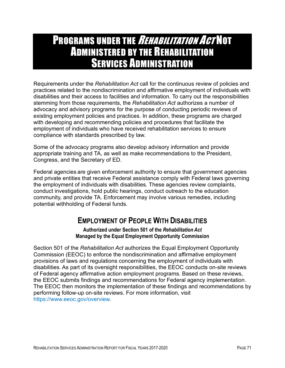## PROGRAMS UNDER THE *REHABILITATION ACT* NOT ADMINISTERED BY THE REHABILITATION **SERVICES ADMINISTRATION**

Requirements under the *Rehabilitation Act* call for the continuous review of policies and practices related to the nondiscrimination and affirmative employment of individuals with disabilities and their access to facilities and information. To carry out the responsibilities stemming from those requirements, the *Rehabilitation Act* authorizes a number of advocacy and advisory programs for the purpose of conducting periodic reviews of existing employment policies and practices. In addition, these programs are charged with developing and recommending policies and procedures that facilitate the employment of individuals who have received rehabilitation services to ensure compliance with standards prescribed by law.

Some of the advocacy programs also develop advisory information and provide appropriate training and TA, as well as make recommendations to the President, Congress, and the Secretary of ED.

Federal agencies are given enforcement authority to ensure that government agencies and private entities that receive Federal assistance comply with Federal laws governing the employment of individuals with disabilities. These agencies review complaints, conduct investigations, hold public hearings, conduct outreach to the education community, and provide TA. Enforcement may involve various remedies, including potential withholding of Federal funds.

### **EMPLOYMENT OF PEOPLE WITH DISABILITIES**

**Authorized under Section 501 of the** *Rehabilitation Act* **Managed by the Equal Employment Opportunity Commission**

Section 501 of the *Rehabilitation Act* authorizes the Equal Employment Opportunity Commission (EEOC) to enforce the nondiscrimination and affirmative employment provisions of laws and regulations concerning the employment of individuals with disabilities. As part of its oversight responsibilities, the EEOC conducts on-site reviews of Federal agency affirmative action employment programs. Based on these reviews, the EEOC submits findings and recommendations for Federal agency implementation. The EEOC then monitors the implementation of these findings and recommendations by performing follow-up on-site reviews. For more information, visit [https://www.eeoc.gov/overview.](https://www.eeoc.gov/overview)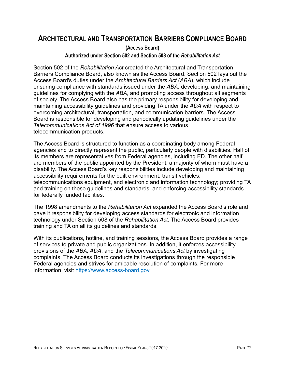### **ARCHITECTURAL AND TRANSPORTATION BARRIERS COMPLIANCE BOARD**

**(Access Board)**

#### **Authorized under Section 502 and Section 508 of the** *Rehabilitation Act*

Section 502 of the *Rehabilitation Act* created the Architectural and Transportation Barriers Compliance Board, also known as the Access Board. Section 502 lays out the Access Board's duties under the *Architectural Barriers Act* (*ABA*), which include ensuring compliance with standards issued under the *ABA*, developing, and maintaining guidelines for complying with the *ABA*, and promoting access throughout all segments of society. The Access Board also has the primary responsibility for developing and maintaining accessibility guidelines and providing TA under the *ADA* with respect to overcoming architectural, transportation, and communication barriers. The Access Board is responsible for developing and periodically updating guidelines under the *Telecommunications Act of 1996* that ensure access to various telecommunication products.

The Access Board is structured to function as a coordinating body among Federal agencies and to directly represent the public, particularly people with disabilities. Half of its members are representatives from Federal agencies, including ED. The other half are members of the public appointed by the President, a majority of whom must have a disability. The Access Board's key responsibilities include developing and maintaining accessibility requirements for the built environment, transit vehicles, telecommunications equipment, and electronic and information technology; providing TA and training on these guidelines and standards; and enforcing accessibility standards for federally funded facilities.

The 1998 amendments to the *Rehabilitation Act* expanded the Access Board's role and gave it responsibility for developing access standards for electronic and information technology under Section 508 of the *Rehabilitation Act*. The Access Board provides training and TA on all its guidelines and standards.

With its publications, hotline, and training sessions, the Access Board provides a range of services to private and public organizations. In addition, it enforces accessibility provisions of the *ABA, ADA*, and the *Telecommunications Act* by investigating complaints. The Access Board conducts its investigations through the responsible Federal agencies and strives for amicable resolution of complaints. For more information, visit [https://www.access-board.gov.](https://www.access-board.gov/)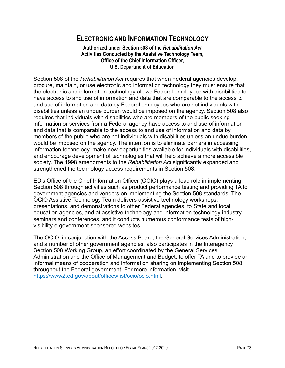### **ELECTRONIC AND INFORMATION TECHNOLOGY**

#### **Authorized under Section 508 of the** *Rehabilitation Act* **Activities Conducted by the Assistive Technology Team, Office of the Chief Information Officer, U.S. Department of Education**

Section 508 of the *Rehabilitation Act* requires that when Federal agencies develop, procure, maintain, or use electronic and information technology they must ensure that the electronic and information technology allows Federal employees with disabilities to have access to and use of information and data that are comparable to the access to and use of information and data by Federal employees who are not individuals with disabilities unless an undue burden would be imposed on the agency. Section 508 also requires that individuals with disabilities who are members of the public seeking information or services from a Federal agency have access to and use of information and data that is comparable to the access to and use of information and data by members of the public who are not individuals with disabilities unless an undue burden would be imposed on the agency. The intention is to eliminate barriers in accessing information technology, make new opportunities available for individuals with disabilities, and encourage development of technologies that will help achieve a more accessible society. The 1998 amendments to the *Rehabilitation Act* significantly expanded and strengthened the technology access requirements in Section 508.

ED's Office of the Chief Information Officer (OCIO) plays a lead role in implementing Section 508 through activities such as product performance testing and providing TA to government agencies and vendors on implementing the Section 508 standards. The OCIO Assistive Technology Team delivers assistive technology workshops, presentations, and demonstrations to other Federal agencies, to State and local education agencies, and at assistive technology and information technology industry seminars and conferences, and it conducts numerous conformance tests of highvisibility e-government-sponsored websites.

The OCIO, in conjunction with the Access Board, the General Services Administration, and a number of other government agencies, also participates in the Interagency Section 508 Working Group, an effort coordinated by the General Services Administration and the Office of Management and Budget, to offer TA and to provide an informal means of cooperation and information sharing on implementing Section 508 throughout the Federal government. For more information, visit [https://www2.ed.gov/about/offices/list/ocio/ocio.html.](https://www2.ed.gov/about/offices/list/ocio/ocio.html)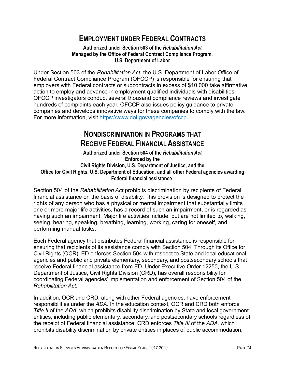### **EMPLOYMENT UNDER FEDERAL CONTRACTS**

#### **Authorized under Section 503 of the** *Rehabilitation Act* **Managed by the Office of Federal Contract Compliance Program, U.S. Department of Labor**

Under Section 503 of the *Rehabilitation Act*, the U.S. Department of Labor Office of Federal Contract Compliance Program (OFCCP) is responsible for ensuring that employers with Federal contracts or subcontracts in excess of \$10,000 take affirmative action to employ and advance in employment qualified individuals with disabilities. OFCCP investigators conduct several thousand compliance reviews and investigate hundreds of complaints each year. OFCCP also issues policy guidance to private companies and develops innovative ways for these companies to comply with the law. For more information, visit [https://www.dol.gov/agencies/ofccp.](https://www.dol.gov/agencies/ofccp)

### **NONDISCRIMINATION IN PROGRAMS THAT RECEIVE FEDERAL FINANCIAL ASSISTANCE**

#### **Authorized under Section 504 of the** *Rehabilitation Act* **Enforced by the Civil Rights Division, U.S. Department of Justice, and the Office for Civil Rights, U.S. Department of Education, and all other Federal agencies awarding Federal financial assistance**.

Section 504 of the *Rehabilitation Act* prohibits discrimination by recipients of Federal financial assistance on the basis of disability. This provision is designed to protect the rights of any person who has a physical or mental impairment that substantially limits one or more major life activities, has a record of such an impairment, or is regarded as having such an impairment. Major life activities include, but are not limited to, walking, seeing, hearing, speaking, breathing, learning, working, caring for oneself, and performing manual tasks.

Each Federal agency that distributes Federal financial assistance is responsible for ensuring that recipients of its assistance comply with Section 504. Through its Office for Civil Rights (OCR), ED enforces Section 504 with respect to State and local educational agencies and public and private elementary, secondary, and postsecondary schools that receive Federal financial assistance from ED. Under Executive Order 12250, the U.S. Department of Justice, Civil Rights Division (CRD), has overall responsibility for coordinating Federal agencies' implementation and enforcement of Section 504 of the *Rehabilitation Act*.

In addition, OCR and CRD, along with other Federal agencies, have enforcement responsibilities under the *ADA*. In the education context, OCR and CRD both enforce *Title II* of the *ADA*, which prohibits disability discrimination by State and local government entities, including public elementary, secondary, and postsecondary schools regardless of the receipt of Federal financial assistance. CRD enforces *Title III* of the *ADA,* which prohibits disability discrimination by private entities in places of public accommodation,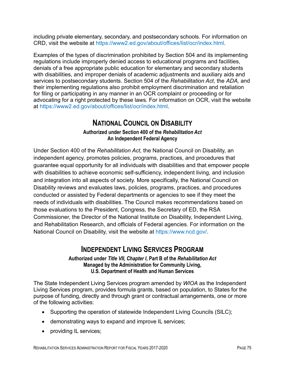including private elementary, secondary, and postsecondary schools. For information on CRD, visit the website at [https://www2.ed.gov/about/offices/list/ocr/index.html.](https://www2.ed.gov/about/offices/list/ocr/index.html)

Examples of the types of discrimination prohibited by Section 504 and its implementing regulations include improperly denied access to educational programs and facilities, denials of a free appropriate public education for elementary and secondary students with disabilities, and improper denials of academic adjustments and auxiliary aids and services to postsecondary students. Section 504 of the *Rehabilitation Act*, the *ADA,* and their implementing regulations also prohibit employment discrimination and retaliation for filing or participating in any manner in an OCR complaint or proceeding or for advocating for a right protected by these laws. For information on OCR, visit the website at [https://www2.ed.gov/about/offices/list/ocr/index.html.](https://www2.ed.gov/about/offices/list/ocr/index.html)

### **NATIONAL COUNCIL ON DISABILITY**

#### **Authorized under Section 400 of the** *Rehabilitation Act* **An Independent Federal Agency**

Under Section 400 of the *Rehabilitation Act*, the National Council on Disability, an independent agency, promotes policies, programs, practices, and procedures that guarantee equal opportunity for all individuals with disabilities and that empower people with disabilities to achieve economic self-sufficiency, independent living, and inclusion and integration into all aspects of society. More specifically, the National Council on Disability reviews and evaluates laws, policies, programs, practices, and procedures conducted or assisted by Federal departments or agencies to see if they meet the needs of individuals with disabilities. The Council makes recommendations based on those evaluations to the President, Congress, the Secretary of ED, the RSA Commissioner, the Director of the National Institute on Disability, Independent Living, and Rehabilitation Research, and officials of Federal agencies. For information on the National Council on Disability, visit the website at [https://www.ncd.gov/.](https://www.ncd.gov/)

#### **INDEPENDENT LIVING SERVICES PROGRAM**

#### **Authorized under** *Title VII, Chapter I***, Part B of the** *Rehabilitation Act* **Managed by the Administration for Community Living, U.S. Department of Health and Human Services**

The State Independent Living Services program amended by *WIOA* as the Independent Living Services program, provides formula grants, based on population, to States for the purpose of funding, directly and through grant or contractual arrangements, one or more of the following activities:

- Supporting the operation of statewide Independent Living Councils (SILC);
- demonstrating ways to expand and improve IL services;
- providing IL services;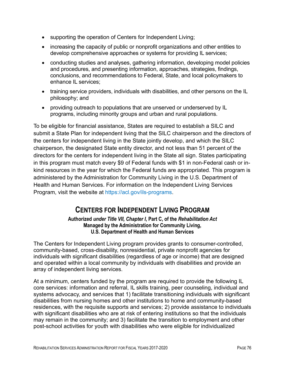- supporting the operation of Centers for Independent Living;
- increasing the capacity of public or nonprofit organizations and other entities to develop comprehensive approaches or systems for providing IL services;
- conducting studies and analyses, gathering information, developing model policies and procedures, and presenting information, approaches, strategies, findings, conclusions, and recommendations to Federal, State, and local policymakers to enhance IL services;
- training service providers, individuals with disabilities, and other persons on the IL philosophy; and
- providing outreach to populations that are unserved or underserved by IL programs, including minority groups and urban and rural populations.

To be eligible for financial assistance, States are required to establish a SILC and submit a State Plan for independent living that the SILC chairperson and the directors of the centers for independent living in the State jointly develop, and which the SILC chairperson, the designated State entity director, and not less than 51 percent of the directors for the centers for independent living in the State all sign. States participating in this program must match every \$9 of Federal funds with \$1 in non-Federal cash or inkind resources in the year for which the Federal funds are appropriated. This program is administered by the Administration for Community Living in the U.S. Department of Health and Human Services. For information on the Independent Living Services Program, visit the website at https://acl.gov/ils-programs.

### **CENTERS FOR INDEPENDENT LIVING PROGRAM**

#### **Authorized** *under Title VII, Chapter I***, Part C, of the** *Rehabilitation Act* **Managed by the Administration for Community Living, U.S. Department of Health and Human Services**

The Centers for Independent Living program provides grants to consumer-controlled, community-based, cross-disability, nonresidential, private nonprofit agencies for individuals with significant disabilities (regardless of age or income) that are designed and operated within a local community by individuals with disabilities and provide an array of independent living services.

At a minimum, centers funded by the program are required to provide the following IL core services: information and referral, IL skills training, peer counseling, individual and systems advocacy, and services that 1) facilitate transitioning individuals with significant disabilities from nursing homes and other institutions to home and community-based residences, with the requisite supports and services; 2) provide assistance to individuals with significant disabilities who are at risk of entering institutions so that the individuals may remain in the community; and 3) facilitate the transition to employment and other post-school activities for youth with disabilities who were eligible for individualized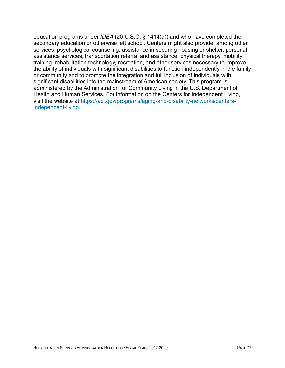education programs under *IDEA* (20 U.S.C. § 1414(d)) and who have completed their secondary education or otherwise left school. Centers might also provide, among other services, psychological counseling, assistance in securing housing or shelter, personal assistance services, transportation referral and assistance, physical therapy, mobility training, rehabilitation technology, recreation, and other services necessary to improve the ability of individuals with significant disabilities to function independently in the family or community and to promote the integration and full inclusion of individuals with significant disabilities into the mainstream of American society. This program is administered by the Administration for Community Living in the U.S. Department of Health and Human Services. For information on the Centers for Independent Living, visit the website at [https://acl.gov/programs/aging-and-disability-networks/centers](https://acl.gov/programs/aging-and-disability-networks/centers-independent-living)[independent-living.](https://acl.gov/programs/aging-and-disability-networks/centers-independent-living)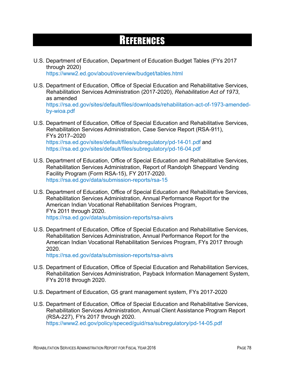# **REFERENCES**

- U.S. Department of Education, Department of Education Budget Tables (FYs 2017 through 2020) <https://www2.ed.gov/about/overview/budget/tables.html>
- U.S. Department of Education, Office of Special Education and Rehabilitative Services, Rehabilitation Services Administration (2017-2020), *Rehabilitation Act of 1973*, as amended [https://rsa.ed.gov/sites/default/files/downloads/rehabilitation-act-of-1973-amended](https://rsa.ed.gov/sites/default/files/downloads/rehabilitation-act-of-1973-amended-by-wioa.pdf)[by-wioa.pdf](https://rsa.ed.gov/sites/default/files/downloads/rehabilitation-act-of-1973-amended-by-wioa.pdf)
- U.S. Department of Education, Office of Special Education and Rehabilitative Services, Rehabilitation Services Administration, Case Service Report (RSA-911), FYs 2017–2020 <https://rsa.ed.gov/sites/default/files/subregulatory/pd-14-01.pdf> and <https://rsa.ed.gov/sites/default/files/subregulatory/pd-16-04.pdf>
- U.S. Department of Education, Office of Special Education and Rehabilitative Services, Rehabilitation Services Administration, Report of Randolph Sheppard Vending Facility Program (Form RSA-15), FY 2017-2020. <https://rsa.ed.gov/data/submission-reports/rsa-15>
- U.S. Department of Education, Office of Special Education and Rehabilitative Services, Rehabilitation Services Administration, Annual Performance Report for the American Indian Vocational Rehabilitation Services Program, FYs 2011 through 2020. <https://rsa.ed.gov/data/submission-reports/rsa-aivrs>
- U.S. Department of Education, Office of Special Education and Rehabilitative Services, Rehabilitation Services Administration, Annual Performance Report for the American Indian Vocational Rehabilitation Services Program, FYs 2017 through 2020.

<https://rsa.ed.gov/data/submission-reports/rsa-aivrs>

- U.S. Department of Education, Office of Special Education and Rehabilitation Services, Rehabilitation Services Administration, Payback Information Management System, FYs 2018 through 2020.
- U.S. Department of Education, G5 grant management system, FYs 2017-2020
- U.S. Department of Education, Office of Special Education and Rehabilitative Services, Rehabilitation Services Administration, Annual Client Assistance Program Report (RSA-227), FYs 2017 through 2020. <https://www2.ed.gov/policy/speced/guid/rsa/subregulatory/pd-14-05.pdf>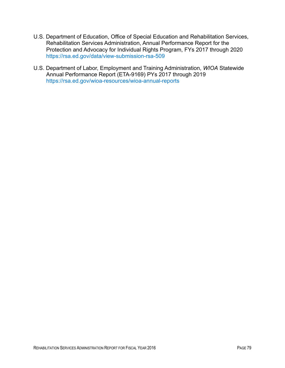- U.S. Department of Education, Office of Special Education and Rehabilitation Services, Rehabilitation Services Administration, Annual Performance Report for the Protection and Advocacy for Individual Rights Program, FYs 2017 through 2020 <https://rsa.ed.gov/data/view-submission-rsa-509>
- U.S. Department of Labor, Employment and Training Administration, *WIOA* Statewide Annual Performance Report (ETA-9169) PYs 2017 through 2019 <https://rsa.ed.gov/wioa-resources/wioa-annual-reports>